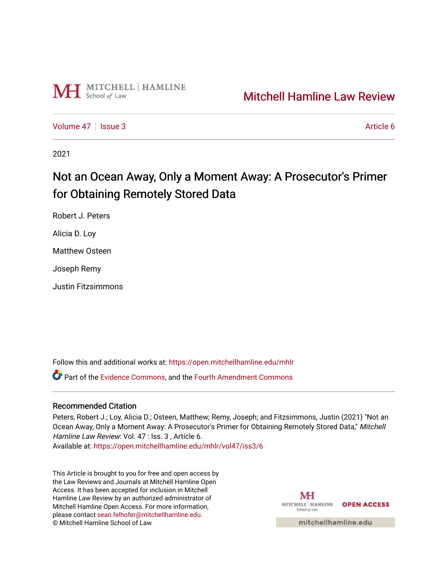

## [Mitchell Hamline Law Review](https://open.mitchellhamline.edu/mhlr)

[Volume 47](https://open.mitchellhamline.edu/mhlr/vol47) | [Issue 3](https://open.mitchellhamline.edu/mhlr/vol47/iss3) Article 6

2021

# Not an Ocean Away, Only a Moment Away: A Prosecutor's Primer for Obtaining Remotely Stored Data

Robert J. Peters

Alicia D. Loy

Matthew Osteen

Joseph Remy

Justin Fitzsimmons

Follow this and additional works at: [https://open.mitchellhamline.edu/mhlr](https://open.mitchellhamline.edu/mhlr?utm_source=open.mitchellhamline.edu%2Fmhlr%2Fvol47%2Fiss3%2F6&utm_medium=PDF&utm_campaign=PDFCoverPages) 

**C**<sup> $\bullet$ </sup> Part of the [Evidence Commons,](http://network.bepress.com/hgg/discipline/601?utm_source=open.mitchellhamline.edu%2Fmhlr%2Fvol47%2Fiss3%2F6&utm_medium=PDF&utm_campaign=PDFCoverPages) and the [Fourth Amendment Commons](http://network.bepress.com/hgg/discipline/1180?utm_source=open.mitchellhamline.edu%2Fmhlr%2Fvol47%2Fiss3%2F6&utm_medium=PDF&utm_campaign=PDFCoverPages)

### Recommended Citation

Peters, Robert J.; Loy, Alicia D.; Osteen, Matthew; Remy, Joseph; and Fitzsimmons, Justin (2021) "Not an Ocean Away, Only a Moment Away: A Prosecutor's Primer for Obtaining Remotely Stored Data," Mitchell Hamline Law Review: Vol. 47 : Iss. 3 , Article 6. Available at: [https://open.mitchellhamline.edu/mhlr/vol47/iss3/6](https://open.mitchellhamline.edu/mhlr/vol47/iss3/6?utm_source=open.mitchellhamline.edu%2Fmhlr%2Fvol47%2Fiss3%2F6&utm_medium=PDF&utm_campaign=PDFCoverPages) 

This Article is brought to you for free and open access by the Law Reviews and Journals at Mitchell Hamline Open Access. It has been accepted for inclusion in Mitchell Hamline Law Review by an authorized administrator of Mitchell Hamline Open Access. For more information, please contact [sean.felhofer@mitchellhamline.edu.](mailto:sean.felhofer@mitchellhamline.edu) © Mitchell Hamline School of Law

MH MITCHELL | HAMLINE OPEN ACCESS School of La

mitchellhamline.edu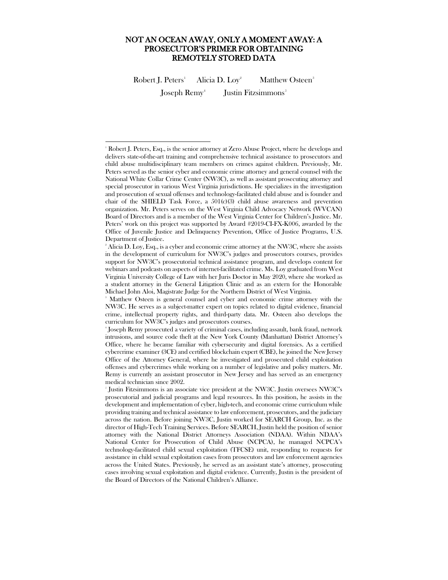### NOT AN OCEAN AWAY, ONLY A MOMENT AWAY: A PROSECUTOR'S PRIMER FOR OBTAINING REMOTELY STORED DATA

Robert J. Peters<sup>[1](#page-1-0)</sup> Alicia D. Loy<sup>[2](#page-1-1)</sup> Matthew Osteen<sup>3</sup> Joseph Remy<sup>[4](#page-1-3)</sup> Justin Fitzsimmons<sup>[5](#page-1-4)</sup>

l

<span id="page-1-0"></span><sup>1</sup> Robert J. Peters, Esq., is the senior attorney at Zero Abuse Project, where he develops and delivers state-of-the-art training and comprehensive technical assistance to prosecutors and child abuse multidisciplinary team members on crimes against children. Previously, Mr. Peters served as the senior cyber and economic crime attorney and general counsel with the National White Collar Crime Center (NW3C), as well as assistant prosecuting attorney and special prosecutor in various West Virginia jurisdictions. He specializes in the investigation and prosecution of sexual offenses and technology-facilitated child abuse and is founder and chair of the SHIELD Task Force, a  $501(c)(3)$  child abuse awareness and prevention organization. Mr. Peters serves on the West Virginia Child Advocacy Network (WVCAN) Board of Directors and is a member of the West Virginia Center for Children's Justice. Mr. Peters' work on this project was supported by Award #2019-CI-FX-K006, awarded by the Office of Juvenile Justice and Delinquency Prevention, Office of Justice Programs, U.S. Department of Justice.

<span id="page-1-1"></span><sup>2</sup> Alicia D. Loy, Esq., is a cyber and economic crime attorney at the NW3C, where she assists in the development of curriculum for NW3C's judges and prosecutors courses, provides support for NW3C's prosecutorial technical assistance program, and develops content for webinars and podcasts on aspects of internet-facilitated crime. Ms. Loy graduated from West Virginia University College of Law with her Juris Doctor in May 2020, where she worked as a student attorney in the General Litigation Clinic and as an extern for the Honorable Michael John Aloi, Magistrate Judge for the Northern District of West Virginia.

<span id="page-1-2"></span><sup>3</sup> Matthew Osteen is general counsel and cyber and economic crime attorney with the NW3C. He serves as a subject-matter expert on topics related to digital evidence, financial crime, intellectual property rights, and third-party data. Mr. Osteen also develops the curriculum for NW3C's judges and prosecutors courses.

<span id="page-1-3"></span><sup>4</sup> Joseph Remy prosecuted a variety of criminal cases, including assault, bank fraud, network intrusions, and source code theft at the New York County (Manhattan) District Attorney's Office, where he became familiar with cybersecurity and digital forensics. As a certified cybercrime examiner (3CE) and certified blockchain expert (CBE), he joined the New Jersey Office of the Attorney General, where he investigated and prosecuted child exploitation offenses and cybercrimes while working on a number of legislative and policy matters. Mr. Remy is currently an assistant prosecutor in New Jersey and has served as an emergency medical technician since 2002.

<span id="page-1-4"></span><sup>5</sup> Justin Fitzsimmons is an associate vice president at the NW3C. Justin oversees NW3C's prosecutorial and judicial programs and legal resources. In this position, he assists in the development and implementation of cyber, high-tech, and economic crime curriculum while providing training and technical assistance to law enforcement, prosecutors, and the judiciary across the nation. Before joining NW3C, Justin worked for SEARCH Group, Inc. as the director of High-Tech Training Services. Before SEARCH, Justin held the position of senior attorney with the National District Attorneys Association (NDAA). Within NDAA's National Center for Prosecution of Child Abuse (NCPCA), he managed NCPCA's technology-facilitated child sexual exploitation (TFCSE) unit, responding to requests for assistance in child sexual exploitation cases from prosecutors and law enforcement agencies across the United States. Previously, he served as an assistant state's attorney, prosecuting cases involving sexual exploitation and digital evidence. Currently, Justin is the president of the Board of Directors of the National Children's Alliance.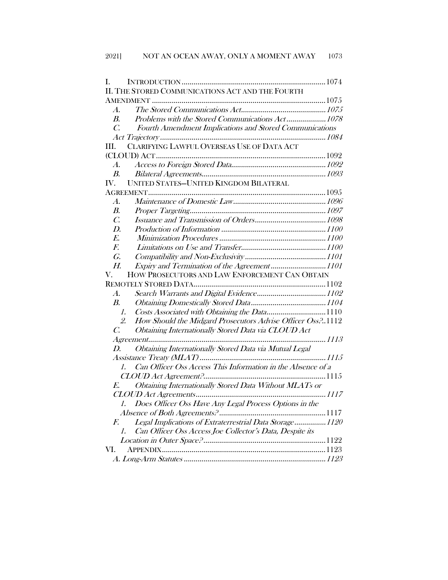| L                            |                                                             |
|------------------------------|-------------------------------------------------------------|
|                              | II. THE STORED COMMUNICATIONS ACT AND THE FOURTH            |
|                              |                                                             |
| $\boldsymbol{A}$ .           |                                                             |
| В.                           | Problems with the Stored Communications Act 1078            |
| $\overline{C}$               | Fourth Amendment Implications and Stored Communications     |
|                              |                                                             |
| III.                         | CLARIFYING LAWFUL OVERSEAS USE OF DATA ACT                  |
|                              |                                                             |
| $\boldsymbol{A}$ .           |                                                             |
| $B$ .                        |                                                             |
| IV.                          | UNITED STATES-UNITED KINGDOM BILATERAL                      |
|                              |                                                             |
| A.                           |                                                             |
| $B$ .                        |                                                             |
| $\mathcal{C}$                |                                                             |
| D.                           |                                                             |
| E.                           |                                                             |
| $F_{\cdot}$                  |                                                             |
| G.                           |                                                             |
| Н.                           | Expiry and Termination of the Agreement 1101                |
| $V_{\cdot}$                  | HOW PROSECUTORS AND LAW ENFORCEMENT CAN OBTAIN              |
|                              |                                                             |
| $\boldsymbol{\mathcal{A}}$ . |                                                             |
| В.                           |                                                             |
| 1.                           | Costs Associated with Obtaining the Data1110                |
| 2.                           | How Should the Midgard Prosecutors Advise Officer Oss?1112  |
| C.                           | Obtaining Internationally Stored Data via CLOUD Act         |
|                              | 1113                                                        |
| D.                           | Obtaining Internationally Stored Data via Mutual Legal      |
|                              |                                                             |
| 1.                           | Can Officer Oss Access This Information in the Absence of a |
|                              |                                                             |
| E.                           | Obtaining Internationally Stored Data Without MLATs or      |
|                              |                                                             |
|                              | Does Officer Oss Have Any Legal Process Options in the      |
|                              |                                                             |
| F.                           | Legal Implications of Extraterrestrial Data Storage 1120    |
| $l_{\cdot}$                  | Can Officer Oss Access Joe Collector's Data, Despite its    |
|                              |                                                             |
| VI.                          |                                                             |
|                              |                                                             |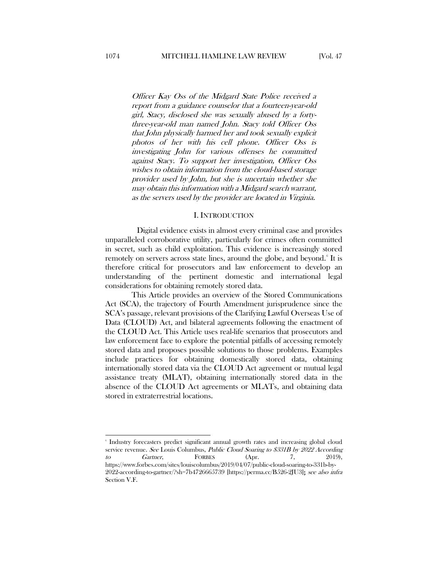Officer Kay Oss of the Midgard State Police received a report from a guidance counselor that a fourteen-year-old girl, Stacy, disclosed she was sexually abused by a fortythree-year-old man named John. Stacy told Officer Oss that John physically harmed her and took sexually explicit photos of her with his cell phone. Officer Oss is investigating John for various offenses he committed against Stacy. To support her investigation, Officer Oss wishes to obtain information from the cloud-based storage provider used by John, but she is uncertain whether she may obtain this information with a Midgard search warrant, as the servers used by the provider are located in Virginia.

#### I. INTRODUCTION

<span id="page-3-0"></span>Digital evidence exists in almost every criminal case and provides unparalleled corroborative utility, particularly for crimes often committed in secret, such as child exploitation. This evidence is increasingly stored remotely on servers across state lines, around the globe, and beyond. It is therefore critical for prosecutors and law enforcement to develop an understanding of the pertinent domestic and international legal considerations for obtaining remotely stored data.

This Article provides an overview of the Stored Communications Act (SCA), the trajectory of Fourth Amendment jurisprudence since the SCA's passage, relevant provisions of the Clarifying Lawful Overseas Use of Data (CLOUD) Act, and bilateral agreements following the enactment of the CLOUD Act. This Article uses real-life scenarios that prosecutors and law enforcement face to explore the potential pitfalls of accessing remotely stored data and proposes possible solutions to those problems. Examples include practices for obtaining domestically stored data, obtaining internationally stored data via the CLOUD Act agreement or mutual legal assistance treaty (MLAT), obtaining internationally stored data in the absence of the CLOUD Act agreements or MLATs, and obtaining data stored in extraterrestrial locations.

<span id="page-3-1"></span>6 Industry forecasters predict significant annual growth rates and increasing global cloud service revenue. See Louis Columbus, Public Cloud Soaring to \$331B by 2022 According to Gartner[,](https://www.klgates.com/lifting-the-veil-on-the-mlat-process-a-guide-to-understanding-and-responding-to-mla-requests-01-20-2017/) FORBES (Apr. 7, 2019), https://www.forbes.com/sites/louiscolumbus/2019/04/07/public-cloud-soaring-to-331b-by-

<sup>2022-</sup>according-to-gartner/?sh=7b4726665739 [https://perma.cc/B526-2JU3]; see also infra Section V.F.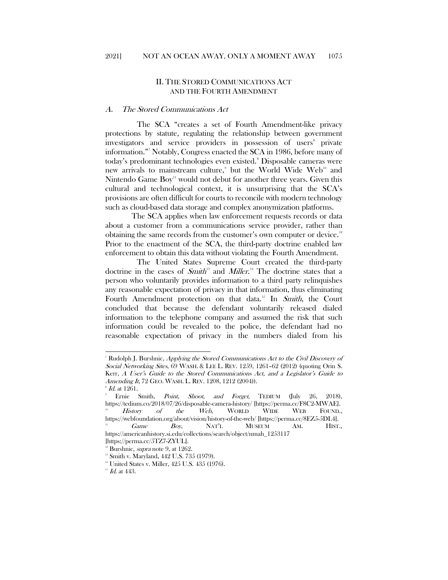### II. THE STORED COMMUNICATIONS ACT AND THE FOURTH AMENDMENT

### <span id="page-4-1"></span><span id="page-4-0"></span>A. The Stored Communications Act

The SCA "creates a set of Fourth Amendment-like privacy protections by statute, regulating the relationship between government investigators and service providers in possession of users' private information."[7](#page-4-2) Notably, Congress enacted the SCA in 1986, before many of today's predominant technologies even existed. [8](#page-4-3) Disposable cameras were new arrivals to mainstream culture,<sup>[9](#page-4-4)</sup> but the World Wide Web<sup>[10](#page-4-5)</sup> and Nintendo Game  $Box<sup>11</sup>$  $Box<sup>11</sup>$  $Box<sup>11</sup>$  would not debut for another three years. Given this cultural and technological context, it is unsurprising that the SCA's provisions are often difficult for courts to reconcile with modern technology such as cloud-based data storage and complex anonymization platforms.

The SCA applies when law enforcement requests records or data about a customer from a communications service provider, rather than obtaining the same records from the customer's own computer or device.<sup>[12](#page-4-7)</sup> Prior to the enactment of the SCA, the third-party doctrine enabled law enforcement to obtain this data without violating the Fourth Amendment.

The United States Supreme Court created the third-party doctrine in the cases of *Smith*<sup>[13](#page-4-8)</sup> and *Miller*.<sup>[14](#page-4-9)</sup> The doctrine states that a person who voluntarily provides information to a third party relinquishes any reasonable expectation of privacy in that information, thus eliminating Fourth Amendment protection on that data.<sup>[15](#page-4-10)</sup> In Smith, the Court concluded that because the defendant voluntarily released dialed information to the telephone company and assumed the risk that such information could be revealed to the police, the defendant had no reasonable expectation of privacy in the numbers dialed from his

<span id="page-4-2"></span><sup>&</sup>lt;sup>7</sup> Rudolph J. Burshnic, *Applying the Stored Communications Act to the Civil Discovery of* Social Networking Sites, 69 WASH. & LEE L. REV. 1259, 1261–62 (2012) (quoting Orin S. Kerr, A User's Guide to the Stored Communications Act, and a Legislator's Guide to Amending It, 72 GEO. WASH. L. REV. 1208, 1212 (2004)).  $^{\circ}$  Id. at 1261.

<span id="page-4-5"></span><span id="page-4-4"></span><span id="page-4-3"></span><sup>9</sup> Ernie Smith, Point, Shoot, and Forget, TEDIUM (July 26, 2018), https://tedium.co/2018/07/26/disposable-camera-history/ [https://perma.cc/F8C2-MWAE]. <sup>10</sup> History of the Web, WORLD WIDE WEB FOUND., https://webfoundation.org/about/vision/history-of-the-web/ [https://perma.cc/8EZ5-5DL4].<br>
"
Game Boy, NAT'L MUSEUM AM. HIST.  $11$  Game Boy, NAT'L MUSEUM AM. HIST., https://americanhistory.si.edu/collections/search/object/nmah\_1253117 [https://perma.cc/5TZ7-ZYUL].

<span id="page-4-7"></span><span id="page-4-6"></span> $12$ <sup>12</sup> Burshnic, *supra* note 9, at 1262.

<sup>&</sup>lt;sup>3</sup> Smith v. Maryland, 442 U.S. 735 (1979).

<span id="page-4-9"></span><span id="page-4-8"></span><sup>&</sup>lt;sup>14</sup> United States v. Miller, 425 U.S. 435 (1976).

<span id="page-4-10"></span> $^{\text{\tiny{15}}}$   $\emph{Id.}$  at 443.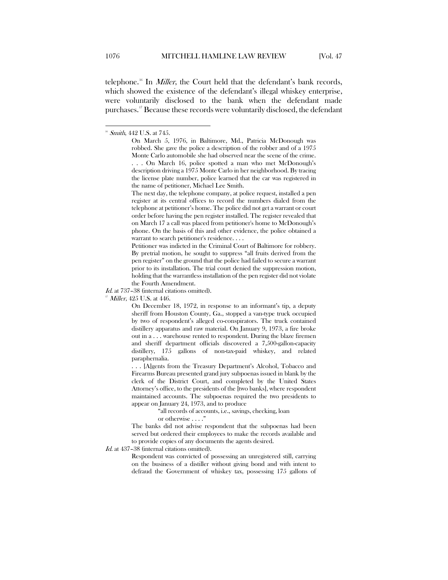telephone.<sup>16</sup> In *Miller*, the Court held that the defendant's bank records, which showed the existence of the defendant's illegal whiskey enterprise, were voluntarily disclosed to the bank when the defendant made purchases.<sup>[17](#page-5-1)</sup> Because these records were voluntarily disclosed, the defendant

The next day, the telephone company, at police request, installed a pen register at its central offices to record the numbers dialed from the telephone at petitioner's home. The police did not get a warrant or court order before having the pen register installed. The register revealed that on March 17 a call was placed from petitioner's home to McDonough's phone. On the basis of this and other evidence, the police obtained a warrant to search petitioner's residence. . . .

Petitioner was indicted in the Criminal Court of Baltimore for robbery. By pretrial motion, he sought to suppress "all fruits derived from the pen register" on the ground that the police had failed to secure a warrant prior to its installation. The trial court denied the suppression motion, holding that the warrantless installation of the pen register did not violate the Fourth Amendment.

<span id="page-5-1"></span>Id. at 737-38 (internal citations omitted).

 $^{17}$  Miller, 425 U.S. at 446.

On December 18, 1972, in response to an informant's tip, a deputy sheriff from Houston County, Ga., stopped a van-type truck occupied by two of respondent's alleged co-conspirators. The truck contained distillery apparatus and raw material. On January 9, 1973, a fire broke out in a . . . warehouse rented to respondent. During the blaze firemen and sheriff department officials discovered a 7,500-gallon-capacity distillery, 175 gallons of non-tax-paid whiskey, and related paraphernalia.

. . . [A]gents from the Treasury Department's Alcohol, Tobacco and Firearms Bureau presented grand jury subpoenas issued in blank by the clerk of the District Court, and completed by the United States Attorney's office, to the presidents of the [two banks], where respondent maintained accounts. The subpoenas required the two presidents to appear on January 24, 1973, and to produce

> "all records of accounts, i.e., savings, checking, loan or otherwise . . . ."

The banks did not advise respondent that the subpoenas had been served but ordered their employees to make the records available and to provide copies of any documents the agents desired.

Id. at 437–38 (internal citations omitted).

Respondent was convicted of possessing an unregistered still, carrying on the business of a distiller without giving bond and with intent to defraud the Government of whiskey tax, possessing 175 gallons of

<span id="page-5-0"></span><sup>&</sup>lt;sup>16</sup> Smith, 442 U.S. at 745.

On March 5, 1976, in Baltimore, Md., Patricia McDonough was robbed. She gave the police a description of the robber and of a 1975 Monte Carlo automobile she had observed near the scene of the crime. . . . On March 16, police spotted a man who met McDonough's description driving a 1975 Monte Carlo in her neighborhood. By tracing the license plate number, police learned that the car was registered in the name of petitioner, Michael Lee Smith.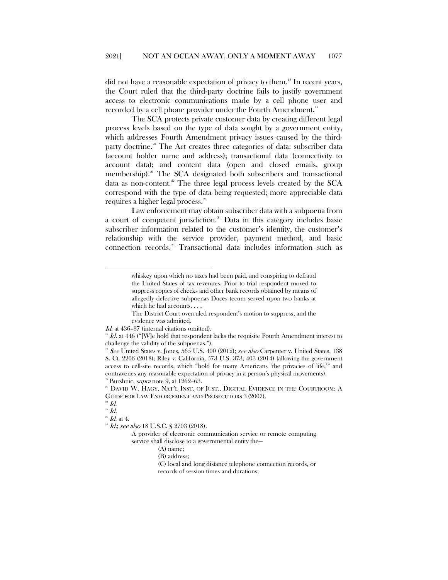did not have a reasonable expectation of privacy to them.<sup>[18](#page-6-0)</sup> In recent years, the Court ruled that the third-party doctrine fails to justify government access to electronic communications made by a cell phone user and recorded by a cell phone provider under the Fourth Amendment.<sup>19</sup>

The SCA protects private customer data by creating different legal process levels based on the type of data sought by a government entity, which addresses Fourth Amendment privacy issues caused by the third-party doctrine.<sup>[20](#page-6-2)</sup> The Act creates three categories of data: subscriber data (account holder name and address); transactional data (connectivity to account data); and content data (open and closed emails, group membership).<sup>[21](#page-6-3)</sup> The SCA designated both subscribers and transactional data as non-content.<sup>[22](#page-6-4)</sup> The three legal process levels created by the  $SCA$ correspond with the type of data being requested; more appreciable data requires a higher legal process.<sup>[23](#page-6-5)</sup>

Law enforcement may obtain subscriber data with a subpoena from a court of competent jurisdiction.<sup>[24](#page-6-6)</sup> Data in this category includes basic subscriber information related to the customer's identity, the customer's relationship with the service provider, payment method, and basic connection records.<sup>[25](#page-6-7)</sup> Transactional data includes information such as

<span id="page-6-4"></span> $22$  Id.

 $\overline{a}$ 

<span id="page-6-5"></span> $^{23}$  Id.

<span id="page-6-7"></span><span id="page-6-6"></span> $^{24}$  *Id.* at 4.

whiskey upon which no taxes had been paid, and conspiring to defraud the United States of tax revenues. Prior to trial respondent moved to suppress copies of checks and other bank records obtained by means of allegedly defective subpoenas Duces tecum served upon two banks at which he had accounts. . . .

The District Court overruled respondent's motion to suppress, and the evidence was admitted.

Id. at 436-37 (internal citations omitted).

<span id="page-6-0"></span>Id. at 446 ("[W]e hold that respondent lacks the requisite Fourth Amendment interest to challenge the validity of the subpoenas.").

<span id="page-6-1"></span><sup>&</sup>lt;sup>19</sup> See United States v. Jones, 565 U.S. 400 (2012); see also Carpenter v. United States, 138 S. Ct. 2206 (2018); Riley v. California, 573 U.S. 373, 403 (2014) (allowing the government access to cell-site records, which "hold for many Americans 'the privacies of life,'" and contravenes any reasonable expectation of privacy in a person's physical movements).

 $^{20}$  Burshnic, *supra* note 9, at 1262–63.

<span id="page-6-3"></span><span id="page-6-2"></span><sup>&</sup>lt;sup>21</sup> DAVID W. HAGY, NAT'L INST. OF JUST., DIGITAL EVIDENCE IN THE COURTROOM: A GUIDE FOR LAW ENFORCEMENT AND PROSECUTORS 3 (2007).

 $25$  Id.; see also 18 U.S.C. § 2703 (2018).

A provider of electronic communication service or remote computing service shall disclose to a governmental entity the—

<sup>(</sup>A) name;

<sup>(</sup>B) address;

<sup>(</sup>C) local and long distance telephone connection records, or records of session times and durations;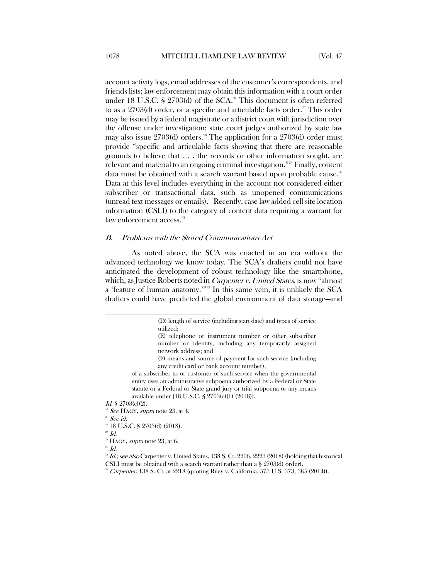account activity logs, email addresses of the customer's correspondents, and friends lists; law enforcement may obtain this information with a court order under 18 U.S.C. § 2703(d) of the SCA.<sup>[26](#page-7-1)</sup> This document is often referred to as a [27](#page-7-2)03(d) order, or a specific and articulable facts order.<sup>27</sup> This order may be issued by a federal magistrate or a district court with jurisdiction over the offense under investigation; state court judges authorized by state law may also issue  $2703(d)$  orders.<sup>[28](#page-7-3)</sup> The application for a  $2703(d)$  order must provide "specific and articulable facts showing that there are reasonable grounds to believe that . . . the records or other information sought, are relevant and material to an ongoing criminal investigation."[29](#page-7-4) Finally, content data must be obtained with a search warrant based upon probable cause.<sup>[30](#page-7-5)</sup> Data at this level includes everything in the account not considered either subscriber or transactional data, such as unopened communications (unread text messages or emails).<sup>[31](#page-7-6)</sup> Recently, case law added cell site location information (CSLI) to the category of content data requiring a warrant for law enforcement access.<sup>[32](#page-7-7)</sup>

#### <span id="page-7-0"></span>B. Problems with the Stored Communications Act

As noted above, the SCA was enacted in an era without the advanced technology we know today. The SCA's drafters could not have anticipated the development of robust technology like the smartphone, which, as Justice Roberts noted in *Carpenter v. United States*, is now "almost a 'feature of human anatomy.'"<sup>33</sup> In this same vein, it is unlikely the SCA drafters could have predicted the global environment of data storage—and

<span id="page-7-5"></span><span id="page-7-4"></span><span id="page-7-3"></span> $29$  Id.

<sup>(</sup>D) length of service (including start date) and types of service utilized;

<sup>(</sup>E) telephone or instrument number or other subscriber number or identity, including any temporarily assigned network address; and

<sup>(</sup>F) means and source of payment for such service (including any credit card or bank account number),

of a subscriber to or customer of such service when the governmental entity uses an administrative subpoena authorized by a Federal or State statute or a Federal or State grand jury or trial subpoena or any means available under [18 U.S.C. § 2703(c)(1) (2018)].

 $Id.$  § 2703(c)(2).

 $26$  See HAGY, supra note 23, at 4.

<span id="page-7-2"></span><span id="page-7-1"></span> $\degree$  See id.

<sup>&</sup>lt;sup>28</sup> 18 U.S.C. § 2703(d) (2018).

 $30$  HAGY, *supra* note 23, at 6.

 $^{31}$  Id.

<span id="page-7-8"></span><span id="page-7-7"></span><span id="page-7-6"></span><sup>&</sup>lt;sup>32</sup> Id.; see also Carpenter v. United States, 138 S. Ct. 2206, 2223 (2018) (holding that historical CSLI must be obtained with a search warrant rather than a § 2703(d) order).

Carpenter, 138 S. Ct. at 2218 (quoting Riley v. California, 573 U.S. 373, 385 (2014)).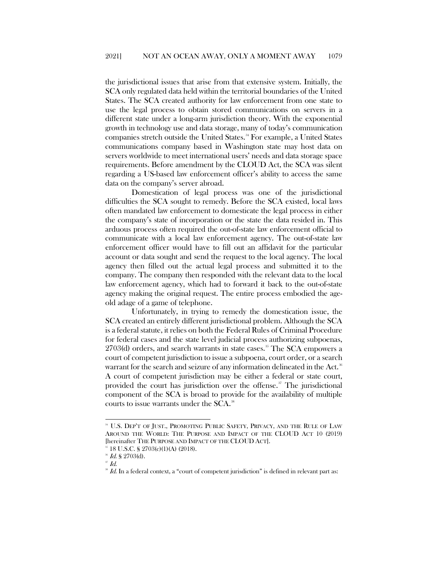the jurisdictional issues that arise from that extensive system. Initially, the SCA only regulated data held within the territorial boundaries of the United States. The SCA created authority for law enforcement from one state to use the legal process to obtain stored communications on servers in a different state under a long-arm jurisdiction theory. With the exponential growth in technology use and data storage, many of today's communication companies stretch outside the United States.<sup>[34](#page-8-0)</sup> For example, a United States communications company based in Washington state may host data on servers worldwide to meet international users' needs and data storage space requirements. Before amendment by the CLOUD Act, the SCA was silent regarding a US-based law enforcement officer's ability to access the same data on the company's server abroad.

Domestication of legal process was one of the jurisdictional difficulties the SCA sought to remedy. Before the SCA existed, local laws often mandated law enforcement to domesticate the legal process in either the company's state of incorporation or the state the data resided in. This arduous process often required the out-of-state law enforcement official to communicate with a local law enforcement agency. The out-of-state law enforcement officer would have to fill out an affidavit for the particular account or data sought and send the request to the local agency. The local agency then filled out the actual legal process and submitted it to the company. The company then responded with the relevant data to the local law enforcement agency, which had to forward it back to the out-of-state agency making the original request. The entire process embodied the ageold adage of a game of telephone.

Unfortunately, in trying to remedy the domestication issue, the SCA created an entirely different jurisdictional problem. Although the SCA is a federal statute, it relies on both the Federal Rules of Criminal Procedure for federal cases and the state level judicial process authorizing subpoenas,  $2703(d)$  orders, and search warrants in state cases.<sup>[35](#page-8-1)</sup> The SCA empowers a court of competent jurisdiction to issue a subpoena, court order, or a search warrant for the search and seizure of any information delineated in the Act. $^3$ A court of competent jurisdiction may be either a federal or state court, provided the court has jurisdiction over the offense.<sup>[37](#page-8-3)</sup> The jurisdictional component of the SCA is broad to provide for the availability of multiple courts to issue warrants under the SCA.<sup>[38](#page-8-4)</sup>

<span id="page-8-0"></span><sup>&</sup>lt;sup>34</sup> U.S. DEP'T OF JUST., PROMOTING PUBLIC SAFETY, PRIVACY, AND THE RULE OF LAW AROUND THE WORLD: THE PURPOSE AND IMPACT OF THE CLOUD ACT 10 (2019) [hereinafter THE PURPOSE AND IMPACT OF THE CLOUD ACT].

 $35$  18 U.S.C. § 2703(c)(1)(A) (2018).

<span id="page-8-2"></span><span id="page-8-1"></span> $^{36}$  Id. § 2703(d).

<span id="page-8-4"></span><span id="page-8-3"></span> $J/d.$ 

<sup>&</sup>lt;sup>38</sup> Id. In a federal context, a "court of competent jurisdiction" is defined in relevant part as: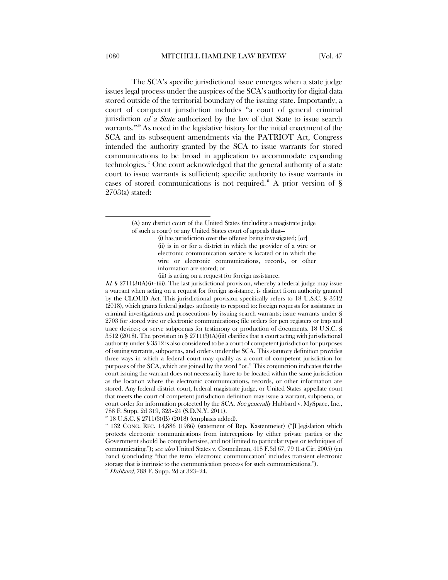The SCA's specific jurisdictional issue emerges when a state judge issues legal process under the auspices of the SCA's authority for digital data stored outside of the territorial boundary of the issuing state. Importantly, a court of competent jurisdiction includes "a court of general criminal jurisdiction of a State authorized by the law of that State to issue search warrants."<sup>[39](#page-9-0)</sup> As noted in the legislative history for the initial enactment of the SCA and its subsequent amendments via the PATRIOT Act, Congress intended the authority granted by the SCA to issue warrants for stored communications to be broad in application to accommodate expanding technologies.<sup>[40](#page-9-1)</sup> One court acknowledged that the general authority of a state court to issue warrants is sufficient; specific authority to issue warrants in cases of stored communications is not required.<sup>[41](#page-9-2)</sup> A prior version of  $\S$ 2703(a) stated:

Id. § 2711(3)(A)(i)–(iii). The last jurisdictional provision, whereby a federal judge may issue a warrant when acting on a request for foreign assistance, is distinct from authority granted by the CLOUD Act. This jurisdictional provision specifically refers to 18 U.S.C. § 3512 (2018), which grants federal judges authority to respond to: foreign requests for assistance in criminal investigations and prosecutions by issuing search warrants; issue warrants under § 2703 for stored wire or electronic communications; file orders for pen registers or trap and trace devices; or serve subpoenas for testimony or production of documents. 18 U.S.C. § 3512 (2018). The provision in § 2711(3)(A)(iii) clarifies that a court acting with jurisdictional authority under § 3512 is also considered to be a court of competent jurisdiction for purposes of issuing warrants, subpoenas, and orders under the SCA. This statutory definition provides three ways in which a federal court may qualify as a court of competent jurisdiction for purposes of the SCA, which are joined by the word "or." This conjunction indicates that the court issuing the warrant does not necessarily have to be located within the same jurisdiction as the location where the electronic communications, records, or other information are stored. Any federal district court, federal magistrate judge, or United States appellate court that meets the court of competent jurisdiction definition may issue a warrant, subpoena, or court order for information protected by the SCA. See generally Hubbard v. MySpace, Inc., 788 F. Supp. 2d 319, 323–24 (S.D.N.Y. 2011).

<sup>39</sup> 18 U.S.C. § 2711(3)(B) (2018) (emphasis added).

<span id="page-9-2"></span><sup>41</sup> Hubbard, 788 F. Supp. 2d at 323-24.

<sup>(</sup>A) any district court of the United States (including a magistrate judge of such a court) or any United States court of appeals that—

<sup>(</sup>i) has jurisdiction over the offense being investigated; [or] (ii) is in or for a district in which the provider of a wire or electronic communication service is located or in which the wire or electronic communications, records, or other information are stored; or

<sup>(</sup>iii) is acting on a request for foreign assistance.

<span id="page-9-1"></span><span id="page-9-0"></span><sup>&</sup>lt;sup>®</sup> 132 CONG. REC. 14,886 (1986) (statement of Rep. Kastenmeier) ("[L]egislation which protects electronic communications from interceptions by either private parties or the Government should be comprehensive, and not limited to particular types or techniques of communicating."); see also United States v. Councilman, 418 F.3d 67, 79 (1st Cir. 2005) (en banc) (concluding "that the term 'electronic communication' includes transient electronic storage that is intrinsic to the communication process for such communications.").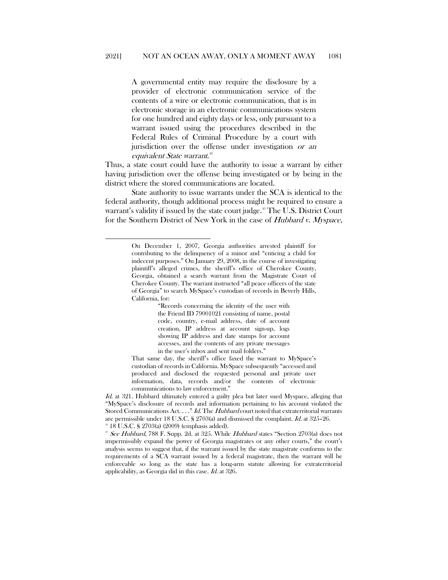A governmental entity may require the disclosure by a provider of electronic communication service of the contents of a wire or electronic communication, that is in electronic storage in an electronic communications system for one hundred and eighty days or less, only pursuant to a warrant issued using the procedures described in the Federal Rules of Criminal Procedure by a court with jurisdiction over the offense under investigation or an equivalent State warrant. [42](#page-10-0)

Thus, a state court could have the authority to issue a warrant by either having jurisdiction over the offense being investigated or by being in the district where the stored communications are located.

State authority to issue warrants under the SCA is identical to the federal authority, though additional process might be required to ensure a warrant's validity if issued by the state court judge.<sup>43</sup> The U.S. District Court for the Southern District of New York in the case of Hubbard v. Myspace,

 $\overline{a}$ 

"Records concerning the identity of the user with the Friend ID 79001021 consisting of name, postal code, country, e-mail address, date of account creation, IP address at account sign-up, logs showing IP address and date stamps for account accesses, and the contents of any private messages in the user's inbox and sent mail folders."

That same day, the sheriff's office faxed the warrant to MySpace's custodian of records in California. MySpace subsequently "accessed and produced and disclosed the requested personal and private user information, data, records and/or the contents of electronic communications to law enforcement."

On December 1, 2007, Georgia authorities arrested plaintiff for contributing to the delinquency of a minor and "enticing a child for indecent purposes." On January 29, 2008, in the course of investigating plaintiff's alleged crimes, the sheriff's office of Cherokee County, Georgia, obtained a search warrant from the Magistrate Court of Cherokee County. The warrant instructed "all peace officers of the state of Georgia" to search MySpace's custodian of records in Beverly Hills, California, for:

Id. at 321. Hubbard ultimately entered a guilty plea but later sued Myspace, alleging that "MySpace's disclosure of records and information pertaining to his account violated the Stored Communications Act. . . . " Id. The Hubbard court noted that extraterritorial warrants are permissible under 18 U.S.C. § 2703(a) and dismissed the complaint. Id. at 325–26.  $42$  18 U.S.C. § 2703(a) (2009) (emphasis added).

<span id="page-10-1"></span><span id="page-10-0"></span><sup>&</sup>lt;sup>8</sup> See Hubbard, 788 F. Supp. 2d. at 325. While Hubbard states "Section 2703(a) does not impermissibly expand the power of Georgia magistrates or any other courts," the court's analysis seems to suggest that, if the warrant issued by the state magistrate conforms to the requirements of a SCA warrant issued by a federal magistrate, then the warrant will be enforceable so long as the state has a long-arm statute allowing for extraterritorial applicability, as Georgia did in this case. Id. at 326.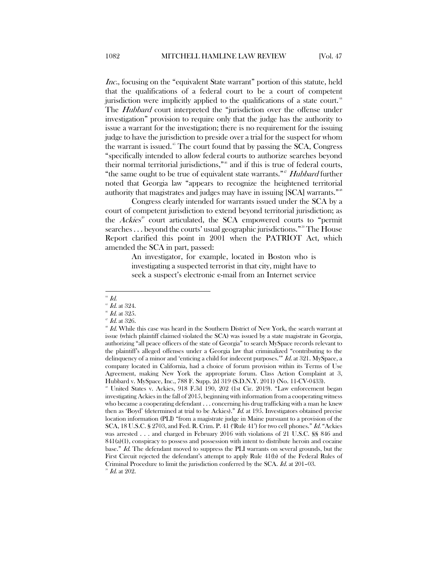Inc., focusing on the "equivalent State warrant" portion of this statute, held that the qualifications of a federal court to be a court of competent jurisdiction were implicitly applied to the qualifications of a state court.<sup>[44](#page-11-0)</sup> The *Hubbard* court interpreted the "jurisdiction over the offense under investigation" provision to require only that the judge has the authority to issue a warrant for the investigation; there is no requirement for the issuing judge to have the jurisdiction to preside over a trial for the suspect for whom the warrant is issued.<sup>[45](#page-11-1)</sup> The court found that by passing the SCA, Congress "specifically intended to allow federal courts to authorize searches beyond their normal territorial jurisdictions,"<sup>66</sup> and if this is true of federal courts, "the same ought to be true of equivalent state warrants." *Hubbard* further noted that Georgia law "appears to recognize the heightened territorial authority that magistrates and judges may have in issuing [SCA] warrants."<sup>[48](#page-11-4)</sup>

Congress clearly intended for warrants issued under the SCA by a court of competent jurisdiction to extend beyond territorial jurisdiction; as the  $Acknowled$  court articulated, the SCA empowered courts to "permit" searches . . . beyond the courts' usual geographic jurisdictions."<sup>[50](#page-11-6)</sup> The House Report clarified this point in 2001 when the PATRIOT Act, which amended the SCA in part, passed:

> An investigator, for example, located in Boston who is investigating a suspected terrorist in that city, might have to seek a suspect's electronic e-mail from an Internet service

<span id="page-11-6"></span><span id="page-11-5"></span> $\degree$  United States v. Ackies, 918 F.3d 190, 202 (1st Cir. 2019). "Law enforcement began investigating Ackies in the fall of 2015, beginning with information from a cooperating witness who became a cooperating defendant . . . concerning his drug trafficking with a man he knew then as 'Boyd' (determined at trial to be Ackies)." Id. at 195. Investigators obtained precise location information (PLI) "from a magistrate judge in Maine pursuant to a provision of the SCA, 18 U.S.C. § 2703, and Fed. R. Crim. P. 41 ('Rule 41') for two cell phones." Id. "Ackies was arrested . . . and charged in February 2016 with violations of 21 U.S.C. §§ 846 and 841(a)(1), conspiracy to possess and possession with intent to distribute heroin and cocaine base." Id. The defendant moved to suppress the PLI warrants on several grounds, but the First Circuit rejected the defendant's attempt to apply Rule 41(b) of the Federal Rules of Criminal Procedure to limit the jurisdiction conferred by the SCA. Id. at 201–03.  $Jd.$  at  $202$ .

<span id="page-11-1"></span><span id="page-11-0"></span> $44$  Id.

 $\mathbf{H}$  Id. at 324.

 $#$  Id. at 325.

 $\mathscr{I}$  Id. at 326.

<span id="page-11-4"></span><span id="page-11-3"></span><span id="page-11-2"></span><sup>&</sup>lt;sup>8</sup> Id. While this case was heard in the Southern District of New York, the search warrant at issue (which plaintiff claimed violated the SCA) was issued by a state magistrate in Georgia, authorizing "all peace officers of the state of Georgia" to search MySpace records relevant to the plaintiff's alleged offenses under a Georgia law that criminalized "contributing to the delinquency of a minor and 'enticing a child for indecent purposes." *Id.* at 321. MySpace, a company located in California, had a choice of forum provision within its Terms of Use Agreement, making New York the appropriate forum. Class Action Complaint at 3, Hubbard v. MySpace, Inc., 788 F. Supp. 2d 319 (S.D.N.Y. 2011) (No. 11-CV-0433).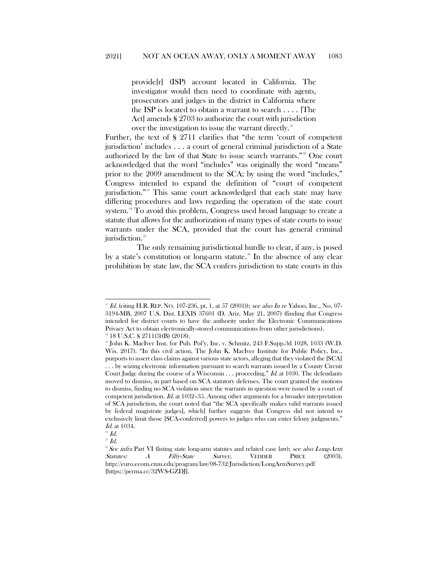provide[r] (ISP) account located in California. The investigator would then need to coordinate with agents, prosecutors and judges in the district in California where the ISP is located to obtain a warrant to search  $\dots$ . [The Act] amends § 2703 to authorize the court with jurisdiction over the investigation to issue the warrant directly.<sup>[51](#page-12-0)</sup>

Further, the text of § 2711 clarifies that "the term 'court of competent jurisdiction' includes . . . a court of general criminal jurisdiction of a State authorized by the law of that State to issue search warrants."<sup>[52](#page-12-1)</sup> One court acknowledged that the word "includes" was originally the word "means" prior to the 2009 amendment to the SCA; by using the word "includes," Congress intended to expand the definition of "court of competent jurisdiction."[53](#page-12-2) This same court acknowledged that each state may have differing procedures and laws regarding the operation of the state court system.<sup>[54](#page-12-3)</sup> To avoid this problem, Congress used broad language to create a statute that allows for the authorization of many types of state courts to issue warrants under the SCA, provided that the court has general criminal jurisdiction.<sup>[55](#page-12-4)</sup>

The only remaining jurisdictional hurdle to clear, if any, is posed by a state's constitution or long-arm statute.<sup>[56](#page-12-5)</sup> In the absence of any clear prohibition by state law, the SCA confers jurisdiction to state courts in this

<span id="page-12-0"></span>Id. (citing H.R. REP. NO. 107-236, pt. 1, at 57 (2001)); see also In re Yahoo, Inc., No. 07-3194-MB, 2007 U.S. Dist. LEXIS 37601 (D. Ariz. May 21, 2007) (finding that Congress intended for district courts to have the authority under the Electronic Communications Privacy Act to obtain electronically-stored communications from other jurisdictions).  $52$  18 U.S.C. § 2711(3)(B) (2018).

<span id="page-12-2"></span><span id="page-12-1"></span><sup>53</sup> John K. MacIver Inst. for Pub. Pol'y, Inc. v. Schmitz, 243 F.Supp.3d 1028, 1033 (W.D. Wis. 2017). "In this civil action, The John K. MacIver Institute for Public Policy, Inc., purports to assert class claims against various state actors, alleging that they violated the [SCA] . . . by seizing electronic information pursuant to search warrants issued by a County Circuit Court Judge during the course of a Wisconsin . . . proceeding." *Id.* at 1030. The defendants moved to dismiss, in part based on SCA statutory defenses. The court granted the motions to dismiss, finding no SCA violation since the warrants in question were issued by a court of competent jurisdiction. Id. at 1032–35. Among other arguments for a broader interpretation of SCA jurisdiction, the court noted that "the SCA specifically makes valid warrants issued by federal magistrate judges[, which] further suggests that Congress did not intend to exclusively limit those [SCA-conferred] powers to judges who can enter felony judgments."

Id. at 1034. <sup>54</sup> Id.

<span id="page-12-4"></span><span id="page-12-3"></span> $^{55}$   $Id.$ 

<span id="page-12-5"></span><sup>&</sup>lt;sup>56</sup> See infra Part VI (listing state long-arm statutes and related case law); see also Long-Arm Statutes: A Fifty-State Survey, VEDDER PRICE (2003), http://euro.ecom.cmu.edu/program/law/08-732/Jurisdiction/LongArmSurvey.pdf [https://perma.cc/32WS-GZDJ].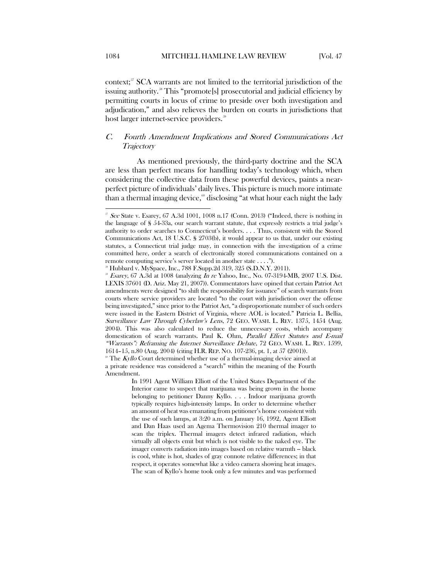context;<sup>[57](#page-13-1)</sup> SCA warrants are not limited to the territorial jurisdiction of the issuing authority.<sup>38</sup> This "promote[s] prosecutorial and judicial efficiency by permitting courts in locus of crime to preside over both investigation and adjudication," and also relieves the burden on courts in jurisdictions that host larger internet-service providers.<sup>[59](#page-13-3)</sup>

### <span id="page-13-0"></span>C. Fourth Amendment Implications and Stored Communications Act Trajectory

As mentioned previously, the third-party doctrine and the SCA are less than perfect means for handling today's technology which, when considering the collective data from these powerful devices, paints a nearperfect picture of individuals' daily lives. This picture is much more intimate than a thermal imaging device,<sup> $\degree$ </sup> disclosing "at what hour each night the lady

In 1991 Agent William Elliott of the United States Department of the Interior came to suspect that marijuana was being grown in the home belonging to petitioner Danny Kyllo. . . . Indoor marijuana growth typically requires high-intensity lamps. In order to determine whether an amount of heat was emanating from petitioner's home consistent with the use of such lamps, at 3:20 a.m. on January 16, 1992, Agent Elliott and Dan Haas used an Agema Thermovision 210 thermal imager to scan the triplex. Thermal imagers detect infrared radiation, which virtually all objects emit but which is not visible to the naked eye. The imager converts radiation into images based on relative warmth -- black is cool, white is hot, shades of gray connote relative differences; in that respect, it operates somewhat like a video camera showing heat images. The scan of Kyllo's home took only a few minutes and was performed

<span id="page-13-1"></span>See State v. Esarey, 67 A.3d 1001, 1008 n.17 (Conn. 2013) ("Indeed, there is nothing in the language of § 54-33a, our search warrant statute, that expressly restricts a trial judge's authority to order searches to Connecticut's borders. . . . Thus, consistent with the Stored Communications Act, 18 U.S.C. § 2703(b), it would appear to us that, under our existing statutes, a Connecticut trial judge may, in connection with the investigation of a crime committed here, order a search of electronically stored communications contained on a remote computing service's server located in another state . . . .").

<sup>&</sup>lt;sup>38</sup> Hubbard v. MySpace, Inc., 788 F.Supp.2d 319, 325 (S.D.N.Y. 2011).

<span id="page-13-3"></span><span id="page-13-2"></span> $\frac{56}{3}$  Esarey, 67 A.3d at 1008 (analyzing In re Yahoo, Inc., No. 07-3194-MB, 2007 U.S. Dist. LEXIS 37601 (D. Ariz. May 21, 2007)). Commentators have opined that certain Patriot Act amendments were designed "to shift the responsibility for issuance" of search warrants from courts where service providers are located "to the court with jurisdiction over the offense being investigated," since prior to the Patriot Act, "a disproportionate number of such orders were issued in the Eastern District of Virginia, where AOL is located." Patricia L. Bellia, Surveillance Law Through Cyberlaw's Lens, 72 GEO. WASH. L. REV. 1375, 1454 (Aug. 2004). This was also calculated to reduce the unnecessary costs, which accompany domestication of search warrants. Paul K. Ohm, Parallel Effect Statutes and E-mail "Warrants": Reframing the Internet Surveillance Debate, 72 GEO. WASH. L. REV. 1599, 1614–15, n.80 (Aug. 2004) (citing H.R. REP. NO. 107-236, pt. 1, at 57 (2001)).

<span id="page-13-4"></span> $60$  The Kyllo Court determined whether use of a thermal-imaging device aimed at a private residence was considered a "search" within the meaning of the Fourth Amendment.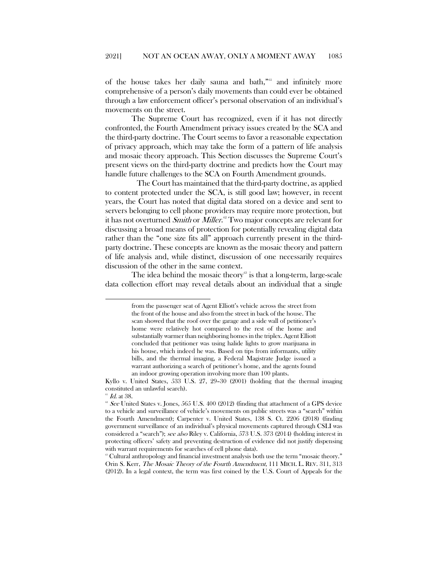of the house takes her daily sauna and bath,"[61](#page-14-0) and infinitely more comprehensive of a person's daily movements than could ever be obtained through a law enforcement officer's personal observation of an individual's movements on the street.

The Supreme Court has recognized, even if it has not directly confronted, the Fourth Amendment privacy issues created by the SCA and the third-party doctrine. The Court seems to favor a reasonable expectation of privacy approach, which may take the form of a pattern of life analysis and mosaic theory approach. This Section discusses the Supreme Court's present views on the third-party doctrine and predicts how the Court may handle future challenges to the SCA on Fourth Amendment grounds.

The Court has maintained that the third-party doctrine, as applied to content protected under the SCA, is still good law; however, in recent years, the Court has noted that digital data stored on a device and sent to servers belonging to cell phone providers may require more protection, but it has not overturned  ${\it Smith}$  or  ${\it Miller.} ^\circ$  Two major concepts are relevant for discussing a broad means of protection for potentially revealing digital data rather than the "one size fits all" approach currently present in the thirdparty doctrine. These concepts are known as the mosaic theory and pattern of life analysis and, while distinct, discussion of one necessarily requires discussion of the other in the same context.

The idea behind the mosaic theory<sup>[63](#page-14-2)</sup> is that a long-term, large-scale data collection effort may reveal details about an individual that a single

 $61$  Id. at 38.

from the passenger seat of Agent Elliott's vehicle across the street from the front of the house and also from the street in back of the house. The scan showed that the roof over the garage and a side wall of petitioner's home were relatively hot compared to the rest of the home and substantially warmer than neighboring homes in the triplex. Agent Elliott concluded that petitioner was using halide lights to grow marijuana in his house, which indeed he was. Based on tips from informants, utility bills, and the thermal imaging, a Federal Magistrate Judge issued a warrant authorizing a search of petitioner's home, and the agents found an indoor growing operation involving more than 100 plants.

Kyllo v. United States, 533 U.S. 27, 29–30 (2001) (holding that the thermal imaging constituted an unlawful search).

<span id="page-14-1"></span><span id="page-14-0"></span> $E^{\omega}$  See United States v. Jones, 565 U.S. 400 (2012) (finding that attachment of a GPS device to a vehicle and surveillance of vehicle's movements on public streets was a "search" within the Fourth Amendment); Carpenter v. United States, 138 S. Ct. 2206 (2018) (finding government surveillance of an individual's physical movements captured through CSLI was considered a "search"); see also Riley v. California, 573 U.S. 373 (2014) (holding interest in protecting officers' safety and preventing destruction of evidence did not justify dispensing with warrant requirements for searches of cell phone data).<br><sup>®</sup> Cultural anthropology and financial investment analysis both use the term "mosaic theory."

<span id="page-14-2"></span>Orin S. Kerr, The Mosaic Theory of the Fourth Amendment, 111 MICH. L. REV. 311, 313 (2012). In a legal context, the term was first coined by the U.S. Court of Appeals for the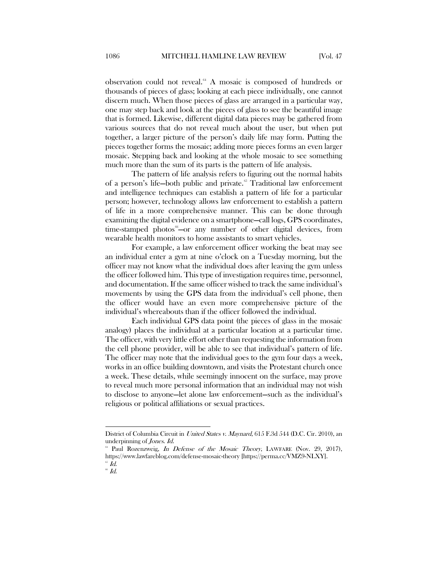observation could not reveal.[64](#page-15-0) A mosaic is composed of hundreds or thousands of pieces of glass; looking at each piece individually, one cannot discern much. When those pieces of glass are arranged in a particular way, one may step back and look at the pieces of glass to see the beautiful image that is formed. Likewise, different digital data pieces may be gathered from various sources that do not reveal much about the user, but when put together, a larger picture of the person's daily life may form. Putting the pieces together forms the mosaic; adding more pieces forms an even larger mosaic. Stepping back and looking at the whole mosaic to see something much more than the sum of its parts is the pattern of life analysis.

The pattern of life analysis refers to figuring out the normal habits of a person's life—both public and private.<sup>[65](#page-15-1)</sup> Traditional law enforcement and intelligence techniques can establish a pattern of life for a particular person; however, technology allows law enforcement to establish a pattern of life in a more comprehensive manner. This can be done through examining the digital evidence on a smartphone—call logs, GPS coordinates, time-stamped photos<sup>[66](#page-15-2)</sup>-or any number of other digital devices, from wearable health monitors to home assistants to smart vehicles.

For example, a law enforcement officer working the beat may see an individual enter a gym at nine o'clock on a Tuesday morning, but the officer may not know what the individual does after leaving the gym unless the officer followed him. This type of investigation requires time, personnel, and documentation. If the same officer wished to track the same individual's movements by using the GPS data from the individual's cell phone, then the officer would have an even more comprehensive picture of the individual's whereabouts than if the officer followed the individual.

Each individual GPS data point (the pieces of glass in the mosaic analogy) places the individual at a particular location at a particular time. The officer, with very little effort other than requesting the information from the cell phone provider, will be able to see that individual's pattern of life. The officer may note that the individual goes to the gym four days a week, works in an office building downtown, and visits the Protestant church once a week. These details, while seemingly innocent on the surface, may prove to reveal much more personal information that an individual may not wish to disclose to anyone—let alone law enforcement—such as the individual's religious or political affiliations or sexual practices.

District of Columbia Circuit in United States v. Maynard, 615 F.3d 544 (D.C. Cir. 2010), an underpinning of Jones. Id.

<span id="page-15-0"></span> $64$  Paul Rozenzweig, In Defense of the Mosaic Theory, LAWFARE (Nov. 29, 2017), https://www.lawfareblog.com/defense-mosaic-theory [https://perma.cc/VMZ9-NLXY].

 $^\mathrm{\scriptscriptstyle{65}}$   $Id.$ 

<span id="page-15-2"></span><span id="page-15-1"></span> $66$   $Id.$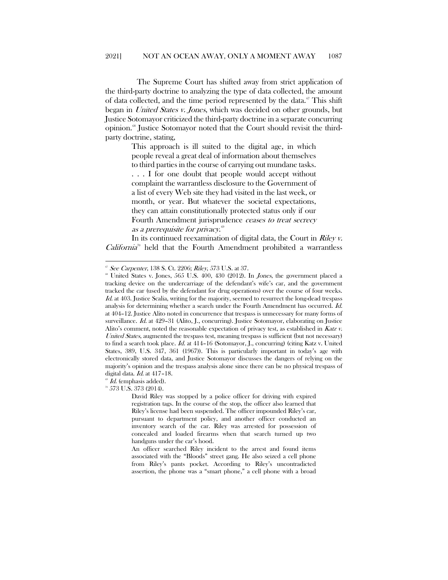The Supreme Court has shifted away from strict application of the third-party doctrine to analyzing the type of data collected, the amount of data collected, and the time period represented by the data. $\sigma$  This shift began in United States v. Jones, which was decided on other grounds, but Justice Sotomayor criticized the third-party doctrine in a separate concurring opinion.[68](#page-16-1) Justice Sotomayor noted that the Court should revisit the thirdparty doctrine, stating,

> This approach is ill suited to the digital age, in which people reveal a great deal of information about themselves to third parties in the course of carrying out mundane tasks. . . . I for one doubt that people would accept without complaint the warrantless disclosure to the Government of a list of every Web site they had visited in the last week, or month, or year. But whatever the societal expectations, they can attain constitutionally protected status only if our Fourth Amendment jurisprudence *ceases to treat secrecy* as a prerequisite for privacy. $^\circ$

In its continued reexamination of digital data, the Court in Riley v. *California*<sup> $\circ$ </sup> held that the Fourth Amendment prohibited a warrantless

 $\degree$  See Carpenter, 138 S. Ct. 2206; Riley, 573 U.S. at 37.

<span id="page-16-1"></span><span id="page-16-0"></span><sup>&</sup>lt;sup>®</sup> United States v. Jones, 565 U.S. 400, 430 (2012). In *Jones*, the government placed a tracking device on the undercarriage of the defendant's wife's car, and the government tracked the car (used by the defendant for drug operations) over the course of four weeks. Id. at 403. Justice Scalia, writing for the majority, seemed to resurrect the long-dead trespass analysis for determining whether a search under the Fourth Amendment has occurred. Id. at 404–12. Justice Alito noted in concurrence that trespass is unnecessary for many forms of surveillance. *Id.* at 429–31 (Alito, J., concurring). Justice Sotomayor, elaborating on Justice Alito's comment, noted the reasonable expectation of privacy test, as established in  $Katz$  v. United States, augmented the trespass test, meaning trespass is sufficient (but not necessary) to find a search took place. Id. at 414–16 (Sotomayor, J., concurring) (citing Katz v. United States, 389, U.S. 347, 361 (1967)). This is particularly important in today's age with electronically stored data, and Justice Sotomayor discusses the dangers of relying on the majority's opinion and the trespass analysis alone since there can be no physical trespass of digital data. Id. at 417–18.

 $\partial^{\omega}$  Id. (emphasis added).

<span id="page-16-3"></span><span id="page-16-2"></span><sup>70</sup> 573 U.S. 373 (2014).

David Riley was stopped by a police officer for driving with expired registration tags. In the course of the stop, the officer also learned that Riley's license had been suspended. The officer impounded Riley's car, pursuant to department policy, and another officer conducted an inventory search of the car. Riley was arrested for possession of concealed and loaded firearms when that search turned up two handguns under the car's hood.

An officer searched Riley incident to the arrest and found items associated with the "Bloods" street gang. He also seized a cell phone from Riley's pants pocket. According to Riley's uncontradicted assertion, the phone was a "smart phone," a cell phone with a broad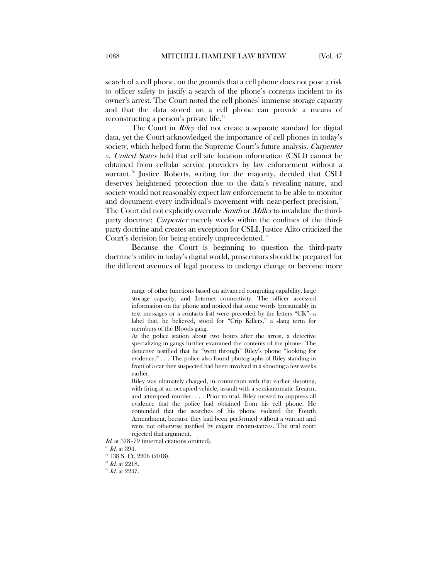search of a cell phone, on the grounds that a cell phone does not pose a risk to officer safety to justify a search of the phone's contents incident to its owner's arrest. The Court noted the cell phones' immense storage capacity and that the data stored on a cell phone can provide a means of reconstructing a person's private life.<sup>[71](#page-17-0)</sup>

The Court in *Riley* did not create a separate standard for digital data, yet the Court acknowledged the importance of cell phones in today's society, which helped form the Supreme Court's future analysis. Carpenter v. United States held that cell site location information (CSLI) cannot be obtained from cellular service providers by law enforcement without a warrant.<sup>[72](#page-17-1)</sup> Justice Roberts, writing for the majority, decided that CSLI deserves heightened protection due to the data's revealing nature, and society would not reasonably expect law enforcement to be able to monitor and document every individual's movement with near-perfect precision.<sup>[73](#page-17-2)</sup> The Court did not explicitly overrule *Smith* or *Miller* to invalidate the thirdparty doctrine; Carpenter merely works within the confines of the thirdparty doctrine and creates an exception for CSLI. Justice Alito criticized the Court's decision for being entirely unprecedented.<sup>[74](#page-17-3)</sup>

Because the Court is beginning to question the third-party doctrine's utility in today's digital world, prosecutors should be prepared for the different avenues of legal process to undergo change or become more

range of other functions based on advanced computing capability, large storage capacity, and Internet connectivity. The officer accessed information on the phone and noticed that some words (presumably in text messages or a contacts list) were preceded by the letters "CK"—a label that, he believed, stood for "Crip Killers," a slang term for members of the Bloods gang.

At the police station about two hours after the arrest, a detective specializing in gangs further examined the contents of the phone. The detective testified that he "went through" Riley's phone "looking for evidence." . . . The police also found photographs of Riley standing in front of a car they suspected had been involved in a shooting a few weeks earlier.

Riley was ultimately charged, in connection with that earlier shooting, with firing at an occupied vehicle, assault with a semiautomatic firearm, and attempted murder. . . . Prior to trial, Riley moved to suppress all evidence that the police had obtained from his cell phone. He contended that the searches of his phone violated the Fourth Amendment, because they had been performed without a warrant and were not otherwise justified by exigent circumstances. The trial court rejected that argument.

<span id="page-17-0"></span>Id. at 378-79 (internal citations omitted).

 $\overline{7}$  Id. at 394.

 $^{\rm n}$  138 S. Ct. 2206 (2018).

<span id="page-17-2"></span><span id="page-17-1"></span> $\overline{5}$  Id. at 2218.

<span id="page-17-3"></span> $^{\rm n}$   $\emph{Id.}$  at 2247.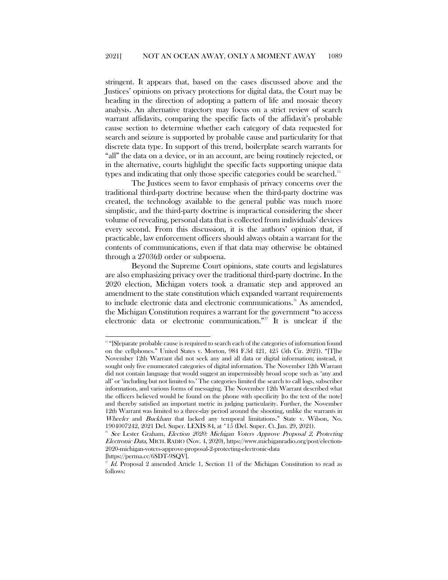stringent. It appears that, based on the cases discussed above and the Justices' opinions on privacy protections for digital data, the Court may be heading in the direction of adopting a pattern of life and mosaic theory analysis. An alternative trajectory may focus on a strict review of search warrant affidavits, comparing the specific facts of the affidavit's probable cause section to determine whether each category of data requested for search and seizure is supported by probable cause and particularity for that discrete data type. In support of this trend, boilerplate search warrants for "all" the data on a device, or in an account, are being routinely rejected, or in the alternative, courts highlight the specific facts supporting unique data types and indicating that only those specific categories could be searched.<sup>[75](#page-18-0)</sup>

The Justices seem to favor emphasis of privacy concerns over the traditional third-party doctrine because when the third-party doctrine was created, the technology available to the general public was much more simplistic, and the third-party doctrine is impractical considering the sheer volume of revealing, personal data that is collected from individuals' devices every second. From this discussion, it is the authors' opinion that, if practicable, law enforcement officers should always obtain a warrant for the contents of communications, even if that data may otherwise be obtained through a 2703(d) order or subpoena.

Beyond the Supreme Court opinions, state courts and legislatures are also emphasizing privacy over the traditional third-party doctrine. In the 2020 election, Michigan voters took a dramatic step and approved an amendment to the state constitution which expanded warrant requirements to include electronic data and electronic communications.<sup>[76](#page-18-1)</sup> As amended, the Michigan Constitution requires a warrant for the government "to access electronic data or electronic communication."<sup>[77](#page-18-2)</sup> It is unclear if the

<span id="page-18-0"></span> <sup>75</sup> "[S]eparate probable cause is required to search each of the categories of information found on the cellphones." United States v. Morton, 984 F.3d 421, 425 (5th Cir. 2021). "[T]he November 12th Warrant did not seek any and all data or digital information; instead, it sought only five enumerated categories of digital information. The November 12th Warrant did not contain language that would suggest an impermissibly broad scope such as 'any and all' or 'including but not limited to.' The categories limited the search to call logs, subscriber information, and various forms of messaging. The November 12th Warrant described what the officers believed would be found on the phone with specificity [to the text of the note] and thereby satisfied an important metric in judging particularity. Further, the November 12th Warrant was limited to a three-day period around the shooting, unlike the warrants in Wheeler and Buckham that lacked any temporal limitations." State v. Wilson, No. 1904007242, 2021 Del. Super. LEXIS 84, at \*15 (Del. Super. Ct. Jan. 29, 2021).

<span id="page-18-1"></span><sup>&</sup>lt;sup>6</sup> See Lester Graham, *Election 2020: Michigan Voters Approve Proposal 2, Protecting* Electronic Data, MICH. RADIO (Nov. 4, 2020), https://www.michiganradio.org/post/election-2020-michigan-voters-approve-proposal-2-protecting-electronic-data

<sup>[</sup>https://perma.cc/6SDT-9SQV].

<span id="page-18-2"></span>Id. Proposal 2 amended Article 1, Section 11 of the Michigan Constitution to read as follows: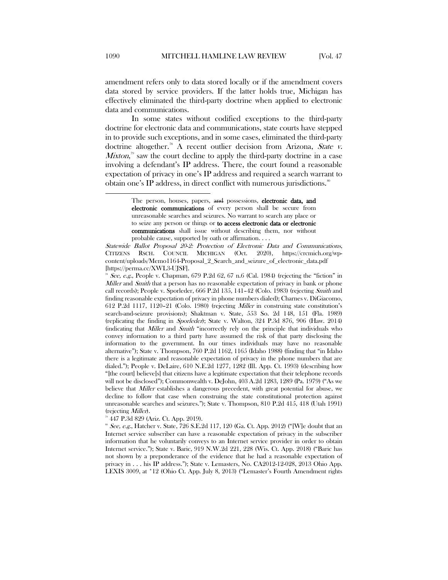amendment refers only to data stored locally or if the amendment covers data stored by service providers. If the latter holds true, Michigan has effectively eliminated the third-party doctrine when applied to electronic data and communications.

In some states without codified exceptions to the third-party doctrine for electronic data and communications, state courts have stepped in to provide such exceptions, and in some cases, eliminated the third-party doctrine altogether.<sup>[78](#page-19-0)</sup> A recent outlier decision from Arizona, State v. *Mixton*,<sup> $\alpha$ </sup> saw the court decline to apply the third-party doctrine in a case involving a defendant's IP address. There, the court found a reasonable expectation of privacy in one's IP address and required a search warrant to obtain one's IP address, in direct conflict with numerous jurisdictions.<sup>[80](#page-19-2)</sup>

<sup>79</sup> 447 P.3d 829 (Ariz. Ct. App. 2019).

<span id="page-19-2"></span><span id="page-19-1"></span> $80$  See, e.g., Hatcher v. State, 726 S.E.2d 117, 120 (Ga. Ct. App. 2012) ("[W]e doubt that an Internet service subscriber can have a reasonable expectation of privacy in the subscriber information that he voluntarily conveys to an Internet service provider in order to obtain Internet service."); State v. Baric, 919 N.W.2d 221, 228 (Wis. Ct. App. 2018) ("Baric has not shown by a preponderance of the evidence that he had a reasonable expectation of privacy in . . . his IP address."); State v. Lemasters, No. CA2012-12-028, 2013 Ohio App. LEXIS 3009, at \*12 (Ohio Ct. App. July 8, 2013) ("Lemaster's Fourth Amendment rights

The person, houses, papers, and possessions, electronic data, and electronic communications of every person shall be secure from unreasonable searches and seizures. No warrant to search any place or to seize any person or things or to access electronic data or electronic communications shall issue without describing them, nor without probable cause, supported by oath or affirmation. . . .

Statewide Ballot Proposal 20-2: Protection of Electronic Data and Communications, CITIZENS RSCH. COUNCIL MICHIGAN (Oct. 2020), https://crcmich.org/wpcontent/uploads/Memo1164-Proposal\_2\_Search\_and\_seizure\_of\_electronic\_data.pdf [https://perma.cc/XWL3-UJSF].

<span id="page-19-0"></span><sup>&</sup>lt;sup>8</sup> See, e.g., People v. Chapman, 679 P.2d 62, 67 n.6 (Cal. 1984) (rejecting the "fiction" in *Miller* and *Smith* that a person has no reasonable expectation of privacy in bank or phone call records); People v. Sporleder, 666 P.2d 135, 141–42 (Colo. 1983) (rejecting Smith and finding reasonable expectation of privacy in phone numbers dialed); Charnes v. DiGiacomo, 612 P.2d 1117, 1120–21 (Colo. 1980) (rejecting Miller in construing state constitution's search-and-seizure provisions); Shaktman v. State, 553 So. 2d 148, 151 (Fla. 1989) (replicating the finding in Sporleder); State v. Walton, 324 P.3d 876, 906 (Haw. 2014) (indicating that Miller and Smith "incorrectly rely on the principle that individuals who convey information to a third party have assumed the risk of that party disclosing the information to the government. In our times individuals may have no reasonable alternative"); State v. Thompson, 760 P.2d 1162, 1165 (Idaho 1988) (finding that "in Idaho there is a legitimate and reasonable expectation of privacy in the phone numbers that are dialed."); People v. DeLaire, 610 N.E.2d 1277, 1282 (Ill. App. Ct. 1993) (describing how "[the court] believe[s] that citizens have a legitimate expectation that their telephone records will not be disclosed"); Commonwealth v. DeJohn, 403 A.2d 1283, 1289 (Pa. 1979) ("As we believe that *Miller* establishes a dangerous precedent, with great potential for abuse, we decline to follow that case when construing the state constitutional protection against unreasonable searches and seizures."); State v. Thompson, 810 P.2d 415, 418 (Utah 1991) (rejecting Miller).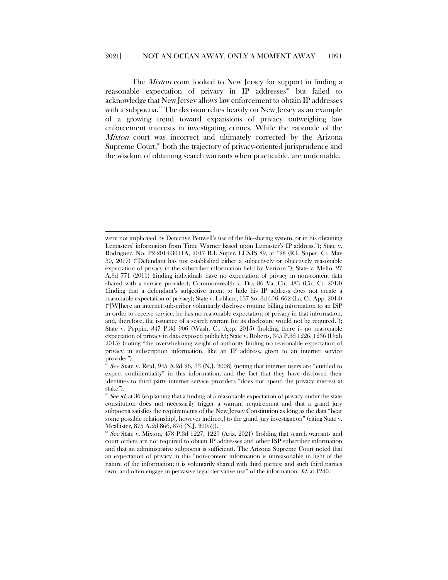The *Mixton* court looked to New Jersey for support in finding a reasonable expectation of privacy in  $IP$  addresses<sup>[81](#page-20-0)</sup> but failed to acknowledge that New Jersey allows law enforcement to obtain IP addresses with a subpoena.<sup>[82](#page-20-1)</sup> The decision relies heavily on New Jersey as an example of a growing trend toward expansions of privacy outweighing law enforcement interests in investigating crimes. While the rationale of the Mixton court was incorrect and ultimately corrected by the Arizona Supreme Court,<sup>[83](#page-20-2)</sup> both the trajectory of privacy-oriented jurisprudence and the wisdom of obtaining search warrants when practicable, are undeniable.

were not implicated by Detective Penwell's use of the file-sharing system, or in his obtaining Lemasters' information from Time Warner based upon Lemaster's IP address."); State v. Rodriguez, No. P2-2014-3011A, 2017 R.I. Super. LEXIS 89, at \*28 (R.I. Super. Ct. May 30, 2017) ("Defendant has not established either a subjectively or objectively reasonable expectation of privacy in the subscriber information held by Verizon."); State v. Mello, 27 A.3d 771 (2011) (finding individuals have no expectation of privacy in non-content data shared with a service provider); Commonwealth v. Do, 86 Va. Cir. 483 (Cir. Ct. 2013) (finding that a defendant's subjective intent to hide his IP address does not create a reasonable expectation of privacy); State v. Leblanc, 137 So. 3d 656, 662 (La. Ct. App. 2014) ("[W]here an internet subscriber voluntarily discloses routine billing information to an ISP in order to receive service, he has no reasonable expectation of privacy in that information, and, therefore, the issuance of a search warrant for its disclosure would not be required."); State v. Peppin, 347 P.3d 906 (Wash. Ct. App. 2015) (holding there is no reasonable expectation of privacy in data exposed publicly); State v. Roberts, 345 P.3d 1226, 1236 (Utah 2015) (noting "the overwhelming weight of authority finding no reasonable expectation of privacy in subscription information, like an IP address, given to an internet service provider").

<span id="page-20-0"></span> $\frac{3}{8}$  See State v. Reid, 945 A.2d 26, 33 (N.J. 2008) (noting that internet users are "entitled to expect confidentiality" in this information, and the fact that they have disclosed their identities to third party internet service providers "does not upend the privacy interest at stake").

<span id="page-20-1"></span> $\frac{82}{10}$  See id. at 36 (explaining that a finding of a reasonable expectation of privacy under the state constitution does not necessarily trigger a warrant requirement and that a grand jury subpoena satisfies the requirements of the New Jersey Constitution as long as the data "bear some possible relationship[, however indirect,] to the grand jury investigation" (citing State v.

<span id="page-20-2"></span>Mcallister, 875 A.2d 866, 876 (N.J. 2005))). <sup>83</sup> See State v. Mixton, 478 P.3d 1227, 1229 (Ariz. 2021) (holding that search warrants and court orders are not required to obtain IP addresses and other ISP subscriber information and that an administrative subpoena is sufficient). The Arizona Supreme Court noted that an expectation of privacy in this "non-content information is unreasonable in light of the nature of the information; it is voluntarily shared with third parties; and such third parties own, and often engage in pervasive legal derivative use" of the information. Id. at 1240.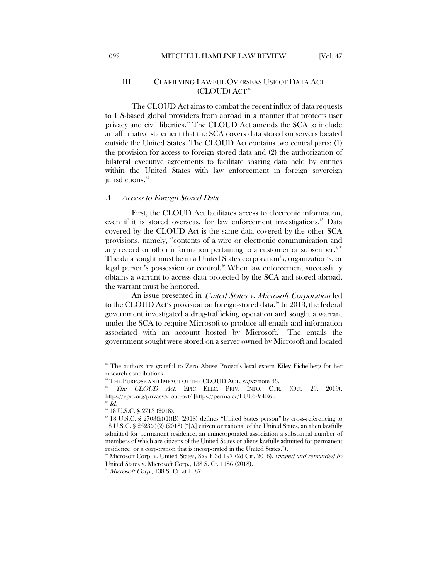### <span id="page-21-0"></span>III. CLARIFYING LAWFUL OVERSEAS USE OF DATA ACT (CLOUD) ACT[84](#page-21-2)

The CLOUD Act aims to combat the recent influx of data requests to US-based global providers from abroad in a manner that protects user privacy and civil liberties.<sup>[85](#page-21-3)</sup> The CLOUD Act amends the SCA to include an affirmative statement that the SCA covers data stored on servers located outside the United States. The CLOUD Act contains two central parts: (1) the provision for access to foreign stored data and (2) the authorization of bilateral executive agreements to facilitate sharing data held by entities within the United States with law enforcement in foreign sovereign jurisdictions.<sup>[86](#page-21-4)</sup>

#### <span id="page-21-1"></span>A. Access to Foreign Stored Data

First, the CLOUD Act facilitates access to electronic information, even if it is stored overseas, for law enforcement investigations.<sup>[87](#page-21-5)</sup> Data covered by the CLOUD Act is the same data covered by the other SCA provisions, namely, "contents of a wire or electronic communication and any record or other information pertaining to a customer or subscriber."<sup>[88](#page-21-6)</sup> The data sought must be in a United States corporation's, organization's, or legal person's possession or control.<sup>[89](#page-21-7)</sup> When law enforcement successfully obtains a warrant to access data protected by the SCA and stored abroad, the warrant must be honored.

An issue presented in *United States v. Microsoft Corporation* led to the CLOUD Act's provision on foreign-stored data.<sup>[90](#page-21-8)</sup> In 2013, the federal government investigated a drug-trafficking operation and sought a warrant under the SCA to require Microsoft to produce all emails and information associated with an account hosted by Microsoft.<sup>[91](#page-21-9)</sup> The emails the government sought were stored on a server owned by Microsoft and located

<span id="page-21-5"></span> $\mathscr{L}$  Id.

<span id="page-21-2"></span><sup>&</sup>lt;sup>84</sup> The authors are grateful to Zero Abuse Project's legal extern Kiley Eichelberg for her research contributions.

<sup>&</sup>lt;sup>85</sup> THE PURPOSE AND IMPACT OF THE CLOUD ACT, supra note 36.

<span id="page-21-4"></span><span id="page-21-3"></span> $86$  The CLOUD Act[,](https://epic.org/privacy/cloud-act/) EPIC ELEC. PRIV. INFO. CTR. (Oct. 29, 2019), https://epic.org/privacy/cloud-act/ [https://perma.cc/LUL6-V4E6].

<sup>88</sup> 18 U.S.C. § 2713 (2018).

<span id="page-21-7"></span><span id="page-21-6"></span> $8$  18 U.S.C. § 2703(h)(1)(B) (2018) defines "United States person" by cross-referencing to 18 U.S.C. § 2523(a)(2) (2018) ("[A] citizen or national of the United States, an alien lawfully admitted for permanent residence, an unincorporated association a substantial number of members of which are citizens of the United States or aliens lawfully admitted for permanent residence, or a corporation that is incorporated in the United States.").

<span id="page-21-8"></span>Microsoft Corp. v. United States, 829 F.3d 197 (2d Cir. 2016), vacated and remanded by United States v. Microsoft Corp., 138 S. Ct. 1186 (2018).

<span id="page-21-9"></span> $91$  Microsoft Corp., 138 S. Ct. at 1187.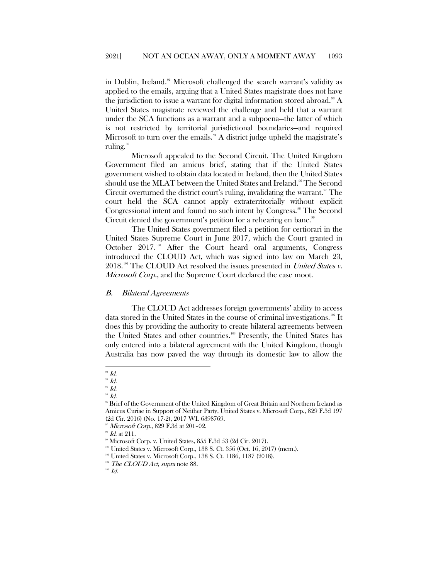in Dublin, Ireland.<sup>92</sup> Microsoft challenged the search warrant's validity as applied to the emails, arguing that a United States magistrate does not have the jurisdiction to issue a warrant for digital information stored abroad.<sup>33</sup> A United States magistrate reviewed the challenge and held that a warrant under the SCA functions as a warrant and a subpoena—the latter of which is not restricted by territorial jurisdictional boundaries—and required Microsoft to turn over the emails.<sup>[94](#page-22-3)</sup> A district judge upheld the magistrate's ruling.<sup>[95](#page-22-4)</sup>

Microsoft appealed to the Second Circuit. The United Kingdom Government filed an amicus brief, stating that if the United States government wished to obtain data located in Ireland, then the United States should use the MLAT between the United States and Ireland.<sup>[96](#page-22-5)</sup> The Second Circuit overturned the district court's ruling, invalidating the warrant. $\mathscr{I}$  The court held the SCA cannot apply extraterritorially without explicit Congressional intent and found no such intent by Congress.<sup>[98](#page-22-7)</sup> The Second Circuit denied the government's petition for a rehearing en banc.<sup>[99](#page-22-8)</sup>

The United States government filed a petition for certiorari in the United States Supreme Court in June 2017, which the Court granted in October  $2017.^{100}$  $2017.^{100}$  $2017.^{100}$  After the Court heard oral arguments, Congress introduced the CLOUD Act, which was signed into law on March 23, 2018.<sup>[101](#page-22-10)</sup> The CLOUD Act resolved the issues presented in *United States v.* Microsoft Corp., and the Supreme Court declared the case moot.

#### <span id="page-22-0"></span>B. Bilateral Agreements

The CLOUD Act addresses foreign governments' ability to access data stored in the United States in the course of criminal investigations.<sup>[102](#page-22-11)</sup> It does this by providing the authority to create bilateral agreements between the United States and other countries.<sup>103</sup> Presently, the United States has only entered into a bilateral agreement with the United Kingdom, though Australia has now paved the way through its domestic law to allow the

 $95$   $Id.$ 

<span id="page-22-8"></span><span id="page-22-7"></span><span id="page-22-6"></span> $M$ . at 211.

<span id="page-22-1"></span> $\overline{\phantom{a}}$  $92$  Id.

 $^{93}$  Id.

<span id="page-22-3"></span><span id="page-22-2"></span> $^{94}$   $\emph{Id.}$ 

<span id="page-22-5"></span><span id="page-22-4"></span><sup>96</sup> Brief of the Government of the United Kingdom of Great Britain and Northern Ireland as Amicus Curiae in Support of Neither Party, United States v. Microsoft Corp., 829 F.3d 197 (2d Cir. 2016) (No. 17-2), 2017 WL 6398769.<br>
<sup>37</sup> Microsoft Corp., 829 F.3d at 201-02.

<span id="page-22-9"></span> $99$  Microsoft Corp. v. United States,  $855$  F.3d  $53$  (2d Cir. 2017).

 $\degree$  United States v. Microsoft Corp., 138 S. Ct. 356 (Oct. 16, 2017) (mem.).

<sup>101</sup> United States v. Microsoft Corp., 138 S. Ct. 1186, 1187 (2018).

<span id="page-22-11"></span><span id="page-22-10"></span> $102$  The CLOUD Act, supra note 88.

<span id="page-22-12"></span> $^{103}$   $\emph{Id.}$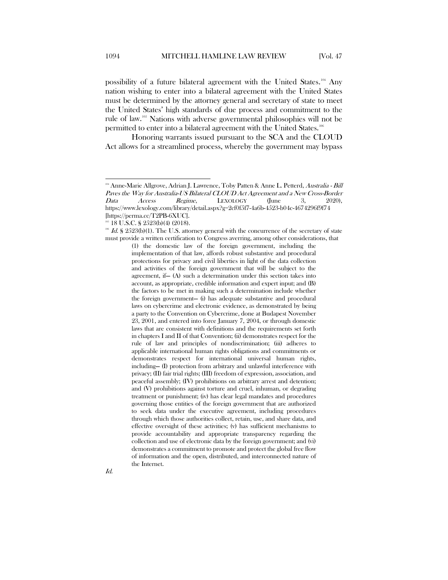possibility of a future bilateral agreement with the United States.[104](#page-23-0) Any nation wishing to enter into a bilateral agreement with the United States must be determined by the attorney general and secretary of state to meet the United States' high standards of due process and commitment to the rule of law.[105](#page-23-1) Nations with adverse governmental philosophies will not be permitted to enter into a bilateral agreement with the United States.<sup>[106](#page-23-2)</sup>

Honoring warrants issued pursuant to the SCA and the CLOUD Act allows for a streamlined process, whereby the government may bypass

<span id="page-23-0"></span><sup>&</sup>lt;sup>104</sup> Anne-Marie Allgrove, Adrian J. Lawrence, Toby Patten & Anne L. Petterd, Australia - Bill Paves the Way for Australia-US Bilateral CLOUD Act Agreement and a New Cross-Border Data Access Regime, LEXOLOGY (June 3, 2020), https://www.lexology.com/library/detail.aspx?g=2cf0f5f7-4a6b-4523-b04c-4674296f9f74 [https://perma.cc/T2PB-6XUC].

<span id="page-23-2"></span><span id="page-23-1"></span><sup>&</sup>lt;sup>105</sup> 18 U.S.C. § 2523(b)(4) (2018). 106 Id. § 2523(b)(4) (2018). <sup>106</sup> Id. § 2523(b)(1). The U.S. attorney general with the concurrence of the secretary of state must provide a written certification to Congress averring, among other considerations, that

<sup>(1)</sup> the domestic law of the foreign government, including the implementation of that law, affords robust substantive and procedural protections for privacy and civil liberties in light of the data collection and activities of the foreign government that will be subject to the agreement, if— (A) such a determination under this section takes into account, as appropriate, credible information and expert input; and (B) the factors to be met in making such a determination include whether the foreign government— (i) has adequate substantive and procedural laws on cybercrime and electronic evidence, as demonstrated by being a party to the Convention on Cybercrime, done at Budapest November 23, 2001, and entered into force January 7, 2004, or through domestic laws that are consistent with definitions and the requirements set forth in chapters I and II of that Convention; (ii) demonstrates respect for the rule of law and principles of nondiscrimination; (iii) adheres to applicable international human rights obligations and commitments or demonstrates respect for international universal human rights, including— (I) protection from arbitrary and unlawful interference with privacy; (II) fair trial rights; (III) freedom of expression, association, and peaceful assembly; (IV) prohibitions on arbitrary arrest and detention; and (V) prohibitions against torture and cruel, inhuman, or degrading treatment or punishment; (iv) has clear legal mandates and procedures governing those entities of the foreign government that are authorized to seek data under the executive agreement, including procedures through which those authorities collect, retain, use, and share data, and effective oversight of these activities; (v) has sufficient mechanisms to provide accountability and appropriate transparency regarding the collection and use of electronic data by the foreign government; and (vi) demonstrates a commitment to promote and protect the global free flow of information and the open, distributed, and interconnected nature of the Internet.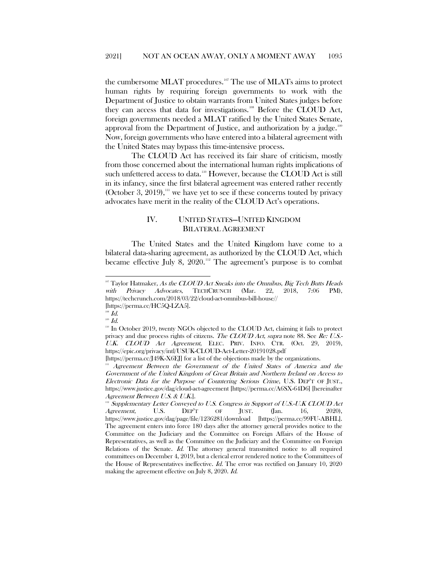the cumbersome MLAT procedures.<sup>[107](#page-24-1)</sup> The use of MLATs aims to protect human rights by requiring foreign governments to work with the Department of Justice to obtain warrants from United States judges before they can access that data for investigations.<sup>[108](#page-24-2)</sup> Before the CLOUD Act, foreign governments needed a MLAT ratified by the United States Senate, approval from the Department of Justice, and authorization by a judge.<sup>[109](#page-24-3)</sup> Now, foreign governments who have entered into a bilateral agreement with the United States may bypass this time-intensive process.

The CLOUD Act has received its fair share of criticism, mostly from those concerned about the international human rights implications of such unfettered access to data.<sup>[110](#page-24-4)</sup> However, because the CLOUD Act is still in its infancy, since the first bilateral agreement was entered rather recently (October 3, 2019), $\mu$ <sup>11</sup> we have yet to see if these concerns touted by privacy advocates have merit in the reality of the CLOUD Act's operations.

### IV. UNITED STATES—UNITED KINGDOM BILATERAL AGREEMENT

<span id="page-24-0"></span>The United States and the United Kingdom have come to a bilateral data-sharing agreement, as authorized by the CLOUD Act, which became effective July 8, 2020.<sup>[112](#page-24-6)</sup> The agreement's purpose is to combat

<span id="page-24-1"></span> $107$  Taylor Hatmaker, As the CLOUD Act Sneaks into the Omnibus, Big Tech Butts Heads with Privacy Advocates, TECHCRUNCH (Mar. 22, 2018, 7:06 PM), https://techcrunch.com/2018/03/22/cloud-act-omnibus-bill-house// [https://perma.cc/HC5Q-LZA5].

<span id="page-24-3"></span><span id="page-24-2"></span> $\int_{109}^{108} \dot{Id}$ .

<span id="page-24-4"></span><sup>&</sup>lt;sup>110</sup> In October 2019, twenty NGOs objected to the CLOUD Act, claiming it fails to protect privacy and due process rights of citizens. The CLOUD Act, supra note 88. See Re: U.S.- U.K. CLOUD Act Agreement, ELEC. PRIV. INFO. CTR. (Oct. 29, 2019), https://epic.org/privacy/intl/USUK-CLOUD-Act-Letter-20191028.pdf

<sup>[</sup>https://perma.cc/J49K-X6EJ] for a list of the objections made by the organizations.<br><sup>111</sup> Agreement Between the Government of the United States of America and the

<span id="page-24-5"></span>Government of the United Kingdom of Great Britain and Northern Ireland on Access to Electronic Data for the Purpose of Countering Serious Crime, U.S. DEP'T OF JUST., https://www.justice.gov/dag/cloud-act-agreement [https://perma.cc/A6SX-64D6] [hereinafter

<span id="page-24-6"></span>Agreement Between U.S. & U.K.].<br><sup>112</sup> Supplementary Letter Conveyed to U.S. Congress in Support of U.S.-U.K CLOUD Act Agreement, U.S. DEP'T OF JUST. (Jan. 16, 2020), https://www.justice.gov/dag/page/file/1236281/download [https://perma.cc/99FU-ABHL]. The agreement enters into force 180 days after the attorney general provides notice to the Committee on the Judiciary and the Committee on Foreign Affairs of the House of Representatives, as well as the Committee on the Judiciary and the Committee on Foreign Relations of the Senate. Id. The attorney general transmitted notice to all required committees on December 4, 2019, but a clerical error rendered notice to the Committees of the House of Representatives ineffective. Id. The error was rectified on January 10, 2020 making the agreement effective on July 8, 2020. Id.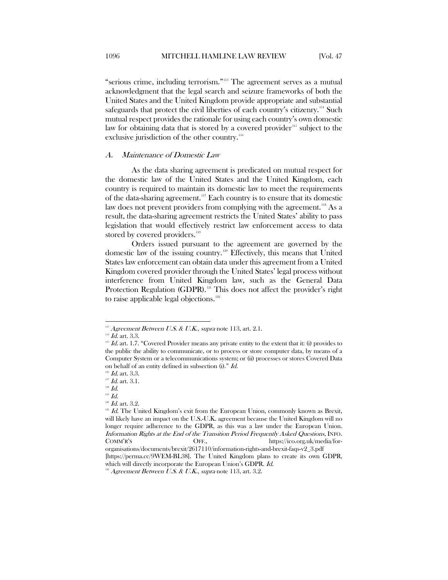"serious crime, including terrorism."[113](#page-25-1) The agreement serves as a mutual acknowledgment that the legal search and seizure frameworks of both the United States and the United Kingdom provide appropriate and substantial safeguards that protect the civil liberties of each country's citizenry.<sup>[114](#page-25-2)</sup> Such mutual respect provides the rationale for using each country's own domestic law for obtaining data that is stored by a covered provider<sup>[115](#page-25-3)</sup> subject to the exclusive jurisdiction of the other country.<sup>[116](#page-25-4)</sup>

### <span id="page-25-0"></span>A. Maintenance of Domestic Law

As the data sharing agreement is predicated on mutual respect for the domestic law of the United States and the United Kingdom, each country is required to maintain its domestic law to meet the requirements of the data-sharing agreement.<sup>[117](#page-25-5)</sup> Each country is to ensure that its domestic law does not prevent providers from complying with the agreement.<sup>[118](#page-25-6)</sup> As a result, the data-sharing agreement restricts the United States' ability to pass legislation that would effectively restrict law enforcement access to data stored by covered providers.<sup>[119](#page-25-7)</sup>

Orders issued pursuant to the agreement are governed by the domestic law of the issuing country[.120](#page-25-8) Effectively, this means that United States law enforcement can obtain data under this agreement from a United Kingdom covered provider through the United States' legal process without interference from United Kingdom law, such as the General Data Protection Regulation (GDPR).<sup>[121](#page-25-9)</sup> This does not affect the provider's right to raise applicable legal objections. $122$ 

<span id="page-25-1"></span> $113$  Agreement Between U.S. & U.K., supra note 113, art. 2.1.

 $\mathbf{1}^{\mathrm{11}}$  Id. art. 3.3.

<span id="page-25-3"></span><span id="page-25-2"></span> $115$  Id. art. 1.7. "Covered Provider means any private entity to the extent that it: (i) provides to the public the ability to communicate, or to process or store computer data, by means of a Computer System or a telecommunications system; or (ii) processes or stores Covered Data on behalf of an entity defined in subsection (i)." Id.

<span id="page-25-4"></span> $116$  *Id.* art. 3.3.

 $117$  *Id.* art. 3.1.

<span id="page-25-6"></span><span id="page-25-5"></span> $118$  Id.

<span id="page-25-7"></span> $^{119}$   $\emph{Id.}$ 

 $120$  Id. art. 3.2.

<span id="page-25-9"></span><span id="page-25-8"></span> $121$  Id. The United Kingdom's exit from the European Union, commonly known as Brexit, will likely have an impact on the U.S.-U.K. agreement because the United Kingdom will no longer require adherence to the GDPR, as this was a law under the European Union. Information Rights at the End of the Transition Period Frequently Asked Questions, INFO. COMM'R'S OFF., https://ico.org.uk/media/fororganisations/documents/brexit/2617110/information-rights-and-brexit-faqs-v2\_3.pdf [https://perma.cc/9WEM-BL38]. The United Kingdom plans to create its own GDPR,

<span id="page-25-10"></span>which will directly incorporate the European Union's GDPR. Id.

 $122$  Agreement Between U.S. & U.K., supra note 113, art. 3.2.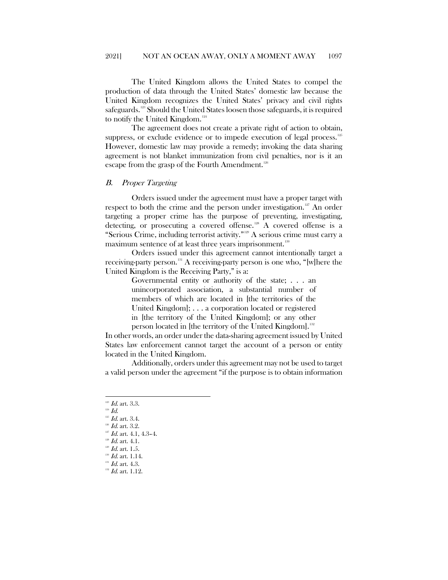The United Kingdom allows the United States to compel the production of data through the United States' domestic law because the United Kingdom recognizes the United States' privacy and civil rights safeguards.<sup>[123](#page-26-1)</sup> Should the United States loosen those safeguards, it is required to notify the United Kingdom.<sup>[124](#page-26-2)</sup>

The agreement does not create a private right of action to obtain, suppress, or exclude evidence or to impede execution of legal process.<sup>[125](#page-26-3)</sup> However, domestic law may provide a remedy; invoking the data sharing agreement is not blanket immunization from civil penalties, nor is it an escape from the grasp of the Fourth Amendment.<sup>[126](#page-26-4)</sup>

### <span id="page-26-0"></span>B. Proper Targeting

Orders issued under the agreement must have a proper target with respect to both the crime and the person under investigation.<sup>[127](#page-26-5)</sup> An order targeting a proper crime has the purpose of preventing, investigating, detecting, or prosecuting a covered offense.<sup>[128](#page-26-6)</sup> A covered offense is a "Serious Crime, including terrorist activity."[129](#page-26-7) A serious crime must carry a maximum sentence of at least three years imprisonment.<sup>[130](#page-26-8)</sup>

Orders issued under this agreement cannot intentionally target a receiving-party person.<sup>[131](#page-26-9)</sup> A receiving-party person is one who, "[w]here the United Kingdom is the Receiving Party," is a:

> Governmental entity or authority of the state; . . . an unincorporated association, a substantial number of members of which are located in [the territories of the United Kingdom]; . . . a corporation located or registered in [the territory of the United Kingdom]; or any other person located in [the territory of the United Kingdom].<sup>[132](#page-26-10)</sup>

In other words, an order under the data-sharing agreement issued by United States law enforcement cannot target the account of a person or entity located in the United Kingdom.

Additionally, orders under this agreement may not be used to target a valid person under the agreement "if the purpose is to obtain information

<span id="page-26-3"></span><span id="page-26-2"></span><span id="page-26-1"></span> $^{124}\,$  Id.

 $\overline{a}$ 

 $^{125}$  *Id.* art. 3.4.

 $^{123}$  *Id.* art. 3.3.

 $126$  *Id.* art. 3.2.

<span id="page-26-5"></span><span id="page-26-4"></span>Id. art. 4.1, 4.3-4.

 $H$  Id. art. 4.1.

<span id="page-26-8"></span><span id="page-26-7"></span><span id="page-26-6"></span> $\overline{1}$  Id. art. 1.5.

 $^{130}$   $\emph{Id.}$  art. 1.14.

<span id="page-26-10"></span><span id="page-26-9"></span> $^{131}$   $\emph{Id.}$  art. 4.3.  $^{132}$  *Id.* art. 1.12.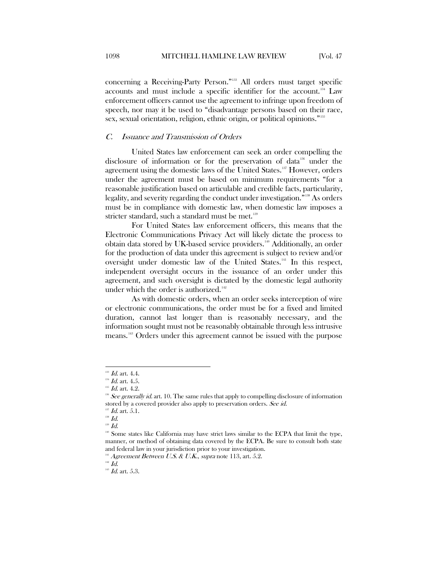concerning a Receiving-Party Person."[133](#page-27-1) All orders must target specific accounts and must include a specific identifier for the account.<sup>[134](#page-27-2)</sup> Law enforcement officers cannot use the agreement to infringe upon freedom of speech, nor may it be used to "disadvantage persons based on their race, sex, sexual orientation, religion, ethnic origin, or political opinions."<sup>[135](#page-27-3)</sup>

### <span id="page-27-0"></span>C. Issuance and Transmission of Orders

United States law enforcement can seek an order compelling the disclosure of information or for the preservation of data<sup>[136](#page-27-4)</sup> under the agreement using the domestic laws of the United States.<sup>[137](#page-27-5)</sup> However, orders under the agreement must be based on minimum requirements "for a reasonable justification based on articulable and credible facts, particularity, legality, and severity regarding the conduct under investigation."<sup>[138](#page-27-6)</sup> As orders must be in compliance with domestic law, when domestic law imposes a stricter standard, such a standard must be met.<sup>[139](#page-27-7)</sup>

For United States law enforcement officers, this means that the Electronic Communications Privacy Act will likely dictate the process to obtain data stored by UK-based service providers.<sup>[140](#page-27-8)</sup> Additionally, an order for the production of data under this agreement is subject to review and/or oversight under domestic law of the United States.<sup>[141](#page-27-9)</sup> In this respect, independent oversight occurs in the issuance of an order under this agreement, and such oversight is dictated by the domestic legal authority under which the order is authorized.<sup>[142](#page-27-10)</sup>

As with domestic orders, when an order seeks interception of wire or electronic communications, the order must be for a fixed and limited duration, cannot last longer than is reasonably necessary, and the information sought must not be reasonably obtainable through less intrusive means.[143](#page-27-11) Orders under this agreement cannot be issued with the purpose

<span id="page-27-11"></span><span id="page-27-10"></span><span id="page-27-9"></span> $142$   $Id.$ 

<span id="page-27-1"></span> $\overline{\phantom{a}}$  $133$  *Id.* art. 4.4.

<span id="page-27-2"></span> $134$  *Id.* art. 4.5.

 $135$  *Id.* art. 4.2.

<span id="page-27-4"></span><span id="page-27-3"></span> $136$  See generally id. art. 10. The same rules that apply to compelling disclosure of information stored by a covered provider also apply to preservation orders. See id.

 $^{37}$  Id. art. 5.1.

<span id="page-27-6"></span><span id="page-27-5"></span> $^{138}$  Id.

 $^{139}$   $\emph{Id.}$ 

<span id="page-27-8"></span><span id="page-27-7"></span><sup>&</sup>lt;sup>140</sup> Some states like California may have strict laws similar to the ECPA that limit the type, manner, or method of obtaining data covered by the ECPA. Be sure to consult both state and federal law in your jurisdiction prior to your investigation.

<sup>&</sup>lt;sup>141</sup> Agreement Between U.S. & U.K., supra note 113, art. 5.2.

 $^{143}$   $\emph{Id.}$  art. 5.3.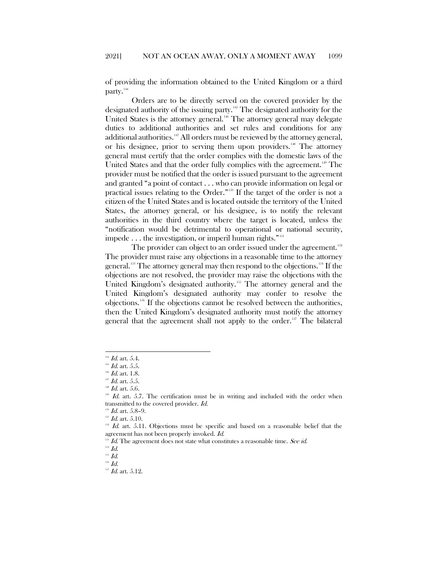of providing the information obtained to the United Kingdom or a third party.<sup>[144](#page-28-0)</sup>

Orders are to be directly served on the covered provider by the designated authority of the issuing party.[145](#page-28-1) The designated authority for the United States is the attorney general.<sup>[146](#page-28-2)</sup> The attorney general may delegate duties to additional authorities and set rules and conditions for any additional authorities.<sup>[147](#page-28-3)</sup> All orders must be reviewed by the attorney general, or his designee, prior to serving them upon providers.<sup>[148](#page-28-4)</sup> The attorney general must certify that the order complies with the domestic laws of the United States and that the order fully complies with the agreement.<sup>[149](#page-28-5)</sup> The provider must be notified that the order is issued pursuant to the agreement and granted "a point of contact . . . who can provide information on legal or practical issues relating to the Order."[150](#page-28-6) If the target of the order is not a citizen of the United States and is located outside the territory of the United States, the attorney general, or his designee, is to notify the relevant authorities in the third country where the target is located, unless the "notification would be detrimental to operational or national security, impede . . . the investigation, or imperil human rights."[151](#page-28-7)

The provider can object to an order issued under the agreement.<sup>[152](#page-28-8)</sup> The provider must raise any objections in a reasonable time to the attorney general.<sup>153</sup> The attorney general may then respond to the objections.<sup>[154](#page-28-10)</sup> If the objections are not resolved, the provider may raise the objections with the United Kingdom's designated authority.<sup>[155](#page-28-11)</sup> The attorney general and the United Kingdom's designated authority may confer to resolve the objections.[156](#page-28-12) If the objections cannot be resolved between the authorities, then the United Kingdom's designated authority must notify the attorney general that the agreement shall not apply to the order.<sup>[157](#page-28-13)</sup> The bilateral

 $144$  Id. art. 5.4.

<span id="page-28-1"></span><span id="page-28-0"></span> $145$  Id. art. 5.5.

 $^{146}$  *Id.* art. 1.8.

<span id="page-28-3"></span><span id="page-28-2"></span> $147$  *Id.* art. 5.5.

 $^{148}$  *Id.* art. 5.6.

<span id="page-28-5"></span><span id="page-28-4"></span> $149$  Id. art. 5.7. The certification must be in writing and included with the order when transmitted to the covered provider. Id.

<span id="page-28-6"></span> $150$  Id. art. 5.8-9.

<span id="page-28-7"></span> $151$  Id. art. 5.10.

<span id="page-28-8"></span> $152$  Id. art. 5.11. Objections must be specific and based on a reasonable belief that the agreement has not been properly invoked. Id.

 $15$  Id. The agreement does not state what constitutes a reasonable time. See id.

 $^{154}$   $\emph{Id.}$ 

<span id="page-28-11"></span><span id="page-28-10"></span><span id="page-28-9"></span> $^{155}$  Id.

<span id="page-28-13"></span><span id="page-28-12"></span> $^{156}$   $Id.$ 

 $^{157}$   $\emph{Id.}$  art. 5.12.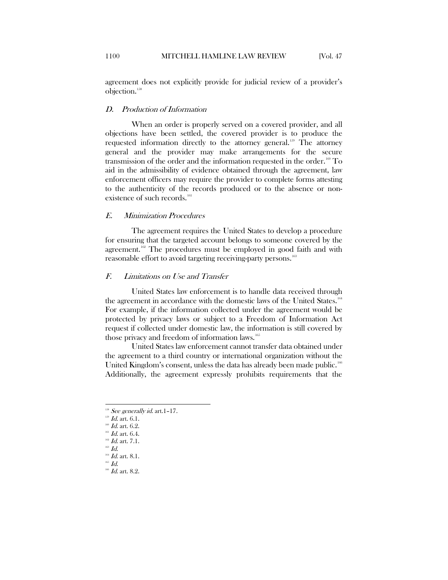agreement does not explicitly provide for judicial review of a provider's objection.<sup>[158](#page-29-3)</sup>

### <span id="page-29-0"></span>D. Production of Information

When an order is properly served on a covered provider, and all objections have been settled, the covered provider is to produce the requested information directly to the attorney general.<sup>[159](#page-29-4)</sup> The attorney general and the provider may make arrangements for the secure transmission of the order and the information requested in the order.<sup>[160](#page-29-5)</sup> To aid in the admissibility of evidence obtained through the agreement, law enforcement officers may require the provider to complete forms attesting to the authenticity of the records produced or to the absence or non-existence of such records.<sup>[161](#page-29-6)</sup>

### <span id="page-29-1"></span>E. Minimization Procedures

The agreement requires the United States to develop a procedure for ensuring that the targeted account belongs to someone covered by the agreement.<sup>162</sup> The procedures must be employed in good faith and with reasonable effort to avoid targeting receiving-party persons.<sup>[163](#page-29-8)</sup>

#### <span id="page-29-2"></span>F. Limitations on Use and Transfer

United States law enforcement is to handle data received through the agreement in accordance with the domestic laws of the United States.<sup>[164](#page-29-9)</sup> For example, if the information collected under the agreement would be protected by privacy laws or subject to a Freedom of Information Act request if collected under domestic law, the information is still covered by those privacy and freedom of information laws.<sup>[165](#page-29-10)</sup>

United States law enforcement cannot transfer data obtained under the agreement to a third country or international organization without the United Kingdom's consent, unless the data has already been made public. <sup>[166](#page-29-11)</sup> Additionally, the agreement expressly prohibits requirements that the

<span id="page-29-3"></span><sup>&</sup>lt;sup>158</sup> See generally id. art.1-17.

<span id="page-29-4"></span> $159$  *Id.* art. 6.1.

 $160$  Id. art. 6.2.

<span id="page-29-5"></span> $161$  Id. art. 6.4.

<span id="page-29-8"></span><span id="page-29-7"></span><span id="page-29-6"></span> $^{162}$  *Id.* art. 7.1.

 $163$   $Id.$ 

<span id="page-29-9"></span> $^{164}$  *Id.* art. 8.1.

<span id="page-29-11"></span><span id="page-29-10"></span> $^{165}$   $Id.$ 

 $^{166}$  *Id.* art. 8.2.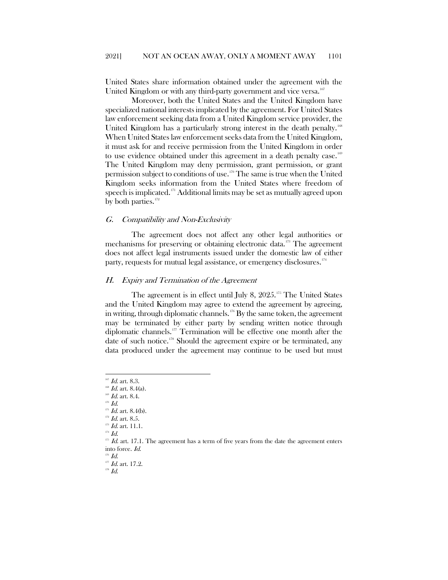United States share information obtained under the agreement with the United Kingdom or with any third-party government and vice versa.<sup>[167](#page-30-2)</sup>

Moreover, both the United States and the United Kingdom have specialized national interests implicated by the agreement. For United States law enforcement seeking data from a United Kingdom service provider, the United Kingdom has a particularly strong interest in the death penalty.<sup>[168](#page-30-3)</sup> When United States law enforcement seeks data from the United Kingdom, it must ask for and receive permission from the United Kingdom in order to use evidence obtained under this agreement in a death penalty case.<sup>[169](#page-30-4)</sup> The United Kingdom may deny permission, grant permission, or grant permission subject to conditions of use.[170](#page-30-5) The same is true when the United Kingdom seeks information from the United States where freedom of speech is implicated.<sup>[171](#page-30-6)</sup> Additional limits may be set as mutually agreed upon by both parties.<sup>[172](#page-30-7)</sup>

#### <span id="page-30-0"></span>G. Compatibility and Non-Exclusivity

The agreement does not affect any other legal authorities or mechanisms for preserving or obtaining electronic data.<sup>178</sup> The agreement does not affect legal instruments issued under the domestic law of either party, requests for mutual legal assistance, or emergency disclosures.<sup>[174](#page-30-9)</sup>

#### <span id="page-30-1"></span>H. Expiry and Termination of the Agreement

The agreement is in effect until July 8, 2025.[175](#page-30-10) The United States and the United Kingdom may agree to extend the agreement by agreeing, in writing, through diplomatic channels.<sup>[176](#page-30-11)</sup> By the same token, the agreement may be terminated by either party by sending written notice through diplomatic channels.<sup>[177](#page-30-12)</sup> Termination will be effective one month after the date of such notice.<sup>[178](#page-30-13)</sup> Should the agreement expire or be terminated, any data produced under the agreement may continue to be used but must

 $\overline{\phantom{a}}$ 

<span id="page-30-13"></span> $^{178}$   $\emph{Id.}$ 

 $167$  *Id.* art. 8.3.

<span id="page-30-4"></span><span id="page-30-3"></span><span id="page-30-2"></span> $168$  *Id.* art. 8.4(a).

 $169$  *Id.* art. 8.4.  $^{170}$   $\emph{Id.}$ 

<span id="page-30-7"></span><span id="page-30-6"></span><span id="page-30-5"></span> $^{171}$   $\emph{Id.}$  art. 8.4(b).  $^{172}$  *Id.* art. 8.5.

 $^{173}$  *Id.* art. 11.1.

 $174$  *Id.* 

<span id="page-30-10"></span><span id="page-30-9"></span><span id="page-30-8"></span>

 $175$  Id. art. 17.1. The agreement has a term of five years from the date the agreement enters into force. Id.<br> $\frac{Id}{d}$ .

<span id="page-30-12"></span><span id="page-30-11"></span>

 $177$  *Id.* art. 17.2.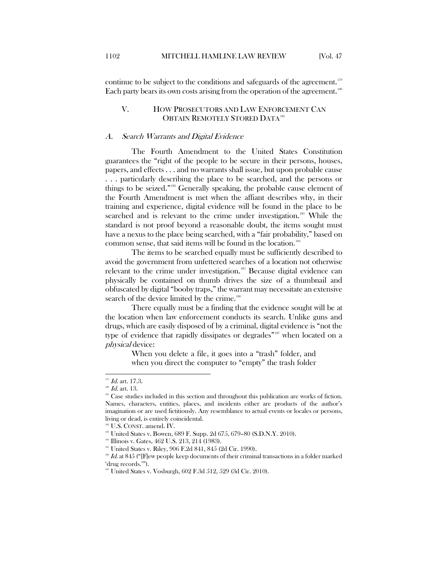<span id="page-31-0"></span>continue to be subject to the conditions and safeguards of the agreement.<sup>[179](#page-31-2)</sup> Each party bears its own costs arising from the operation of the agreement.<sup>[180](#page-31-3)</sup>

#### V. HOW PROSECUTORS AND LAW ENFORCEMENT CAN OBTAIN REMOTELY STORED DATA<sup>[181](#page-31-4)</sup>

#### <span id="page-31-1"></span>A. Search Warrants and Digital Evidence

The Fourth Amendment to the United States Constitution guarantees the "right of the people to be secure in their persons, houses, papers, and effects . . . and no warrants shall issue, but upon probable cause . . . particularly describing the place to be searched, and the persons or things to be seized."[182](#page-31-5) Generally speaking, the probable cause element of the Fourth Amendment is met when the affiant describes why, in their training and experience, digital evidence will be found in the place to be searched and is relevant to the crime under investigation.<sup>[183](#page-31-6)</sup> While the standard is not proof beyond a reasonable doubt, the items sought must have a nexus to the place being searched, with a "fair probability," based on common sense, that said items will be found in the location. $184$ 

The items to be searched equally must be sufficiently described to avoid the government from unfettered searches of a location not otherwise relevant to the crime under investigation.<sup>[185](#page-31-8)</sup> Because digital evidence can physically be contained on thumb drives the size of a thumbnail and obfuscated by digital "booby traps," the warrant may necessitate an extensive search of the device limited by the crime.<sup>[186](#page-31-9)</sup>

There equally must be a finding that the evidence sought will be at the location when law enforcement conducts its search. Unlike guns and drugs, which are easily disposed of by a criminal, digital evidence is "not the type of evidence that rapidly dissipates or degrades"<sup>[187](#page-31-10)</sup> when located on a physical device:

> When you delete a file, it goes into a "trash" folder, and when you direct the computer to "empty" the trash folder

<span id="page-31-3"></span><span id="page-31-2"></span> $^{179}$  *Id.* art. 17.3.

 $180$  Id. art. 13.

<span id="page-31-4"></span><sup>&</sup>lt;sup>181</sup> Case studies included in this section and throughout this publication are works of fiction. Names, characters, entities, places, and incidents either are products of the author's imagination or are used fictitiously. Any resemblance to actual events or locales or persons, living or dead, is entirely coincidental.

<span id="page-31-9"></span><span id="page-31-8"></span>

<span id="page-31-7"></span><span id="page-31-6"></span><span id="page-31-5"></span><sup>&</sup>lt;sup>182</sup> U.S. CONST. amend. IV.<br><sup>183</sup> United States v. Bowen, 689 F. Supp. 2d 675, 679–80 (S.D.N.Y. 2010).<br><sup>184</sup> Illinois v. Gates, 462 U.S. 213, 214 (1983).<br><sup>183</sup> United States v. Riley, 906 F.2d 841, 845 (2d Cir. 1990).<br><sup>1</sup> 'drug records.'").

<span id="page-31-10"></span><sup>&</sup>lt;sup>187</sup> United States v. Vosburgh, 602 F.3d 512, 529 (3d Cir. 2010).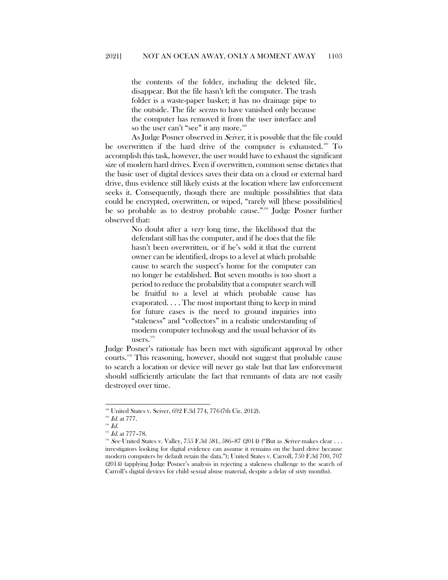the contents of the folder, including the deleted file, disappear. But the file hasn't left the computer. The trash folder is a waste-paper basket; it has no drainage pipe to the outside. The file *seems* to have vanished only because the computer has removed it from the user interface and so the user can't "see" it any more.<sup>[188](#page-32-0)</sup>

As Judge Posner observed in *Seiver*, it is possible that the file could be overwritten if the hard drive of the computer is exhausted.<sup>[189](#page-32-1)</sup> To accomplish this task, however, the user would have to exhaust the significant size of modern hard drives. Even if overwritten, common sense dictates that the basic user of digital devices saves their data on a cloud or external hard drive, thus evidence still likely exists at the location where law enforcement seeks it. Consequently, though there are multiple possibilities that data could be encrypted, overwritten, or wiped, "rarely will [these possibilities] be so probable as to destroy probable cause."<sup>[190](#page-32-2)</sup> Judge Posner further observed that:

> No doubt after a very long time, the likelihood that the defendant still has the computer, and if he does that the file hasn't been overwritten, or if he's sold it that the current owner can be identified, drops to a level at which probable cause to search the suspect's home for the computer can no longer be established. But seven months is too short a period to reduce the probability that a computer search will be fruitful to a level at which probable cause has evaporated. . . . The most important thing to keep in mind for future cases is the need to ground inquiries into "staleness" and "collectors" in a realistic understanding of modern computer technology and the usual behavior of its users.<sup>[191](#page-32-3)</sup>

Judge Posner's rationale has been met with significant approval by other courts.[192](#page-32-4) This reasoning, however, should not suggest that probable cause to search a location or device will never go stale but that law enforcement should sufficiently articulate the fact that remnants of data are not easily destroyed over time.

<span id="page-32-2"></span><span id="page-32-1"></span><span id="page-32-0"></span>United States v. Seiver, 692 F.3d 774, 776 (7th Cir. 2012).

 $189$  *Id.* at 777.

 $^{190}$   $Id.$ 

<span id="page-32-3"></span> $191$  Id. at 777-78.

<span id="page-32-4"></span><sup>&</sup>lt;sup>192</sup> See United States v. Valley, 755 F.3d 581, 586–87 (2014) ("But as Seiver makes clear ... investigators looking for digital evidence can assume it remains on the hard drive because modern computers by default retain the data."); United States v. Carroll, 750 F.3d 700, 707 (2014) (applying Judge Posner's analysis in rejecting a staleness challenge to the search of Carroll's digital devices for child sexual abuse material, despite a delay of sixty months).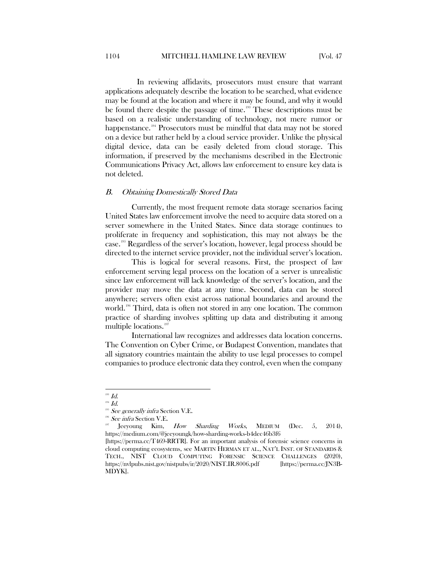In reviewing affidavits, prosecutors must ensure that warrant applications adequately describe the location to be searched, what evidence may be found at the location and where it may be found, and why it would be found there despite the passage of time.<sup>[193](#page-33-1)</sup> These descriptions must be based on a realistic understanding of technology, not mere rumor or happenstance.<sup>[194](#page-33-2)</sup> Prosecutors must be mindful that data may not be stored on a device but rather held by a cloud service provider. Unlike the physical digital device, data can be easily deleted from cloud storage. This information, if preserved by the mechanisms described in the Electronic Communications Privacy Act, allows law enforcement to ensure key data is not deleted.

#### <span id="page-33-0"></span>B. Obtaining Domestically Stored Data

Currently, the most frequent remote data storage scenarios facing United States law enforcement involve the need to acquire data stored on a server somewhere in the United States. Since data storage continues to proliferate in frequency and sophistication, this may not always be the case.[195](#page-33-3) Regardless of the server's location, however, legal process should be directed to the internet service provider, not the individual server's location.

This is logical for several reasons. First, the prospect of law enforcement serving legal process on the location of a server is unrealistic since law enforcement will lack knowledge of the server's location, and the provider may move the data at any time. Second, data can be stored anywhere; servers often exist across national boundaries and around the world.[196](#page-33-4) Third, data is often not stored in any one location. The common practice of sharding involves splitting up data and distributing it among multiple locations.<sup>[197](#page-33-5)</sup>

International law recognizes and addresses data location concerns. The Convention on Cyber Crime, or Budapest Convention, mandates that all signatory countries maintain the ability to use legal processes to compel companies to produce electronic data they control, even when the company

 $\overline{\phantom{a}}$  $^{193}$   $Id.$ 

<span id="page-33-2"></span><span id="page-33-1"></span> $^{194}$   $\emph{Id.}$ 

<sup>&</sup>lt;sup>195</sup> See generally infra Section V.E.

<sup>&</sup>lt;sup>196</sup> See infra Section V.E.

<span id="page-33-5"></span><span id="page-33-4"></span><span id="page-33-3"></span>Jeeyoung Kim[,](https://wmitchell.sharepoint.com/sites/LawReview/Shared%20Documents/AE%204%20-%20Kathryn/AE%204%20-%20Article%207%20(Peters)) How Sharding Works, MEDIUM (Dec. 5, 2014), https://medium.com/@jeeyoungk/how-sharding-works-b4dec46b3f6

<sup>[</sup>https://perma.cc/T469-RRTR]. For an important analysis of forensic science concerns in cloud computing ecosystems, see MARTIN HERMAN ET AL., NAT'L INST. OF STANDARDS & TECH., NIST CLOUD COMPUTING FORENSIC SCIENCE CHALLENGES (2020), https://nvlpubs.nist.gov/nistpubs/ir/2020/NIST.IR.8006.pdf [https://perma.cc/JN3B-MDYK].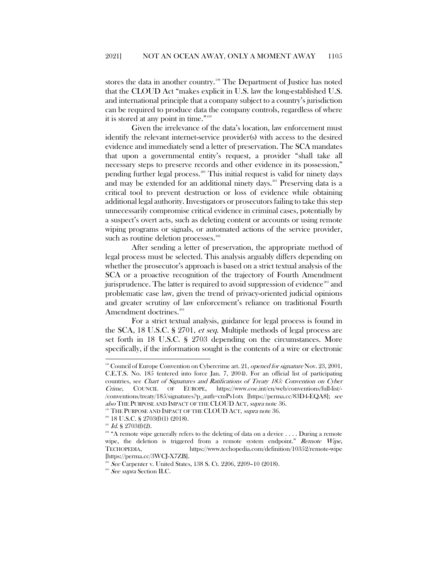stores the data in another country.<sup>[198](#page-34-0)</sup> The Department of Justice has noted that the CLOUD Act "makes explicit in U.S. law the long-established U.S. and international principle that a company subject to a country's jurisdiction can be required to produce data the company controls, regardless of where it is stored at any point in time." [199](#page-34-1)

Given the irrelevance of the data's location, law enforcement must identify the relevant internet-service provider(s) with access to the desired evidence and immediately send a letter of preservation. The SCA mandates that upon a governmental entity's request, a provider "shall take all necessary steps to preserve records and other evidence in its possession," pending further legal process.[200](#page-34-2) This initial request is valid for ninety days and may be extended for an additional ninety days.<sup>[201](#page-34-3)</sup> Preserving data is a critical tool to prevent destruction or loss of evidence while obtaining additional legal authority. Investigators or prosecutors failing to take this step unnecessarily compromise critical evidence in criminal cases, potentially by a suspect's overt acts, such as deleting content or accounts or using remote wiping programs or signals, or automated actions of the service provider, such as routine deletion processes.<sup>[202](#page-34-4)</sup>

After sending a letter of preservation, the appropriate method of legal process must be selected. This analysis arguably differs depending on whether the prosecutor's approach is based on a strict textual analysis of the SCA or a proactive recognition of the trajectory of Fourth Amendment jurisprudence. The latter is required to avoid suppression of evidence [203](#page-34-5) and problematic case law, given the trend of privacy-oriented judicial opinions and greater scrutiny of law enforcement's reliance on traditional Fourth Amendment doctrines.<sup>[204](#page-34-6)</sup>

For a strict textual analysis, guidance for legal process is found in the SCA, 18 U.S.C. § 2701, et seq. Multiple methods of legal process are set forth in 18 U.S.C. § 2703 depending on the circumstances. More specifically, if the information sought is the contents of a wire or electronic

<span id="page-34-0"></span><sup>&</sup>lt;sup>198</sup> Council of Europe Convention on Cybercrime art. 21, *opened for signature* Nov. 23, 2001, C.E.T.S. No. 185 (entered into force Jan. 7, 2004). For an official list of participating countries, see Chart of Signatures and Ratifications of Treaty 185: Convention on Cyber Crime, COUNCIL OF EUROPE, https://www.coe.int/en/web/conventions/full-list/- /conventions/treaty/185/signatures?p\_auth=cmPs1otx [https://perma.cc/83D4-EQA8]; see also THE PURPOSE AND IMPACT OF THE CLOUD ACT, supra note 36.<br><sup>199</sup> THE PURPOSE AND IMPACT OF THE CLOUD ACT, *supra* note 36.

<span id="page-34-1"></span>

<span id="page-34-2"></span><sup>&</sup>lt;sup>200</sup> 18 U.S.C. § 2703(f)(1) (2018).<br><sup>201</sup> Id. § 2703(f)(2).

<span id="page-34-4"></span><span id="page-34-3"></span><sup>&</sup>lt;sup>202</sup> "A remote wipe generally refers to the deleting of data on a device . . . . During a remote wipe, the deletion is triggered from a remote system endpoint." Remote Wipe, TECHOPEDIA, https://www.techopedia.com/definition/10352/remote-wipe [https://perma.cc/3WCJ-X7ZB].<br><sup>203</sup> See Carpenter v. United States, 138 S. Ct. 2206, 2209–10 (2018).

<span id="page-34-6"></span><span id="page-34-5"></span><sup>&</sup>lt;sup>204</sup> See supra Section II.C.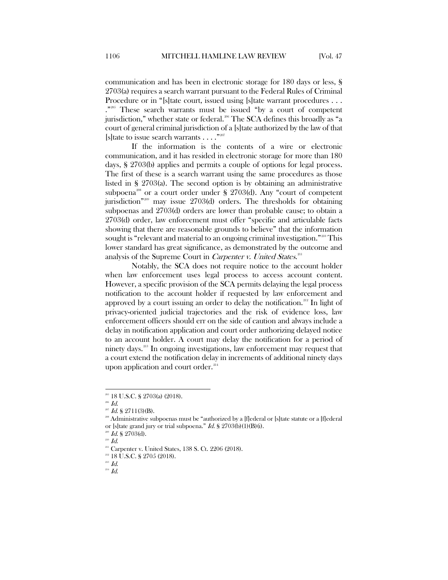communication and has been in electronic storage for 180 days or less, § 2703(a) requires a search warrant pursuant to the Federal Rules of Criminal Procedure or in "[s]tate court, issued using [s]tate warrant procedures . . . ."<sup>[205](#page-35-0)</sup> These search warrants must be issued "by a court of competent" jurisdiction," whether state or federal.<sup>[206](#page-35-1)</sup> The SCA defines this broadly as "a court of general criminal jurisdiction of a [s]tate authorized by the law of that [s] tate to issue search warrants  $\dots$ ."<sup>[207](#page-35-2)</sup>

If the information is the contents of a wire or electronic communication, and it has resided in electronic storage for more than 180 days, § 2703(b) applies and permits a couple of options for legal process. The first of these is a search warrant using the same procedures as those listed in § 2703(a). The second option is by obtaining an administrative subpoena<sup>[208](#page-35-3)</sup> or a court order under § 2703(d). Any "court of competent jurisdiction"<sup>[209](#page-35-4)</sup> may issue 2703(d) orders. The thresholds for obtaining subpoenas and 2703(d) orders are lower than probable cause; to obtain a 2703(d) order, law enforcement must offer "specific and articulable facts showing that there are reasonable grounds to believe" that the information sought is "relevant and material to an ongoing criminal investigation."<sup>[210](#page-35-5)</sup> This lower standard has great significance, as demonstrated by the outcome and analysis of the Supreme Court in *Carpenter v. United States*.  $^{\textrm{\tiny{21}}}$ 

Notably, the SCA does not require notice to the account holder when law enforcement uses legal process to access account content. However, a specific provision of the SCA permits delaying the legal process notification to the account holder if requested by law enforcement and approved by a court issuing an order to delay the notification.<sup>[212](#page-35-7)</sup> In light of privacy-oriented judicial trajectories and the risk of evidence loss, law enforcement officers should err on the side of caution and always include a delay in notification application and court order authorizing delayed notice to an account holder. A court may delay the notification for a period of ninety days.[213](#page-35-8) In ongoing investigations, law enforcement may request that a court extend the notification delay in increments of additional ninety days upon application and court order.<sup>[214](#page-35-9)</sup>

<span id="page-35-9"></span> $^{214}$  Id.

<span id="page-35-0"></span> <sup>205</sup> 18 U.S.C. § 2703(a) (2018).

 $206$   $Id.$ 

 $207$  *Id.* § 2711(3)(B).

<span id="page-35-3"></span><span id="page-35-2"></span><span id="page-35-1"></span><sup>&</sup>lt;sup>208</sup> Administrative subpoenas must be "authorized by a [f]ederal or [s]tate statute or a [f]ederal or [s]tate grand jury or trial subpoena."  $Id. \S$  2703(b)(1)(B)(i). <sup>209</sup>  $Id. \S$  2703(d).

<span id="page-35-5"></span><span id="page-35-4"></span>

 $^{210}$   $Id.$ 

 $211$  Carpenter v. United States, 138 S. Ct. 2206 (2018).

<span id="page-35-8"></span><span id="page-35-7"></span><span id="page-35-6"></span><sup>&</sup>lt;sup>212</sup> 18 U.S.C. § 2705 (2018).

 $^{213}$   $Id.$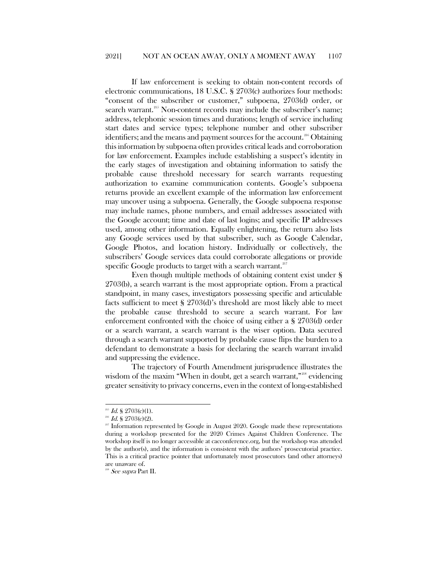If law enforcement is seeking to obtain non-content records of electronic communications, 18 U.S.C. § 2703(c) authorizes four methods: "consent of the subscriber or customer," subpoena, 2703(d) order, or search warrant.<sup>[215](#page-36-0)</sup> Non-content records may include the subscriber's name; address, telephonic session times and durations; length of service including start dates and service types; telephone number and other subscriber identifiers; and the means and payment sources for the account.<sup>[216](#page-36-1)</sup> Obtaining this information by subpoena often provides critical leads and corroboration for law enforcement. Examples include establishing a suspect's identity in the early stages of investigation and obtaining information to satisfy the probable cause threshold necessary for search warrants requesting authorization to examine communication contents. Google's subpoena returns provide an excellent example of the information law enforcement may uncover using a subpoena. Generally, the Google subpoena response may include names, phone numbers, and email addresses associated with the Google account; time and date of last logins; and specific IP addresses used, among other information. Equally enlightening, the return also lists any Google services used by that subscriber, such as Google Calendar, Google Photos, and location history. Individually or collectively, the subscribers' Google services data could corroborate allegations or provide specific Google products to target with a search warrant.<sup>[217](#page-36-2)</sup>

Even though multiple methods of obtaining content exist under § 2703(b), a search warrant is the most appropriate option. From a practical standpoint, in many cases, investigators possessing specific and articulable facts sufficient to meet § 2703(d)'s threshold are most likely able to meet the probable cause threshold to secure a search warrant. For law enforcement confronted with the choice of using either a § 2703(d) order or a search warrant, a search warrant is the wiser option. Data secured through a search warrant supported by probable cause flips the burden to a defendant to demonstrate a basis for declaring the search warrant invalid and suppressing the evidence.

The trajectory of Fourth Amendment jurisprudence illustrates the wisdom of the maxim "When in doubt, get a search warrant,"<sup>[218](#page-36-3)</sup> evidencing greater sensitivity to privacy concerns, even in the context of long-established

<span id="page-36-0"></span> $^{215}$  Id. § 2703(c)(1).

 $^{216}$  *Id.* § 2703(c)(2).

<span id="page-36-2"></span><span id="page-36-1"></span><sup>&</sup>lt;sup>217</sup> Information represented by Google in August 2020. Google made these representations during a workshop presented for the 2020 Crimes Against Children Conference. The workshop itself is no longer accessible at cacconference.org, but the workshop was attended by the author(s), and the information is consistent with the authors' prosecutorial practice. This is a critical practice pointer that unfortunately most prosecutors (and other attorneys) are unaware of.

<span id="page-36-3"></span> $218$  *See supra* Part II.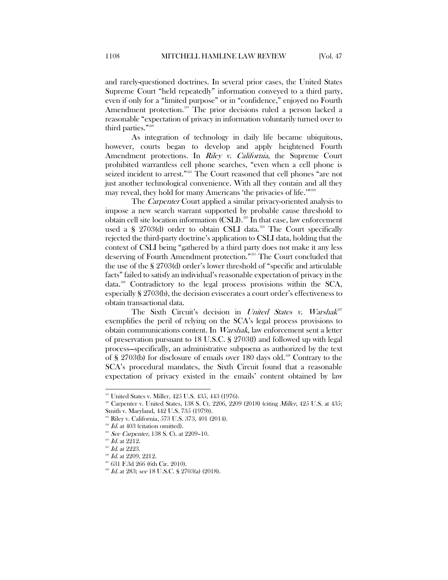and rarely-questioned doctrines. In several prior cases, the United States Supreme Court "held repeatedly" information conveyed to a third party, even if only for a "limited purpose" or in "confidence," enjoyed no Fourth Amendment protection.<sup>[219](#page-37-0)</sup> The prior decisions ruled a person lacked a reasonable "expectation of privacy in information voluntarily turned over to third parties."<sup>[220](#page-37-1)</sup>

As integration of technology in daily life became ubiquitous, however, courts began to develop and apply heightened Fourth Amendment protections. In *Riley v. California*, the Supreme Court prohibited warrantless cell phone searches, "even when a cell phone is seized incident to arrest."<sup>[221](#page-37-2)</sup> The Court reasoned that cell phones "are not just another technological convenience. With all they contain and all they may reveal, they hold for many Americans 'the privacies of life.""[222](#page-37-3)

The *Carpenter* Court applied a similar privacy-oriented analysis to impose a new search warrant supported by probable cause threshold to obtain cell site location information (CSLI). [223](#page-37-4) In that case, law enforcement used a § 2703(d) order to obtain CSLI data.<sup>24</sup> The Court specifically rejected the third-party doctrine's application to CSLI data, holding that the context of CSLI being "gathered by a third party does not make it any less deserving of Fourth Amendment protection."[225](#page-37-6) The Court concluded that the use of the § 2703(d) order's lower threshold of "specific and articulable facts" failed to satisfy an individual's reasonable expectation of privacy in the data.[226](#page-37-7) Contradictory to the legal process provisions within the SCA, especially § 2703(b), the decision eviscerates a court order's effectiveness to obtain transactional data.

The Sixth Circuit's decision in United States v. Warshak<sup>[227](#page-37-8)</sup> exemplifies the peril of relying on the SCA's legal process provisions to obtain communications content. In Warshak, law enforcement sent a letter of preservation pursuant to 18 U.S.C. § 2703(f) and followed up with legal process—specifically, an administrative subpoena as authorized by the text of § 2703(b) for disclosure of emails over 180 days old.<sup>[228](#page-37-9)</sup> Contrary to the SCA's procedural mandates, the Sixth Circuit found that a reasonable expectation of privacy existed in the emails' content obtained by law

<span id="page-37-0"></span><sup>&</sup>lt;sup>219</sup> United States v. Miller, 425 U.S. 435, 443 (1976).

<span id="page-37-1"></span><sup>&</sup>lt;sup>220</sup> Carpenter v. United States, 138 S. Ct. 2206, 2209 (2018) (citing *Miller*, 425 U.S. at 435; Smith v. Maryland, 442 U.S. 735 (1979)).

<sup>&</sup>lt;sup>221</sup> Riley v. California, 573 U.S. 373, 401 (2014).

 $222$  Id. at 403 (citation omitted).

<span id="page-37-5"></span><span id="page-37-4"></span><span id="page-37-3"></span><span id="page-37-2"></span>See Carpenter, 138 S. Ct. at 2209-10.

 $^{224}$  *Id.* at 2212.

 $^{225}$  *Id.* at 2223.

<span id="page-37-9"></span><span id="page-37-8"></span><span id="page-37-7"></span><span id="page-37-6"></span> $^{226}$  Id. at 2209, 2212.

<sup>227</sup> 631 F.3d 266 (6th Cir. 2010).

<sup>&</sup>lt;sup>228</sup> Id. at 283; see 18 U.S.C. § 2703(a) (2018).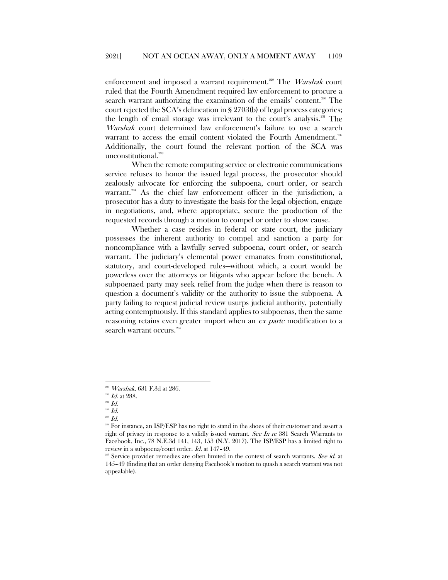enforcement and imposed a warrant requirement.<sup>[229](#page-38-0)</sup> The *Warshak* court ruled that the Fourth Amendment required law enforcement to procure a search warrant authorizing the examination of the emails' content.<sup>[230](#page-38-1)</sup> The court rejected the SCA's delineation in § 2703(b) of legal process categories; the length of email storage was irrelevant to the court's analysis.[231](#page-38-2) The Warshak court determined law enforcement's failure to use a search warrant to access the email content violated the Fourth Amendment.<sup>[232](#page-38-3)</sup> Additionally, the court found the relevant portion of the SCA was unconstitutional.<sup>[233](#page-38-4)</sup>

When the remote computing service or electronic communications service refuses to honor the issued legal process, the prosecutor should zealously advocate for enforcing the subpoena, court order, or search warrant.<sup>[234](#page-38-5)</sup> As the chief law enforcement officer in the jurisdiction, a prosecutor has a duty to investigate the basis for the legal objection, engage in negotiations, and, where appropriate, secure the production of the requested records through a motion to compel or order to show cause.

Whether a case resides in federal or state court, the judiciary possesses the inherent authority to compel and sanction a party for noncompliance with a lawfully served subpoena, court order, or search warrant. The judiciary's elemental power emanates from constitutional, statutory, and court-developed rules—without which, a court would be powerless over the attorneys or litigants who appear before the bench. A subpoenaed party may seek relief from the judge when there is reason to question a document's validity or the authority to issue the subpoena. A party failing to request judicial review usurps judicial authority, potentially acting contemptuously. If this standard applies to subpoenas, then the same reasoning retains even greater import when an ex parte modification to a search warrant occurs.<sup>[235](#page-38-6)</sup>

<span id="page-38-0"></span><sup>&</sup>lt;sup>229</sup> Warshak, 631 F.3d at 286.

<span id="page-38-1"></span> $^{230}$  *Id.* at 288.

 $^{231}$  Id.

<span id="page-38-3"></span><span id="page-38-2"></span> $^{232}$  Id.

<span id="page-38-4"></span> $^{233}$  Id.

<span id="page-38-5"></span><sup>&</sup>lt;sup>234</sup> For instance, an ISP/ESP has no right to stand in the shoes of their customer and assert a right of privacy in response to a validly issued warrant. See In re 381 Search Warrants to Facebook, Inc., 78 N.E.3d 141, 143, 153 (N.Y. 2017). The ISP/ESP has a limited right to review in a subpoena/court order. Id. at 147–49.<br><sup>235</sup> Service provider remedies are often limited in the context of search warrants. See id. at

<span id="page-38-6"></span><sup>145–49 (</sup>finding that an order denying Facebook's motion to quash a search warrant was not appealable).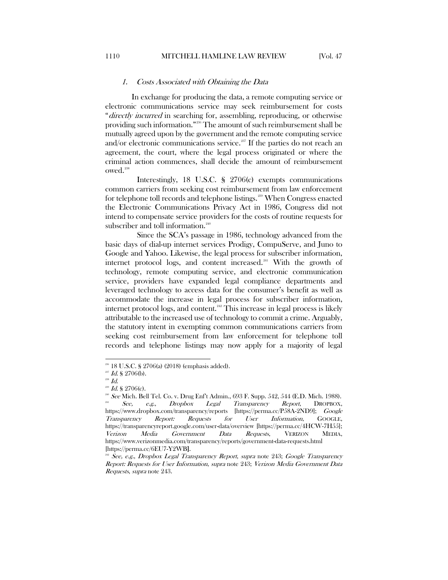#### 1. Costs Associated with Obtaining the Data

<span id="page-39-0"></span>In exchange for producing the data, a remote computing service or electronic communications service may seek reimbursement for costs "directly incurred in searching for, assembling, reproducing, or otherwise providing such information."[236](#page-39-1) The amount of such reimbursement shall be mutually agreed upon by the government and the remote computing service and/or electronic communications service.<sup>[237](#page-39-2)</sup> If the parties do not reach an agreement, the court, where the legal process originated or where the criminal action commences, shall decide the amount of reimbursement owed.<sup>[238](#page-39-3)</sup>

Interestingly, 18 U.S.C. § 2706(c) exempts communications common carriers from seeking cost reimbursement from law enforcement for telephone toll records and telephone listings.<sup>[239](#page-39-4)</sup> When Congress enacted the Electronic Communications Privacy Act in 1986, Congress did not intend to compensate service providers for the costs of routine requests for subscriber and toll information.<sup>[240](#page-39-5)</sup>

Since the SCA's passage in 1986, technology advanced from the basic days of dial-up internet services Prodigy, CompuServe, and Juno to Google and Yahoo. Likewise, the legal process for subscriber information, internet protocol logs, and content increased.<sup>[241](#page-39-6)</sup> With the growth of technology, remote computing service, and electronic communication service, providers have expanded legal compliance departments and leveraged technology to access data for the consumer's benefit as well as accommodate the increase in legal process for subscriber information, internet protocol logs, and content.<sup>[242](#page-39-7)</sup> This increase in legal process is likely attributable to the increased use of technology to commit a crime. Arguably, the statutory intent in exempting common communications carriers from seeking cost reimbursement from law enforcement for telephone toll records and telephone listings may now apply for a majority of legal

<span id="page-39-1"></span><sup>&</sup>lt;sup>236</sup> 18 U.S.C. § 2706(a) (2018) (emphasis added).<br><sup>237</sup> *Id.* § 2706(b).

<span id="page-39-2"></span>

<span id="page-39-3"></span> $\frac{^{238}}{^{239}}$  *Id.* § 2706(c).

<span id="page-39-6"></span><span id="page-39-5"></span><span id="page-39-4"></span><sup>&</sup>lt;sup>240</sup> See Mich. Bell Tel. Co. v. Drug Enf't Admin., 693 F. Supp. 542, 544 (E.D. Mich. 1988). See[,](https://nvlpubs.nist.gov/nistpubs/ir/2020/NIST.IR.8006.pdf) e.g., Dropbox Legal Transparency Report, DROPBOX, https://www.dropbox.com/transparency/reports [https://perma.cc/P58A-2ND9]; Google Transparency Report: Requests for User Information, GOOGLE, https://transparencyreport.google.com/user-data/overview [https://perma.cc/4HCW-7H55]; Verizon Media Government Data Requests, VERIZON MEDIA, https://www.verizonmedia.com/transparency/reports/government-data-requests.html

<span id="page-39-7"></span><sup>[</sup>https://perma.cc/6EU7-Y2WB].<br><sup>342</sup> See, e.g., Dropbox Legal Transparency Report, supra note 243; Google Transparency Report: Requests for User Information, supra note 243; Verizon Media Government Data Requests, supra note 243.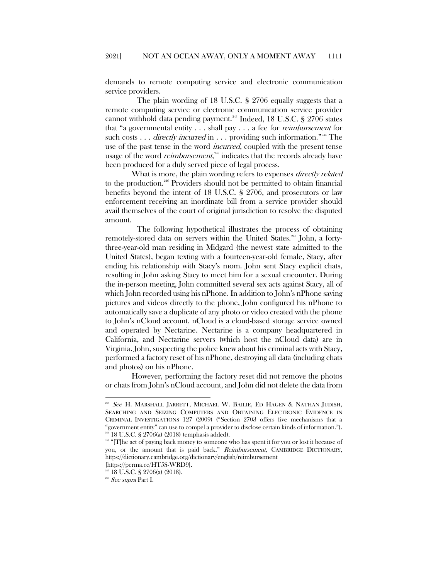demands to remote computing service and electronic communication service providers.

The plain wording of 18 U.S.C. § 2706 equally suggests that a remote computing service or electronic communication service provider cannot withhold data pending payment.<sup>[243](#page-40-0)</sup> Indeed, 18 U.S.C. § 2706 states that "a governmental entity  $\ldots$  shall pay  $\ldots$  a fee for *reimbursement* for such costs  $\ldots$  directly incurred in  $\ldots$  providing such information."<sup>[244](#page-40-1)</sup> The use of the past tense in the word incurred, coupled with the present tense usage of the word *reimbursement*,<sup>[245](#page-40-2)</sup> indicates that the records already have been produced for a duly served piece of legal process.

What is more, the plain wording refers to expenses *directly related* to the production.[246](#page-40-3) Providers should not be permitted to obtain financial benefits beyond the intent of 18 U.S.C. § 2706, and prosecutors or law enforcement receiving an inordinate bill from a service provider should avail themselves of the court of original jurisdiction to resolve the disputed amount.

The following hypothetical illustrates the process of obtaining remotely-stored data on servers within the United States.<sup>[247](#page-40-4)</sup> John, a fortythree-year-old man residing in Midgard (the newest state admitted to the United States), began texting with a fourteen-year-old female, Stacy, after ending his relationship with Stacy's mom. John sent Stacy explicit chats, resulting in John asking Stacy to meet him for a sexual encounter. During the in-person meeting, John committed several sex acts against Stacy, all of which John recorded using his nPhone. In addition to John's nPhone saving pictures and videos directly to the phone, John configured his nPhone to automatically save a duplicate of any photo or video created with the phone to John's nCloud account. nCloud is a cloud-based storage service owned and operated by Nectarine. Nectarine is a company headquartered in California, and Nectarine servers (which host the nCloud data) are in Virginia. John, suspecting the police knew about his criminal acts with Stacy, performed a factory reset of his nPhone, destroying all data (including chats and photos) on his nPhone.

However, performing the factory reset did not remove the photos or chats from John's nCloud account, and John did not delete the data from

<span id="page-40-0"></span><sup>&</sup>lt;sup>243</sup> See H. MARSHALL JARRETT, MICHAEL W. BAILIE, ED HAGEN & NATHAN JUDISH, SEARCHING AND SEIZING COMPUTERS AND OBTAINING ELECTRONIC EVIDENCE IN CRIMINAL INVESTIGATIONS 127 (2009) ("Section 2703 offers five mechanisms that a "government entity" can use to compel a provider to disclose certain kinds of information.").  $244$  18 U.S.C. § 2706(a) (2018) (emphasis added).

<span id="page-40-2"></span><span id="page-40-1"></span><sup>&</sup>lt;sup>245</sup> "[T]he act of paying back money to someone who has spent it for you or lost it because of you, or the amount that is paid back." Reimbursement, CAMBRIDGE DICTIONARY, https://dictionary.cambridge.org/dictionary/english/reimbursement [https://perma.cc/HT5S-WRD9].

 $6$  18 U.S.C. § 2706(a) (2018).

<span id="page-40-4"></span><span id="page-40-3"></span> $^{247}$  See supra Part I.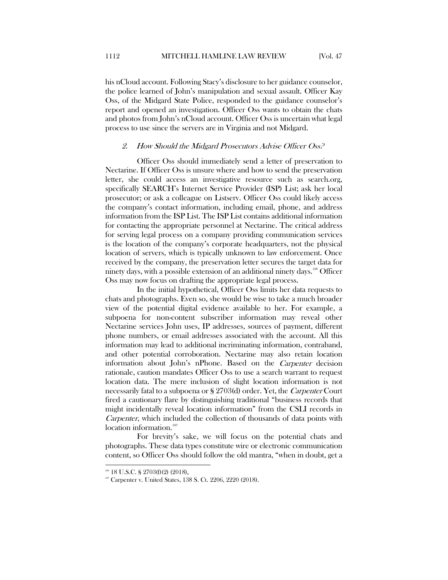his nCloud account. Following Stacy's disclosure to her guidance counselor, the police learned of John's manipulation and sexual assault. Officer Kay Oss, of the Midgard State Police, responded to the guidance counselor's report and opened an investigation. Officer Oss wants to obtain the chats and photos from John's nCloud account. Officer Oss is uncertain what legal process to use since the servers are in Virginia and not Midgard.

#### <span id="page-41-0"></span>2. How Should the Midgard Prosecutors Advise Officer Oss?

Officer Oss should immediately send a letter of preservation to Nectarine. If Officer Oss is unsure where and how to send the preservation letter, she could access an investigative resource such as search.org, specifically SEARCH's Internet Service Provider (ISP) List; ask her local prosecutor; or ask a colleague on Listserv. Officer Oss could likely access the company's contact information, including email, phone, and address information from the ISP List. The ISP List contains additional information for contacting the appropriate personnel at Nectarine. The critical address for serving legal process on a company providing communication services is the location of the company's corporate headquarters, not the physical location of servers, which is typically unknown to law enforcement. Once received by the company, the preservation letter secures the target data for ninety days, with a possible extension of an additional ninety days.<sup>[248](#page-41-1)</sup> Officer Oss may now focus on drafting the appropriate legal process.

In the initial hypothetical, Officer Oss limits her data requests to chats and photographs. Even so, she would be wise to take a much broader view of the potential digital evidence available to her. For example, a subpoena for non-content subscriber information may reveal other Nectarine services John uses, IP addresses, sources of payment, different phone numbers, or email addresses associated with the account. All this information may lead to additional incriminating information, contraband, and other potential corroboration. Nectarine may also retain location information about John's nPhone. Based on the Carpenter decision rationale, caution mandates Officer Oss to use a search warrant to request location data. The mere inclusion of slight location information is not necessarily fatal to a subpoena or § 2703(d) order. Yet, the *Carpenter* Court fired a cautionary flare by distinguishing traditional "business records that might incidentally reveal location information" from the CSLI records in Carpenter, which included the collection of thousands of data points with location information.<sup>[249](#page-41-2)</sup>

For brevity's sake, we will focus on the potential chats and photographs. These data types constitute wire or electronic communication content, so Officer Oss should follow the old mantra, "when in doubt, get a

<span id="page-41-2"></span><span id="page-41-1"></span><sup>&</sup>lt;sup>288</sup> 18 U.S.C. § 2703(f)(2) (2018).<br><sup>249</sup> Carpenter v. United States, 138 S. Ct. 2206, 2220 (2018).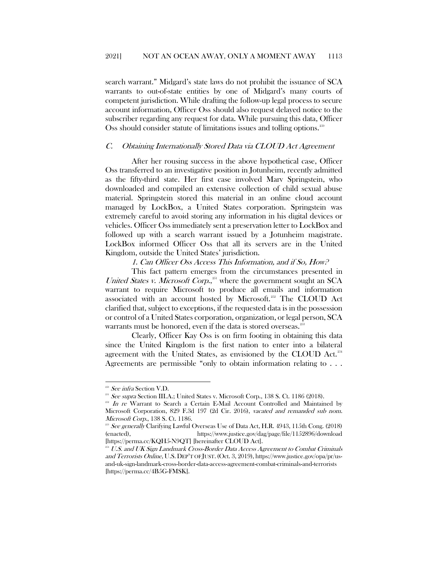search warrant." Midgard's state laws do not prohibit the issuance of SCA warrants to out-of-state entities by one of Midgard's many courts of competent jurisdiction. While drafting the follow-up legal process to secure account information, Officer Oss should also request delayed notice to the subscriber regarding any request for data. While pursuing this data, Officer Oss should consider statute of limitations issues and tolling options.<sup>[250](#page-42-1)</sup>

#### <span id="page-42-0"></span>C. Obtaining Internationally Stored Data via CLOUD Act Agreement

After her rousing success in the above hypothetical case, Officer Oss transferred to an investigative position in Jotunheim, recently admitted as the fifty-third state. Her first case involved Marv Springstein, who downloaded and compiled an extensive collection of child sexual abuse material. Springstein stored this material in an online cloud account managed by LockBox, a United States corporation. Springstein was extremely careful to avoid storing any information in his digital devices or vehicles. Officer Oss immediately sent a preservation letter to LockBox and followed up with a search warrant issued by a Jotunheim magistrate. LockBox informed Officer Oss that all its servers are in the United Kingdom, outside the United States' jurisdiction.

1. Can Officer Oss Access This Information, and if So, How?

This fact pattern emerges from the circumstances presented in United States v. Microsoft Corp., $\sum_{n=1}^{351}$  where the government sought an SCA warrant to require Microsoft to produce all emails and information associated with an account hosted by Microsoft.<sup>[252](#page-42-3)</sup> The CLOUD Act clarified that, subject to exceptions, if the requested data is in the possession or control of a United States corporation, organization, or legal person, SCA warrants must be honored, even if the data is stored overseas.<sup>[253](#page-42-4)</sup>

Clearly, Officer Kay Oss is on firm footing in obtaining this data since the United Kingdom is the first nation to enter into a bilateral agreement with the United States, as envisioned by the CLOUD Act. $254$ Agreements are permissible "only to obtain information relating to . . .

<span id="page-42-1"></span> $250$  See infra Section V.D.

<span id="page-42-3"></span><span id="page-42-2"></span><sup>&</sup>lt;sup>251</sup> See supra Section III.A.; United States v. Microsoft Corp., 138 S. Ct. 1186 (2018).

 $252$  In re Warrant to Search a Certain E-Mail Account Controlled and Maintained by Microsoft Corporation, 829 F.3d 197 (2d Cir. 2016), vacated and remanded sub nom. Microsoft Corp., 138 S. Ct. 1186.

<span id="page-42-4"></span><sup>&</sup>lt;sup>253</sup> See generally Clarifying Lawful Overseas Use of Data Act, H.R. 4943, 115th Cong. (2018) (enacted), https://www.justice.gov/dag/page/file/1152896/download [https://perma.cc/KQH5-N9QT] [hereinafter CLOUD Act].

<span id="page-42-5"></span> $^{254}$  U.S. and UK Sign Landmark Cross-Border Data Access Agreement to Combat Criminals and Terrorists Online, U.S.DEP'T OF JUST. (Oct. 3, 2019), https://www.justice.gov/opa/pr/usand-uk-sign-landmark-cross-border-data-access-agreement-combat-criminals-and-terrorists [https://perma.cc/4B5G-FMSK].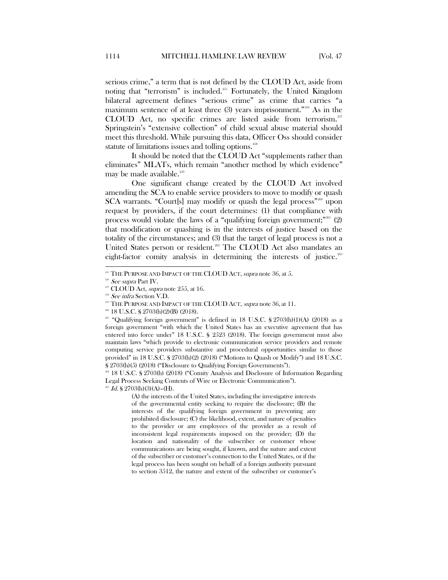serious crime," a term that is not defined by the CLOUD Act, aside from noting that "terrorism" is included.<sup>[255](#page-43-0)</sup> Fortunately, the United Kingdom bilateral agreement defines "serious crime" as crime that carries "a maximum sentence of at least three  $(3)$  years imprisonment.<sup>"[256](#page-43-1)</sup> As in the CLOUD Act, no specific crimes are listed aside from terrorism.[257](#page-43-2) Springstein's "extensive collection" of child sexual abuse material should meet this threshold. While pursuing this data, Officer Oss should consider statute of limitations issues and tolling options.<sup>[258](#page-43-3)</sup>

It should be noted that the CLOUD Act "supplements rather than eliminates" MLATs, which remain "another method by which evidence" may be made available.<sup>[259](#page-43-4)</sup>

One significant change created by the CLOUD Act involved amending the SCA to enable service providers to move to modify or quash SCA warrants. "Court[s] may modify or quash the legal process"<sup>260</sup> upon request by providers, if the court determines: (1) that compliance with process would violate the laws of a "qualifying foreign government;"<sup>[261](#page-43-6)</sup> (2) that modification or quashing is in the interests of justice based on the totality of the circumstances; and (3) that the target of legal process is not a United States person or resident.<sup>[262](#page-43-7)</sup> The CLOUD Act also mandates an eight-factor comity analysis in determining the interests of justice.<sup>263</sup>

(A) the interests of the United States, including the investigative interests of the governmental entity seeking to require the disclosure; (B) the interests of the qualifying foreign government in preventing any prohibited disclosure; (C) the likelihood, extent, and nature of penalties to the provider or any employees of the provider as a result of inconsistent legal requirements imposed on the provider; (D) the location and nationality of the subscriber or customer whose communications are being sought, if known, and the nature and extent of the subscriber or customer's connection to the United States, or if the legal process has been sought on behalf of a foreign authority pursuant to section 3512, the nature and extent of the subscriber or customer's

<span id="page-43-0"></span><sup>&</sup>lt;sup>255</sup> THE PURPOSE AND IMPACT OF THE CLOUD ACT, supra note 36, at 5.

<span id="page-43-1"></span> $^{256}$   *supra Part IV.* 

<span id="page-43-2"></span> $257$  CLOUD Act, *supra* note 255, at 16.

<span id="page-43-3"></span><sup>&</sup>lt;sup>258</sup> See infra Section V.D.

<span id="page-43-4"></span><sup>&</sup>lt;sup>259</sup> THE PURPOSE AND IMPACT OF THE CLOUD ACT, supra note 36, at 11.

 $200$  18 U.S.C. § 2703(h)(2)(B) (2018).

<span id="page-43-6"></span><span id="page-43-5"></span><sup>&</sup>lt;sup>261</sup> "Qualifying foreign government" is defined in 18 U.S.C. § 2703(h)(1)(A) (2018) as a foreign government "with which the United States has an executive agreement that has entered into force under" 18 U.S.C. § 2523 (2018). The foreign government must also maintain laws "which provide to electronic communication service providers and remote computing service providers substantive and procedural opportunities similar to those provided" in 18 U.S.C. § 2703(h)(2) (2018) ("Motions to Quash or Modify") and 18 U.S.C. § 2703(h)(5) (2018) ("Disclosure to Qualifying Foreign Governments").

<span id="page-43-7"></span><sup>&</sup>lt;sup>262</sup> 18 U.S.C. § 2703(h) (2018) ("Comity Analysis and Disclosure of Information Regarding Legal Process Seeking Contents of Wire or Electronic Communication").

<span id="page-43-8"></span> $^{263}$  *Id.* § 2703(h)(3)(A)–(H).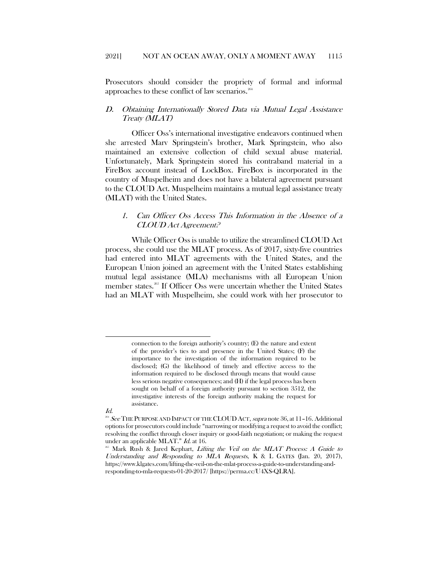Prosecutors should consider the propriety of formal and informal approaches to these conflict of law scenarios. $264$ 

### <span id="page-44-0"></span>D. Obtaining Internationally Stored Data via Mutual Legal Assistance Treaty (MLAT)

Officer Oss's international investigative endeavors continued when she arrested Marv Springstein's brother, Mark Springstein, who also maintained an extensive collection of child sexual abuse material. Unfortunately, Mark Springstein stored his contraband material in a FireBox account instead of LockBox. FireBox is incorporated in the country of Muspelheim and does not have a bilateral agreement pursuant to the CLOUD Act. Muspelheim maintains a mutual legal assistance treaty (MLAT) with the United States.

### <span id="page-44-1"></span>1. Can Officer Oss Access This Information in the Absence of a CLOUD Act Agreement?

While Officer Oss is unable to utilize the streamlined CLOUD Act process, she could use the MLAT process. As of 2017, sixty-five countries had entered into MLAT agreements with the United States, and the European Union joined an agreement with the United States establishing mutual legal assistance (MLA) mechanisms with all European Union member states.[265](#page-44-3) If Officer Oss were uncertain whether the United States had an MLAT with Muspelheim, she could work with her prosecutor to

Id.

connection to the foreign authority's country; (E) the nature and extent of the provider's ties to and presence in the United States; (F) the importance to the investigation of the information required to be disclosed; (G) the likelihood of timely and effective access to the information required to be disclosed through means that would cause less serious negative consequences; and (H) if the legal process has been sought on behalf of a foreign authority pursuant to section 3512, the investigative interests of the foreign authority making the request for assistance.

<span id="page-44-2"></span><sup>&</sup>lt;sup>264</sup> See THE PURPOSE AND IMPACT OF THE CLOUD ACT, supra note 36, at 11-16. Additional options for prosecutors could include "narrowing or modifying a request to avoid the conflict; resolving the conflict through closer inquiry or good-faith negotiation; or making the request under an applicable MLAT." Id. at 16.

<span id="page-44-3"></span><sup>&</sup>lt;sup>36</sup> Mark Rush & Jared Kephart, *Lifting the Veil on the MLAT Process: A Guide to* Understanding and Responding to MLA Requests, K & L GATES (Jan. 20, 2017), https://www.klgates.com/lifting-the-veil-on-the-mlat-process-a-guide-to-understanding-andresponding-to-mla-requests-01-20-2017/ [https://perma.cc/U4XS-QLRA].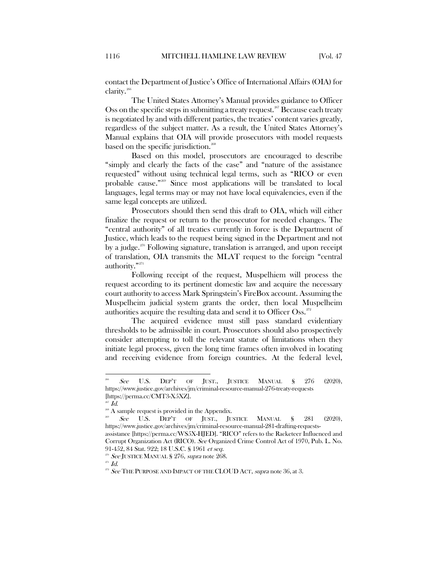contact the Department of Justice's Office of International Affairs (OIA) for clarity.<sup>[266](#page-45-0)</sup>

The United States Attorney's Manual provides guidance to Officer Oss on the specific steps in submitting a treaty request.<sup>[267](#page-45-1)</sup> Because each treaty is negotiated by and with different parties, the treaties' content varies greatly, regardless of the subject matter. As a result, the United States Attorney's Manual explains that OIA will provide prosecutors with model requests based on the specific jurisdiction.<sup>[268](#page-45-2)</sup>

Based on this model, prosecutors are encouraged to describe "simply and clearly the facts of the case" and "nature of the assistance requested" without using technical legal terms, such as "RICO or even probable cause."[269](#page-45-3) Since most applications will be translated to local languages, legal terms may or may not have local equivalencies, even if the same legal concepts are utilized.

Prosecutors should then send this draft to OIA, which will either finalize the request or return to the prosecutor for needed changes. The "central authority" of all treaties currently in force is the Department of Justice, which leads to the request being signed in the Department and not by a judge.<sup>[270](#page-45-4)</sup> Following signature, translation is arranged, and upon receipt of translation, OIA transmits the MLAT request to the foreign "central authority."<sup>[271](#page-45-5)</sup>

Following receipt of the request, Muspelhiem will process the request according to its pertinent domestic law and acquire the necessary court authority to access Mark Springstein's FireBox account. Assuming the Muspelheim judicial system grants the order, then local Muspelheim authorities acquire the resulting data and send it to Officer Oss. $^{272}$  $^{272}$  $^{272}$ 

The acquired evidence must still pass standard evidentiary thresholds to be admissible in court. Prosecutors should also prospectively consider attempting to toll the relevant statute of limitations when they initiate legal process, given the long time frames often involved in locating and receiving evidence from foreign countries. At the federal level,

 $^{267}$   $Id.$ 

<span id="page-45-6"></span><span id="page-45-5"></span><span id="page-45-4"></span> $271$  Id.

<span id="page-45-0"></span><sup>&</sup>lt;sup>266</sup> See U.S. DEP'T OF JUST., JUSTICE MANUAL  $\S$  276 (2020), https://www.justice.gov/archives/jm/criminal-resource-manual-276-treaty-requests [https://perma.cc/CMT3-X5XZ].

 $288$  A sample request is provided in the Appendix.

<span id="page-45-3"></span><span id="page-45-2"></span><span id="page-45-1"></span>See U.S. DEP'T OF JUST., JUSTICE MANUAL § 281 (2020), https://www.justice.gov/archives/jm/criminal-resource-manual-281-drafting-requests-

assistance [https://perma.cc/WS5X-HJED]. "RICO" refers to the Racketeer Influenced and Corrupt Organization Act (RICO). See Organized Crime Control Act of 1970, Pub. L. No. 91-452, 84 Stat. 922; 18 U.S.C. § 1961 et seq.

 $270$  See JUSTICE MANUAL § 276, supra note 268.

 $272$  See THE PURPOSE AND IMPACT OF THE CLOUD ACT, supra note 36, at 3.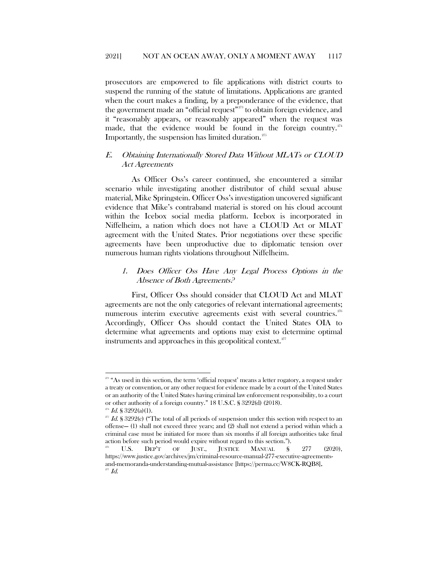prosecutors are empowered to file applications with district courts to suspend the running of the statute of limitations. Applications are granted when the court makes a finding, by a preponderance of the evidence, that the government made an "official request"[273](#page-46-2) to obtain foreign evidence, and it "reasonably appears, or reasonably appeared" when the request was made, that the evidence would be found in the foreign country. $274$ Importantly, the suspension has limited duration.<sup>[275](#page-46-4)</sup>

### <span id="page-46-0"></span>E. Obtaining Internationally Stored Data Without MLATs or CLOUD Act Agreements

As Officer Oss's career continued, she encountered a similar scenario while investigating another distributor of child sexual abuse material, Mike Springstein. Officer Oss's investigation uncovered significant evidence that Mike's contraband material is stored on his cloud account within the Icebox social media platform. Icebox is incorporated in Niffelheim, a nation which does not have a CLOUD Act or MLAT agreement with the United States. Prior negotiations over these specific agreements have been unproductive due to diplomatic tension over numerous human rights violations throughout Niffelheim.

### <span id="page-46-1"></span>1. Does Officer Oss Have Any Legal Process Options in the Absence of Both Agreements?

First, Officer Oss should consider that CLOUD Act and MLAT agreements are not the only categories of relevant international agreements; numerous interim executive agreements exist with several countries.<sup>[276](#page-46-5)</sup> Accordingly, Officer Oss should contact the United States OIA to determine what agreements and options may exist to determine optimal instruments and approaches in this geopolitical context.[277](#page-46-6)

<span id="page-46-2"></span> $273$  "As used in this section, the term 'official request' means a letter rogatory, a request under a treaty or convention, or any other request for evidence made by a court of the United States or an authority of the United States having criminal law enforcement responsibility, to a court or other authority of a foreign country." 18 U.S.C. § 3292(d) (2018).

 $274$  *Id.* § 3292(a)(1).

<span id="page-46-4"></span><span id="page-46-3"></span> $^{275}$  Id. § 3292(c) ("The total of all periods of suspension under this section with respect to an offense— (1) shall not exceed three years; and (2) shall not extend a period within which a criminal case must be initiated for more than six months if all foreign authorities take final action before such period would expire without regard to this section.").<br>  $\frac{1}{206}$  U.S. DEP'T OF JUST., JUSTICE MANUAL §

<span id="page-46-6"></span><span id="page-46-5"></span> $^{276}$  U.S. DEP'T OF JUST., JUSTICE MANUAL § 277 (2020), https://www.justice.gov/archives/jm/criminal-resource-manual-277-executive-agreementsand-memoranda-understanding-mutual-assistance [https://perma.cc/W8CK-RQB8].  $277$  Id.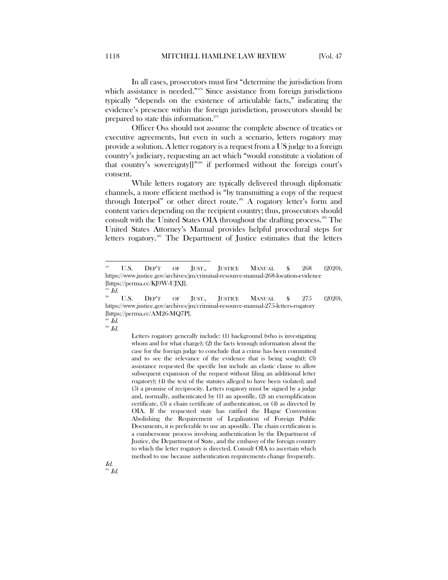In all cases, prosecutors must first "determine the jurisdiction from which assistance is needed."<sup>278</sup> Since assistance from foreign jurisdictions typically "depends on the existence of articulable facts," indicating the evidence's presence within the foreign jurisdiction, prosecutors should be prepared to state this information.<sup>[279](#page-47-1)</sup>

Officer Oss should not assume the complete absence of treaties or executive agreements, but even in such a scenario, letters rogatory may provide a solution. A letter rogatory is a request from a US judge to a foreign country's judiciary, requesting an act which "would constitute a violation of that country's sovereignty[]"[280](#page-47-2) if performed without the foreign court's consent.

While letters rogatory are typically delivered through diplomatic channels, a more efficient method is "by transmitting a copy of the request through Interpol" or other direct route.<sup>[281](#page-47-3)</sup> A rogatory letter's form and content varies depending on the recipient country; thus, prosecutors should consult with the United States OIA throughout the drafting process.<sup>[282](#page-47-4)</sup> The United States Attorney's Manual provides helpful procedural steps for letters rogatory.<sup>[283](#page-47-5)</sup> The Department of Justice estimates that the letters

 $\int_{280}^{279}$  *Id.* 

 $\overline{a}$ 

<span id="page-47-4"></span><span id="page-47-3"></span> $^{281}$  *Id.*  $\frac{282}{Id}$ .

> Letters rogatory generally include: (1) background (who is investigating whom and for what charge); (2) the facts (enough information about the case for the foreign judge to conclude that a crime has been committed and to see the relevance of the evidence that is being sought); (3) assistance requested (be specific but include an elastic clause to allow subsequent expansion of the request without filing an additional letter rogatory); (4) the text of the statutes alleged to have been violated; and (5) a promise of reciprocity. Letters rogatory must be signed by a judge and, normally, authenticated by (1) an apostille, (2) an exemplification certificate, (3) a chain certificate of authentication, or (4) as directed by OIA. If the requested state has ratified the Hague Convention Abolishing the Requirement of Legalization of Foreign Public Documents, it is preferable to use an apostille. The chain certification is a cumbersome process involving authentication by the Department of Justice, the Department of State, and the embassy of the foreign country to which the letter rogatory is directed. Consult OIA to ascertain which method to use because authentication requirements change frequently.

<span id="page-47-5"></span>Id.  $^{283}$   $Id.$ 

<span id="page-47-0"></span> $^{278}$  U.S. DEP'T OF JUST., JUSTICE MANUAL § 268 (2020), https://www.justice.gov/archives/jm/criminal-resource-manual-268-location-evidence [https://perma.cc/KJ9W-UJXJ].

<span id="page-47-2"></span><span id="page-47-1"></span><sup>280</sup> U.S. DEP'T OF JUST., JUSTICE MANUAL § 275 (2020), https://www.justice.gov/archives/jm/criminal-resource-manual-275-letters-rogatory [https://perma.cc/AM26-MQ7P].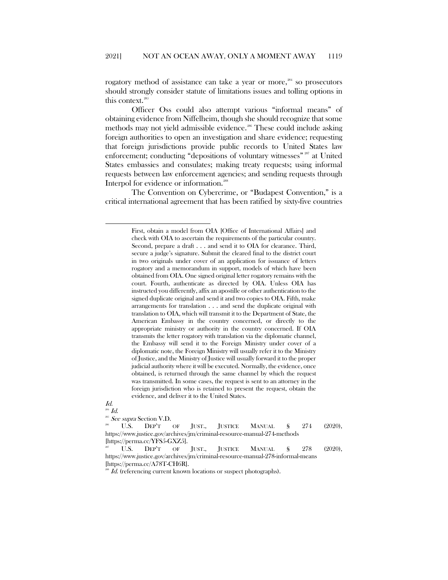rogatory method of assistance can take a year or more, $284$  so prosecutors should strongly consider statute of limitations issues and tolling options in this context.<sup>28</sup>

Officer Oss could also attempt various "informal means" of obtaining evidence from Niffelheim, though she should recognize that some methods may not yield admissible evidence.<sup>[286](#page-48-2)</sup> These could include asking foreign authorities to open an investigation and share evidence; requesting that foreign jurisdictions provide public records to United States law enforcement; conducting "depositions of voluntary witnesses"<sup>[287](#page-48-3)</sup> at United States embassies and consulates; making treaty requests; using informal requests between law enforcement agencies; and sending requests through Interpol for evidence or information.<sup>[288](#page-48-4)</sup>

The Convention on Cybercrime, or "Budapest Convention," is a critical international agreement that has been ratified by sixty-five countries

### Id.

 $\overline{\phantom{a}}$ 

 $^{\scriptscriptstyle 284}$  Id.

<span id="page-48-2"></span><span id="page-48-1"></span><span id="page-48-0"></span><sup>285</sup> See supra Section V.D.<br> $\frac{1}{286}$  U.S. DEP'T 286 U.S. DEP'T OF JUST., JUSTICE MANUAL § 274 (2020), https://www.justice.gov/archives/jm/criminal-resource-manual-274-methods [https://perma.cc/YFS5-GXZ5].

<span id="page-48-3"></span> $287$  U.S. DEP'T OF JUST., JUSTICE MANUAL § 278 (2020), https://www.justice.gov/archives/jm/criminal-resource-manual-278-informal-means [https://perma.cc/A78T-CH6R].

<span id="page-48-4"></span> $^{288}$  *Id.* (referencing current known locations or suspect photographs).

First, obtain a model from OIA [Office of International Affairs] and check with OIA to ascertain the requirements of the particular country. Second, prepare a draft . . . and send it to OIA for clearance. Third, secure a judge's signature. Submit the cleared final to the district court in two originals under cover of an application for issuance of letters rogatory and a memorandum in support, models of which have been obtained from OIA. One signed original letter rogatory remains with the court. Fourth, authenticate as directed by OIA. Unless OIA has instructed you differently, affix an apostille or other authentication to the signed duplicate original and send it and two copies to OIA. Fifth, make arrangements for translation . . . and send the duplicate original with translation to OIA, which will transmit it to the Department of State, the American Embassy in the country concerned, or directly to the appropriate ministry or authority in the country concerned. If OIA transmits the letter rogatory with translation via the diplomatic channel, the Embassy will send it to the Foreign Ministry under cover of a diplomatic note, the Foreign Ministry will usually refer it to the Ministry of Justice, and the Ministry of Justice will usually forward it to the proper judicial authority where it will be executed. Normally, the evidence, once obtained, is returned through the same channel by which the request was transmitted. In some cases, the request is sent to an attorney in the foreign jurisdiction who is retained to present the request, obtain the evidence, and deliver it to the United States.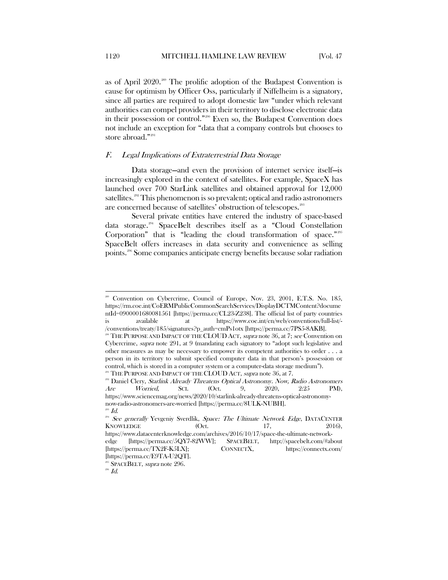as of April 2020.[289](#page-49-1) The prolific adoption of the Budapest Convention is cause for optimism by Officer Oss, particularly if Niffelheim is a signatory, since all parties are required to adopt domestic law "under which relevant authorities can compel providers in their territory to disclose electronic data in their possession or control."<sup>[290](#page-49-2)</sup> Even so, the Budapest Convention does not include an exception for "data that a company controls but chooses to store abroad."<sup>[291](#page-49-3)</sup>

### <span id="page-49-0"></span>F. Legal Implications of Extraterrestrial Data Storage

Data storage—and even the provision of internet service itself—is increasingly explored in the context of satellites. For example, SpaceX has launched over 700 StarLink satellites and obtained approval for 12,000 satellites.<sup>[292](#page-49-4)</sup> This phenomenon is so prevalent; optical and radio astronomers are concerned because of satellites' obstruction of telescopes.<sup>[293](#page-49-5)</sup>

Several private entities have entered the industry of space-based data storage.[294](#page-49-6) SpaceBelt describes itself as a "Cloud Constellation Corporation" that is "leading the cloud transformation of space." $295$ SpaceBelt offers increases in data security and convenience as selling points.[296](#page-49-8) Some companies anticipate energy benefits because solar radiation

<span id="page-49-1"></span>Convention on Cybercrime, Council of Europe, Nov. 23, 2001, E.T.S. No. 185, https://rm.coe.int/CoERMPublicCommonSearchServices/DisplayDCTMContent?docume ntId=0900001680081561 [https://perma.cc/CL23-Z238]. The official list of party countries is available at https://www.coe.int/en/web/conventions/full-list/- /conventions/treaty/185/signatures?p\_auth=cmPs1otx [https://perma.cc/7PS5-8AKB].

<span id="page-49-2"></span>THE PURPOSE AND IMPACT OF THE CLOUD ACT, supra note 36, at 7; see Convention on Cybercrime, supra note 291, at 9 (mandating each signatory to "adopt such legislative and other measures as may be necessary to empower its competent authorities to order . . . a person in its territory to submit specified computer data in that person's possession or control, which is stored in a computer system or a computer-data storage medium"). <sup>291</sup> THE PURPOSE AND IMPACT OF THE CLOUD ACT, supra note 36, at 7.

<span id="page-49-4"></span><span id="page-49-3"></span><sup>&</sup>lt;sup>292</sup> Daniel Clery, *Starlink Already Threatens Optical Astronomy, Now, Radio Astronomers* Are Worried, SCI. (Oct. 9, 2020, 2:25 PM), https://www.sciencemag.org/news/2020/10/starlink-already-threatens-optical-astronomynow-radio-astronomers-are-worried [https://perma.cc/8ULK-NUBH].

 $^{293}$   $Id.$ 

<span id="page-49-6"></span><span id="page-49-5"></span><sup>&</sup>lt;sup>294</sup> See generally Yevgeniy Sverdlik, Space: The Ultimate Network Edge, DATACENTER KNOWLEDGE (Oct. 17, 2016), https://www.datacenterknowledge.com/archives/2016/10/17/space-the-ultimate-networkedge [https://perma.cc/5QY7-82WW]; SPACEBELT, http://spacebelt.com/#about [https://perma.cc/TX2F-K5LX]; CONNECTX, https://connectx.com/ [https://perma.cc/E9TA-U2QT].

<span id="page-49-7"></span><sup>&</sup>lt;sup>295</sup> SPACEBELT, *supra* note 296.

<span id="page-49-8"></span> $296$   $Id.$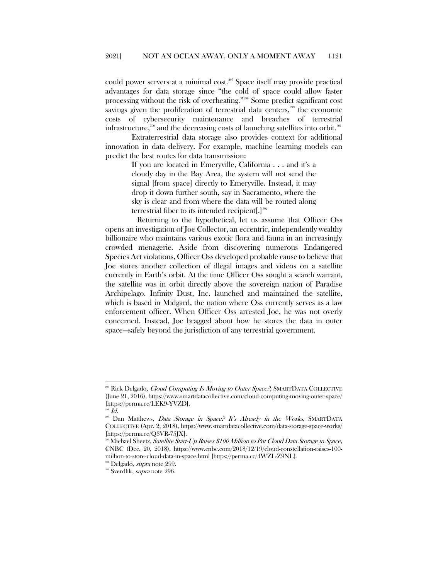could power servers at a minimal cost.<sup>[297](#page-50-0)</sup> Space itself may provide practical advantages for data storage since "the cold of space could allow faster processing without the risk of overheating."[298](#page-50-1) Some predict significant cost savings given the proliferation of terrestrial data centers, $299$  the economic costs of cybersecurity maintenance and breaches of terrestrial infrastructure, $300$  and the decreasing costs of launching satellites into orbit. $301$ 

Extraterrestrial data storage also provides context for additional innovation in data delivery. For example, machine learning models can predict the best routes for data transmission:

> If you are located in Emeryville, California . . . and it's a cloudy day in the Bay Area, the system will not send the signal [from space] directly to Emeryville. Instead, it may drop it down further south, say in Sacramento, where the sky is clear and from where the data will be routed along terrestrial fiber to its intended recipient[.] $\frac{302}{2}$  $\frac{302}{2}$  $\frac{302}{2}$

Returning to the hypothetical, let us assume that Officer Oss opens an investigation of Joe Collector, an eccentric, independently wealthy billionaire who maintains various exotic flora and fauna in an increasingly crowded menagerie. Aside from discovering numerous Endangered Species Act violations, Officer Oss developed probable cause to believe that Joe stores another collection of illegal images and videos on a satellite currently in Earth's orbit. At the time Officer Oss sought a search warrant, the satellite was in orbit directly above the sovereign nation of Paradise Archipelago. Infinity Dust, Inc. launched and maintained the satellite, which is based in Midgard, the nation where Oss currently serves as a law enforcement officer. When Officer Oss arrested Joe, he was not overly concerned. Instead, Joe bragged about how he stores the data in outer space—safely beyond the jurisdiction of any terrestrial government.

<span id="page-50-0"></span><sup>&</sup>lt;sup>297</sup> Rick Delgado, *Cloud Computing Is Moving to Outer Space?*, SMARTDATA COLLECTIVE (June 21, 2016), https://www.smartdatacollective.com/cloud-computing-moving-outer-space/ [https://perma.cc/LEK9-YVZD].

 $^{298}$   $Id.$ 

<span id="page-50-2"></span><span id="page-50-1"></span><sup>&</sup>lt;sup>299</sup> Dan Matthews, *Data Storage in Space? It's Already in the Works*, SMARTDATA COLLECTIVE (Apr. 2, 2018), https://www.smartdatacollective.com/data-storage-space-works/ [https://perma.cc/Q3VR-75JX].

<span id="page-50-3"></span> $^{\circ}$  Michael Sheetz, *Satellite Start-Up Raises \$100 Million to Put Cloud Data Storage in Space.* CNBC (Dec. 20, 2018), https://www.cnbc.com/2018/12/19/cloud-constellation-raises-100 million-to-store-cloud-data-in-space.html [https://perma.cc/4WZL-Z9NL].

<span id="page-50-4"></span><sup>&</sup>lt;sup>301</sup> Delgado, *supra* note 299.

<span id="page-50-5"></span><sup>&</sup>lt;sup>302</sup> Sverdlik, *supra* note 296.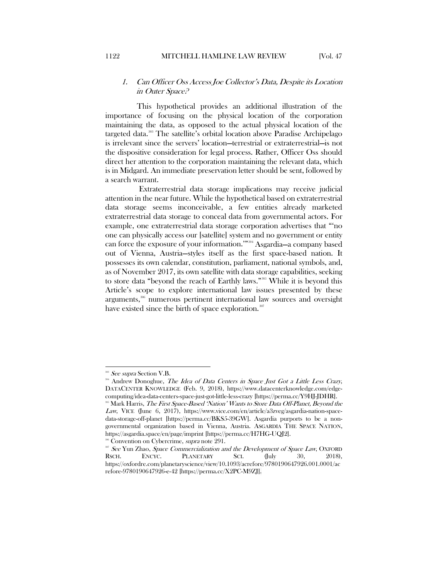### <span id="page-51-0"></span>1. Can Officer Oss Access Joe Collector's Data, Despite its Location in Outer Space?

This hypothetical provides an additional illustration of the importance of focusing on the physical location of the corporation maintaining the data, as opposed to the actual physical location of the targeted data.<sup>[303](#page-51-1)</sup> The satellite's orbital location above Paradise Archipelago is irrelevant since the servers' location—terrestrial or extraterrestrial—is not the dispositive consideration for legal process. Rather, Officer Oss should direct her attention to the corporation maintaining the relevant data, which is in Midgard. An immediate preservation letter should be sent, followed by a search warrant.

 Extraterrestrial data storage implications may receive judicial attention in the near future. While the hypothetical based on extraterrestrial data storage seems inconceivable, a few entities already marketed extraterrestrial data storage to conceal data from governmental actors. For example, one extraterrestrial data storage corporation advertises that "'no one can physically access our [satellite] system and no government or entity can force the exposure of your information.'"[304](#page-51-2) Asgardia—a company based out of Vienna, Austria—styles itself as the first space-based nation. It possesses its own calendar, constitution, parliament, national symbols, and, as of November 2017, its own satellite with data storage capabilities, seeking to store data "beyond the reach of Earthly laws."[305](#page-51-3) While it is beyond this Article's scope to explore international law issues presented by these arguments,<sup>[306](#page-51-4)</sup> numerous pertinent international law sources and oversight have existed since the birth of space exploration.<sup>[307](#page-51-5)</sup>

<span id="page-51-1"></span><sup>&</sup>lt;sup>303</sup> See supra Section V.B.

<span id="page-51-2"></span><sup>&</sup>lt;sup>304</sup> Andrew Donoghue, *The Idea of Data Centers in Space Just Got a Little Less Crazy*, DATACENTER KNOWLEDGE (Feb. 9, 2018), https://www.datacenterknowledge.com/edgecomputing/idea-data-centers-space-just-got-little-less-crazy [https://perma.cc/Y9HJ-JDHR].

<span id="page-51-3"></span><sup>&</sup>lt;sup>305</sup> Mark Harris, *The First Space-Based 'Nation' Wants to Store Data Off-Planet, Beyond the* Law, VICE (June 6, 2017), https://www.vice.com/en/article/a3zveg/asgardia-nation-spacedata-storage-off-planet [https://perma.cc/BKS5-39GW]. Asgardia purports to be a nongovernmental organization based in Vienna, Austria. ASGARDIA THE SPACE NATION, https://asgardia.space/en/page/imprint [https://perma.cc/H7HG-UQJ2].<br><sup>306</sup> Convention on Cybercrime, *supra* note 291.

<span id="page-51-5"></span><span id="page-51-4"></span><sup>&</sup>lt;sup>307</sup> See Yun Zhao, Space Commercialization and the Development of Space Law, OXFORD RSCH. ENCYC. PLANETARY SCI. (July 30, 2018), https://oxfordre.com/planetaryscience/view/10.1093/acrefore/9780190647926.001.0001/ac refore-9780190647926-e-42 [https://perma.cc/X2PC-M9ZJ].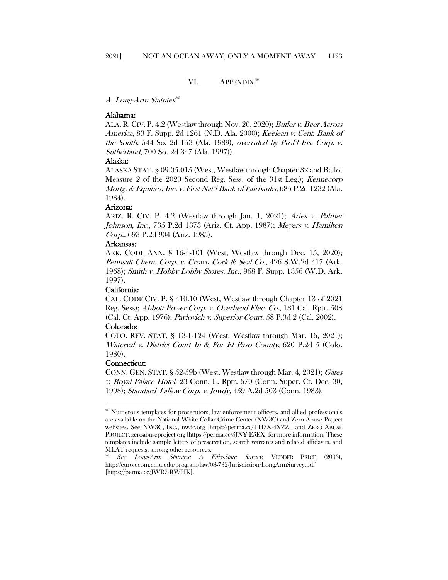### VI. APPENDIX<sup>[308](#page-52-2)</sup>

<span id="page-52-1"></span><span id="page-52-0"></span>A. Long-Arm Statutes<sup>[309](#page-52-3)</sup>

#### Alabama:

ALA. R. CIV. P. 4.2 (Westlaw through Nov. 20, 2020); Butler v. Beer Across America, 83 F. Supp. 2d 1261 (N.D. Ala. 2000); Keelean v. Cent. Bank of the South, 544 So. 2d 153 (Ala. 1989), overruled by Prof'l Ins. Corp. v. Sutherland, 700 So. 2d 347 (Ala. 1997)).

### Alaska:

ALASKA STAT. § 09.05.015 (West, Westlaw through Chapter 32 and Ballot Measure 2 of the 2020 Second Reg. Sess. of the 31st Leg.); Kennecorp Mortg. & Equities, Inc. v. First Nat'l Bank of Fairbanks, 685 P.2d 1232 (Ala. 1984).

### Arizona:

ARIZ. R. CIV. P. 4.2 (Westlaw through Jan. 1, 2021); Aries v. Palmer Johnson, Inc., 735 P.2d 1373 (Ariz. Ct. App. 1987); Meyers v. Hamilton Corp., 693 P.2d 904 (Ariz. 1985).

### Arkansas:

ARK. CODE ANN. § 16-4-101 (West, Westlaw through Dec. 15, 2020); Pennsalt Chem. Corp. v. Crown Cork & Seal Co., 426 S.W.2d 417 (Ark. 1968); Smith v. Hobby Lobby Stores, Inc., 968 F. Supp. 1356 (W.D. Ark. 1997).

#### California:

CAL. CODE CIV. P. § 410.10 (West, Westlaw through Chapter 13 of 2021 Reg. Sess); Abbott Power Corp. v. Overhead Elec. Co., 131 Cal. Rptr. 508 (Cal. Ct. App. 1976); Pavlovich v. Superior Court, 58 P.3d 2 (Cal. 2002).

### Colorado:

COLO. REV. STAT. § 13-1-124 (West, Westlaw through Mar. 16, 2021); Waterval v. District Court In & For El Paso County, 620 P.2d 5 (Colo. 1980).

#### Connecticut:

 $\overline{\phantom{a}}$ 

CONN. GEN. STAT. § 52-59b (West, Westlaw through Mar. 4, 2021); Gates v. Royal Palace Hotel, 23 Conn. L. Rptr. 670 (Conn. Super. Ct. Dec. 30, 1998); Standard Tallow Corp. v. Jowdy, 459 A.2d 503 (Conn. 1983).

<span id="page-52-2"></span><sup>&</sup>lt;sup>308</sup> Numerous templates for prosecutors, law enforcement officers, and allied professionals are available on the National White-Collar Crime Center (NW3C) and Zero Abuse Project websites. See NW3C, INC., nw3c.org [https://perma.cc/TH7X-4XZZ], and ZERO ABUSE PROJECT, zeroabuseproject.org [https://perma.cc/5JNY-E5EX] for more information. These templates include sample letters of preservation, search warrants and related affidavits, and MLAT requests, among other resources.

<span id="page-52-3"></span>See Long-Arm Statutes: A Fifty-State Survey, VEDDER PRICE (2003), http://euro.ecom.cmu.edu/program/law/08-732/Jurisdiction/LongArmSurvey.pdf [https://perma.cc/JWR7-RWHK].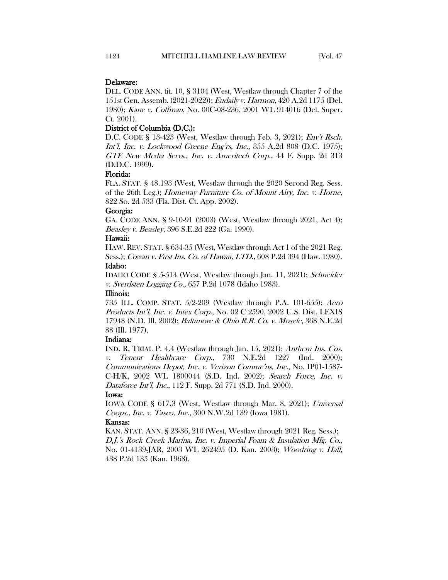#### Delaware:

DEL. CODE ANN. tit. 10, § 3104 (West, Westlaw through Chapter 7 of the 151st Gen. Assemb. (2021-2022)); Eudaily v. Harmon, 420 A.2d 1175 (Del. 1980); Kane v. Coffman, No. 00C-08-236, 2001 WL 914016 (Del. Super. Ct. 2001).

### District of Columbia (D.C.):

D.C. CODE § 13-423 (West, Westlaw through Feb. 3, 2021); *Env't Rsch.* Int'l, Inc. v. Lockwood Greene Eng'rs, Inc., 355 A.2d 808 (D.C. 1975); GTE New Media Servs., Inc. v. Ameritech Corp., 44 F. Supp. 2d 313 (D.D.C. 1999).

### Florida:

FLA. STAT. § 48.193 (West, Westlaw through the 2020 Second Reg. Sess. of the 26th Leg.); Homeway Furniture Co. of Mount Airy, Inc. v. Horne, 822 So. 2d 533 (Fla. Dist. Ct. App. 2002).

#### Georgia:

GA. CODE ANN. § 9-10-91 (2003) (West, Westlaw through 2021, Act 4); Beasley v. Beasley, 396 S.E.2d 222 (Ga. 1990).

### Hawaii:

HAW. REV. STAT. § 634-35 (West, Westlaw through Act 1 of the 2021 Reg. Sess.); *Cowan v. First Ins. Co. of Hawaii, LTD.*, 608 P.2d 394 (Haw. 1980). Idaho:

IDAHO CODE § 5-514 (West, Westlaw through Jan. 11, 2021); Schneider v. Sverdsten Logging Co., 657 P.2d 1078 (Idaho 1983).

### Illinois:

735 ILL. COMP. STAT. 5/2-209 (Westlaw through P.A. 101-655); Aero Products Int'l, Inc. v. Intex Corp., No. 02 C 2590, 2002 U.S. Dist. LEXIS 17948 (N.D. Ill. 2002); Baltimore & Ohio R.R. Co. v. Mosele, 368 N.E.2d 88 (Ill. 1977).

### Indiana:

IND. R. TRIAL P. 4.4 (Westlaw through Jan. 15, 2021); Anthem Ins. Cos. v. Tenent Healthcare Corp., 730 N.E.2d 1227 (Ind. 2000); Communications Depot, Inc. v. Verizon Commc'ns, Inc., No. IP01-1587- C-H/K, 2002 WL 1800044 (S.D. Ind. 2002); Search Force, Inc. v. Dataforce Int'l, Inc., 112 F. Supp. 2d 771 (S.D. Ind. 2000).

### Iowa:

IOWA CODE § 617.3 (West, Westlaw through Mar. 8, 2021); Universal Coops., Inc. v. Tasco, Inc., 300 N.W.2d 139 (Iowa 1981).

### Kansas:

KAN. STAT. ANN. § 23-36, 210 (West, Westlaw through 2021 Reg. Sess.); D.J.'s Rock Creek Marina, Inc. v. Imperial Foam & Insulation Mfg. Co., No. 01-4139-JAR, 2003 WL 262495 (D. Kan. 2003); Woodring v. Hall, 438 P.2d 135 (Kan. 1968).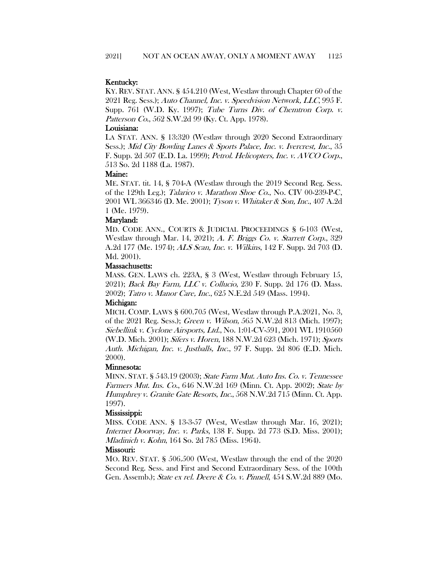### Kentucky:

KY. REV. STAT. ANN. § 454.210 (West, Westlaw through Chapter 60 of the 2021 Reg. Sess.); Auto Channel, Inc. v. Speedvision Network, LLC, 995 F. Supp. 761 (W.D. Ky. 1997); Tube Turns Div. of Chemiron Corp. v. Patterson Co., 562 S.W.2d 99 (Ky. Ct. App. 1978).

### Louisiana:

LA STAT. ANN. § 13:320 (Westlaw through 2020 Second Extraordinary Sess.); Mid City Bowling Lanes & Sports Palace, Inc. v. Ivercrest, Inc., 35 F. Supp. 2d 507 (E.D. La. 1999); Petrol. Helicopters, Inc. v. AVCO Corp., 513 So. 2d 1188 (La. 1987).

### Maine:

ME. STAT. tit. 14, § 704-A (Westlaw through the 2019 Second Reg. Sess. of the 129th Leg.); Talarico v. Marathon Shoe Co., No. CIV 00-239-P-C, 2001 WL 366346 (D. Me. 2001); Tyson v. Whitaker & Son, Inc., 407 A.2d 1 (Me. 1979).

### Maryland:

MD. CODE ANN., COURTS & JUDICIAL PROCEEDINGS § 6-103 (West, Westlaw through Mar. 14, 2021); A. F. Briggs Co. v. Starrett Corp., 329 A.2d 177 (Me. 1974); ALS Scan, Inc. v. Wilkins, 142 F. Supp. 2d 703 (D. Md. 2001).

### Massachusetts:

MASS. GEN. LAWS ch. 223A, § 3 (West, Westlaw through February 15,  $2021$ ; *Back Bay Farm, LLC v. Collucio*, 230 F. Supp. 2d 176 (D. Mass. 2002); Tatro v. Manor Care, Inc., 625 N.E.2d 549 (Mass. 1994).

### Michigan:

MICH. COMP. LAWS § 600.705 (West, Westlaw through P.A.2021, No. 3, of the 2021 Reg. Sess.); Green v. Wilson, 565 N.W.2d 813 (Mich. 1997); Siebellink v. Cyclone Airsports, Ltd., No. 1:01-CV-591, 2001 WL 1910560 (W.D. Mich. 2001); Sifers v. Horen, 188 N.W.2d 623 (Mich. 1971); Sports Auth. Michigan, Inc. v. Justballs, Inc., 97 F. Supp. 2d 806 (E.D. Mich. 2000).

### Minnesota:

MINN. STAT. § 543.19 (2003); State Farm Mut. Auto Ins. Co. v. Tennessee Farmers Mut. Ins. Co., 646 N.W.2d 169 (Minn. Ct. App. 2002); State by Humphrey v. Granite Gate Resorts, Inc., 568 N.W.2d 715 (Minn. Ct. App. 1997).

### Mississippi:

MISS. CODE ANN. § 13-3-57 (West, Westlaw through Mar. 16, 2021); Internet Doorway, Inc. v. Parks, 138 F. Supp. 2d 773 (S.D. Miss. 2001); Mladinich v. Kohn, 164 So. 2d 785 (Miss. 1964).

### Missouri:

MO. REV. STAT. § 506.500 (West, Westlaw through the end of the 2020 Second Reg. Sess. and First and Second Extraordinary Sess. of the 100th Gen. Assemb.); State ex rel. Deere & Co. v. Pinnell, 454 S.W.2d 889 (Mo.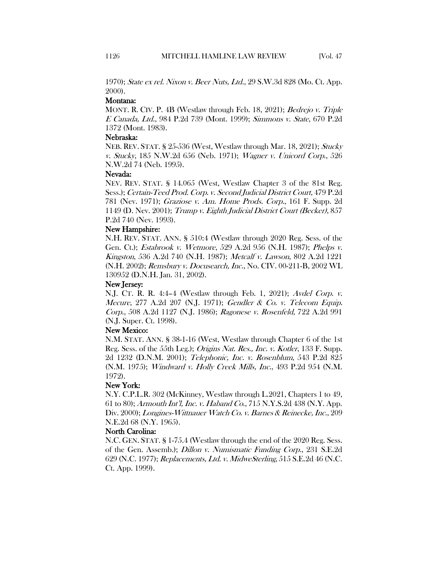1970); State ex rel. Nixon v. Beer Nuts, Ltd., 29 S.W.3d 828 (Mo. Ct. App. 2000).

### Montana:

MONT. R. CIV. P. 4B (Westlaw through Feb. 18, 2021); Bedrejo v. Triple E Canada, Ltd., 984 P.2d 739 (Mont. 1999); Simmons v. State, 670 P.2d 1372 (Mont. 1983).

### Nebraska:

NEB. REV. STAT. § 25-536 (West, Westlaw through Mar. 18, 2021); Stucky v. Stucky, 185 N.W.2d 656 (Neb. 1971); Wagner v. Unicord Corp., 526 N.W.2d 74 (Neb. 1995).

### Nevada:

NEV. REV. STAT. § 14.065 (West, Westlaw Chapter 3 of the 81st Reg. Sess.); Certain-Teed Prod. Corp. v. Second Judicial District Court, 479 P.2d 781 (Nev. 1971); Graziose v. Am. Home Prods. Corp., 161 F. Supp. 2d 1149 (D. Nev. 2001); Trump v. Eighth Judicial District Court (Becker), 857 P.2d 740 (Nev. 1993).

### New Hampshire:

N.H. REV. STAT. ANN. § 510:4 (Westlaw through 2020 Reg. Sess. of the Gen. Ct.); Estabrook v. Wetmore, 529 A.2d 956 (N.H. 1987); Phelps v. Kingston, 536 A.2d 740 (N.H. 1987); Metcalf v. Lawson, 802 A.2d 1221 (N.H. 2002); Remsbury v. Docusearch, Inc., No. CIV. 00-211-B, 2002 WL 130952 (D.N.H. Jan. 31, 2002).

### New Jersey:

N.J. CT. R. R. 4:4–4 (Westlaw through Feb. 1, 2021); Avdel Corp. v. Mecure, 277 A.2d 207 (N.J. 1971); Gendler & Co. v. Telecom Equip. Corp., 508 A.2d 1127 (N.J. 1986); Ragonese v. Rosenfeld, 722 A.2d 991 (N.J. Super. Ct. 1998).

### New Mexico:

N.M. STAT. ANN. § 38-1-16 (West, Westlaw through Chapter 6 of the 1st Reg. Sess. of the 55th Leg.); *Origins Nat. Res., Inc. v. Kotler*, 133 F. Supp. 2d 1232 (D.N.M. 2001); Telephonic, Inc. v. Rosenblum, 543 P.2d 825 (N.M. 1975); Windward v. Holly Creek Mills, Inc., 493 P.2d 954 (N.M. 1972).

#### New York:

N.Y. C.P.L.R. 302 (McKinney, Westlaw through L.2021, Chapters 1 to 49, 61 to 80); Armouth Int'l, Inc. v. Haband Co., 715 N.Y.S.2d 438 (N.Y. App. Div. 2000); Longines-Wittnauer Watch Co. v. Barnes & Reinecke, Inc., 209 N.E.2d 68 (N.Y. 1965).

### North Carolina:

N.C. GEN. STAT. § 1-75.4 (Westlaw through the end of the 2020 Reg. Sess. of the Gen. Assemb.); Dillon v. Numismatic Funding Corp., 231 S.E.2d 629 (N.C. 1977); Replacements, Ltd. v. MidweSterling, 515 S.E.2d 46 (N.C. Ct. App. 1999).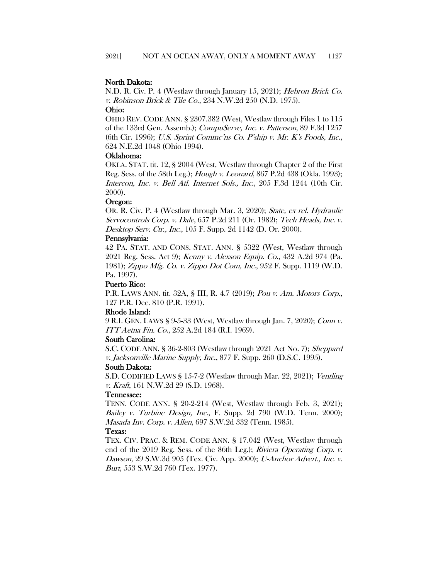#### North Dakota:

N.D. R. Civ. P. 4 (Westlaw through January 15, 2021); Hebron Brick Co. v. Robinson Brick & Tile Co., 234 N.W.2d 250 (N.D. 1975). Ohio:

### OHIO REV. CODE ANN. § 2307.382 (West, Westlaw through Files 1 to 115 of the 133rd Gen. Assemb.); CompuServe, Inc. v. Patterson, 89 F.3d 1257 (6th Cir. 1996); U.S. Sprint Commc'ns Co. P'ship v. Mr. K's Foods, Inc., 624 N.E.2d 1048 (Ohio 1994).

#### Oklahoma:

OKLA. STAT. tit. 12, § 2004 (West, Westlaw through Chapter 2 of the First Reg. Sess. of the 58th Leg.); Hough v. Leonard, 867 P.2d 438 (Okla. 1993); Intercon, Inc. v. Bell Atl. Internet Sols., Inc., 205 F.3d 1244 (10th Cir. 2000).

### Oregon:

OR. R. Civ. P. 4 (Westlaw through Mar. 3, 2020); State, ex rel. Hydraulic Servocontrols Corp. v. Dale, 657 P.2d 211 (Or. 1982); Tech Heads, Inc. v. Desktop Serv. Ctr., Inc., 105 F. Supp. 2d 1142 (D. Or. 2000).

### Pennsylvania:

42 PA. STAT. AND CONS. STAT. ANN. § 5322 (West, Westlaw through 2021 Reg. Sess. Act 9); Kenny v. Alexson Equip. Co., 432 A.2d 974 (Pa. 1981); Zippo Mfg. Co. v. Zippo Dot Com, Inc., 952 F. Supp. 1119 (W.D. Pa. 1997).

#### Puerto Rico:

P.R. LAWS ANN. tit. 32A, § III, R. 4.7 (2019); Pou v. Am. Motors Corp., 127 P.R. Dec. 810 (P.R. 1991).

### Rhode Island:

9 R.I. GEN. LAWS § 9-5-33 (West, Westlaw through Jan. 7, 2020); Conn v. ITT Aetna Fin. Co., 252 A.2d 184 (R.I. 1969).

### South Carolina:

S.C. CODE ANN. § 36-2-803 (Westlaw through 2021 Act No. 7); Sheppard v. Jacksonville Marine Supply, Inc., 877 F. Supp. 260 (D.S.C. 1995).

#### South Dakota:

S.D. CODIFIED LAWS § 15-7-2 (Westlaw through Mar. 22, 2021); Ventling v. Kraft, 161 N.W.2d 29 (S.D. 1968).

### Tennessee:

TENN. CODE ANN. § 20-2-214 (West, Westlaw through Feb. 3, 2021); Bailey v. Turbine Design, Inc., F. Supp. 2d 790 (W.D. Tenn. 2000); Masada Inv. Corp. v. Allen, 697 S.W.2d 332 (Tenn. 1985).

### Texas:

TEX. CIV. PRAC. & REM. CODE ANN. § 17.042 (West, Westlaw through end of the 2019 Reg. Sess. of the 86th Leg.); Riviera Operating Corp. v. Dawson, 29 S.W.3d 905 (Tex. Civ. App. 2000); U-Anchor Advert., Inc. v. Burt, 553 S.W.2d 760 (Tex. 1977).